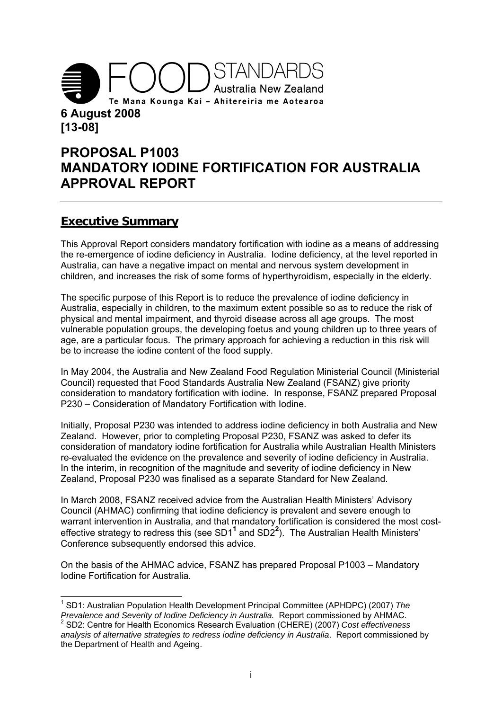

# **PROPOSAL P1003 MANDATORY IODINE FORTIFICATION FOR AUSTRALIA APPROVAL REPORT**

# **Executive Summary**

1

This Approval Report considers mandatory fortification with iodine as a means of addressing the re-emergence of iodine deficiency in Australia. Iodine deficiency, at the level reported in Australia, can have a negative impact on mental and nervous system development in children, and increases the risk of some forms of hyperthyroidism, especially in the elderly.

The specific purpose of this Report is to reduce the prevalence of iodine deficiency in Australia, especially in children, to the maximum extent possible so as to reduce the risk of physical and mental impairment, and thyroid disease across all age groups. The most vulnerable population groups, the developing foetus and young children up to three years of age, are a particular focus. The primary approach for achieving a reduction in this risk will be to increase the iodine content of the food supply.

In May 2004, the Australia and New Zealand Food Regulation Ministerial Council (Ministerial Council) requested that Food Standards Australia New Zealand (FSANZ) give priority consideration to mandatory fortification with iodine. In response, FSANZ prepared Proposal P230 – Consideration of Mandatory Fortification with Iodine.

Initially, Proposal P230 was intended to address iodine deficiency in both Australia and New Zealand. However, prior to completing Proposal P230, FSANZ was asked to defer its consideration of mandatory iodine fortification for Australia while Australian Health Ministers re-evaluated the evidence on the prevalence and severity of iodine deficiency in Australia. In the interim, in recognition of the magnitude and severity of iodine deficiency in New Zealand, Proposal P230 was finalised as a separate Standard for New Zealand.

In March 2008, FSANZ received advice from the Australian Health Ministers' Advisory Council (AHMAC) confirming that iodine deficiency is prevalent and severe enough to warrant intervention in Australia, and that mandatory fortification is considered the most costeffective strategy to redress this (see SD1<sup>1</sup> and SD2<sup>2</sup>). The Australian Health Ministers' Conference subsequently endorsed this advice.

On the basis of the AHMAC advice, FSANZ has prepared Proposal P1003 – Mandatory Iodine Fortification for Australia.

<sup>1</sup> SD1: Australian Population Health Development Principal Committee (APHDPC) (2007) *The Prevalence and Severity of Iodine Deficiency in Australia.* Report commissioned by AHMAC*.* <sup>2</sup>

SD2: Centre for Health Economics Research Evaluation (CHERE) (2007) *Cost effectiveness analysis of alternative strategies to redress iodine deficiency in Australia*. Report commissioned by the Department of Health and Ageing.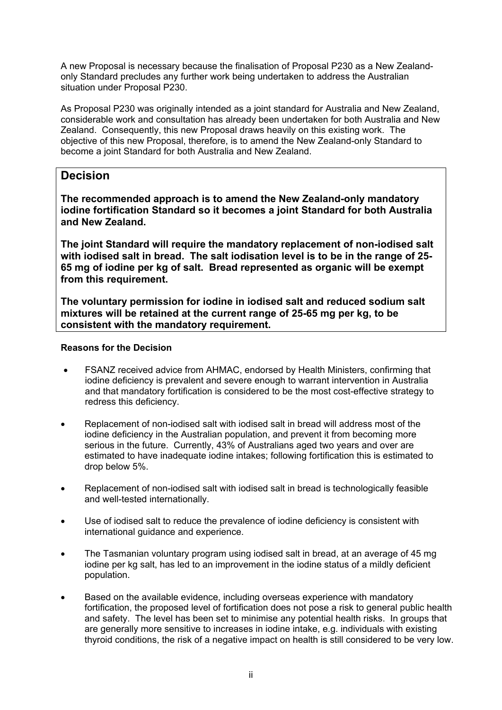A new Proposal is necessary because the finalisation of Proposal P230 as a New Zealandonly Standard precludes any further work being undertaken to address the Australian situation under Proposal P230.

As Proposal P230 was originally intended as a joint standard for Australia and New Zealand, considerable work and consultation has already been undertaken for both Australia and New Zealand. Consequently, this new Proposal draws heavily on this existing work. The objective of this new Proposal, therefore, is to amend the New Zealand-only Standard to become a joint Standard for both Australia and New Zealand.

# **Decision**

**The recommended approach is to amend the New Zealand-only mandatory iodine fortification Standard so it becomes a joint Standard for both Australia and New Zealand.** 

**The joint Standard will require the mandatory replacement of non-iodised salt with iodised salt in bread. The salt iodisation level is to be in the range of 25- 65 mg of iodine per kg of salt. Bread represented as organic will be exempt from this requirement.** 

**The voluntary permission for iodine in iodised salt and reduced sodium salt mixtures will be retained at the current range of 25-65 mg per kg, to be consistent with the mandatory requirement.** 

## **Reasons for the Decision**

- FSANZ received advice from AHMAC, endorsed by Health Ministers, confirming that iodine deficiency is prevalent and severe enough to warrant intervention in Australia and that mandatory fortification is considered to be the most cost-effective strategy to redress this deficiency.
- Replacement of non-iodised salt with iodised salt in bread will address most of the iodine deficiency in the Australian population, and prevent it from becoming more serious in the future. Currently, 43% of Australians aged two years and over are estimated to have inadequate iodine intakes; following fortification this is estimated to drop below 5%.
- Replacement of non-iodised salt with iodised salt in bread is technologically feasible and well-tested internationally.
- Use of iodised salt to reduce the prevalence of iodine deficiency is consistent with international guidance and experience.
- The Tasmanian voluntary program using iodised salt in bread, at an average of 45 mg iodine per kg salt, has led to an improvement in the iodine status of a mildly deficient population.
- Based on the available evidence, including overseas experience with mandatory fortification, the proposed level of fortification does not pose a risk to general public health and safety. The level has been set to minimise any potential health risks. In groups that are generally more sensitive to increases in iodine intake, e.g. individuals with existing thyroid conditions, the risk of a negative impact on health is still considered to be very low.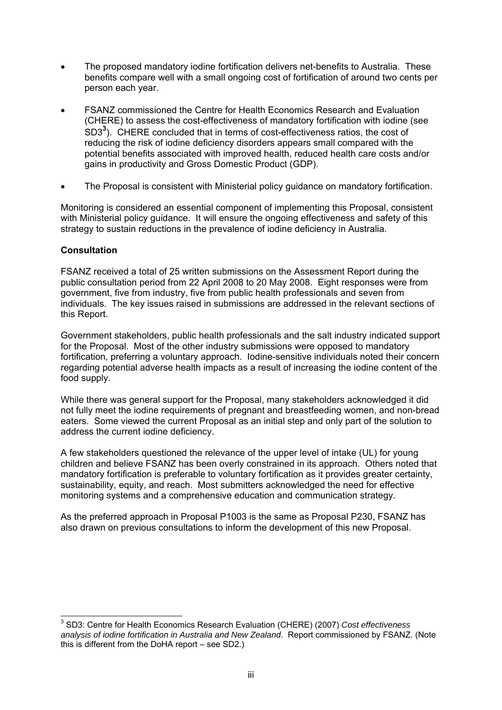- The proposed mandatory iodine fortification delivers net-benefits to Australia. These benefits compare well with a small ongoing cost of fortification of around two cents per person each year.
- FSANZ commissioned the Centre for Health Economics Research and Evaluation (CHERE) to assess the cost-effectiveness of mandatory fortification with iodine (see SD3**<sup>3</sup>** ). CHERE concluded that in terms of cost-effectiveness ratios, the cost of reducing the risk of iodine deficiency disorders appears small compared with the potential benefits associated with improved health, reduced health care costs and/or gains in productivity and Gross Domestic Product (GDP).
- The Proposal is consistent with Ministerial policy guidance on mandatory fortification.

Monitoring is considered an essential component of implementing this Proposal, consistent with Ministerial policy guidance. It will ensure the ongoing effectiveness and safety of this strategy to sustain reductions in the prevalence of iodine deficiency in Australia.

### **Consultation**

1

FSANZ received a total of 25 written submissions on the Assessment Report during the public consultation period from 22 April 2008 to 20 May 2008. Eight responses were from government, five from industry, five from public health professionals and seven from individuals. The key issues raised in submissions are addressed in the relevant sections of this Report.

Government stakeholders, public health professionals and the salt industry indicated support for the Proposal. Most of the other industry submissions were opposed to mandatory fortification, preferring a voluntary approach. Iodine-sensitive individuals noted their concern regarding potential adverse health impacts as a result of increasing the iodine content of the food supply.

While there was general support for the Proposal, many stakeholders acknowledged it did not fully meet the iodine requirements of pregnant and breastfeeding women, and non-bread eaters. Some viewed the current Proposal as an initial step and only part of the solution to address the current iodine deficiency.

A few stakeholders questioned the relevance of the upper level of intake (UL) for young children and believe FSANZ has been overly constrained in its approach. Others noted that mandatory fortification is preferable to voluntary fortification as it provides greater certainty, sustainability, equity, and reach. Most submitters acknowledged the need for effective monitoring systems and a comprehensive education and communication strategy.

As the preferred approach in Proposal P1003 is the same as Proposal P230, FSANZ has also drawn on previous consultations to inform the development of this new Proposal.

<sup>3</sup> SD3: Centre for Health Economics Research Evaluation (CHERE) (2007) *Cost effectiveness analysis of iodine fortification in Australia and New Zealand*. Report commissioned by FSANZ. (Note this is different from the DoHA report – see SD2.)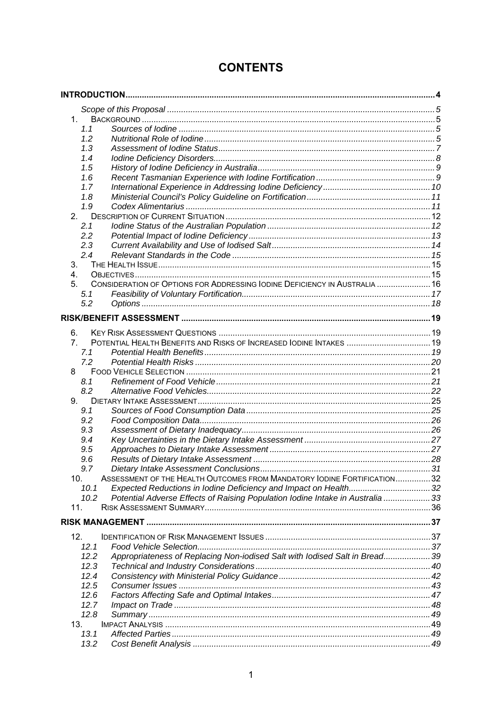| 1.               |                 |                                                                               |  |
|------------------|-----------------|-------------------------------------------------------------------------------|--|
|                  | 1.1             |                                                                               |  |
|                  | 1.2             |                                                                               |  |
|                  | 1.3             |                                                                               |  |
|                  | 1.4             |                                                                               |  |
|                  | 1.5             |                                                                               |  |
|                  | 1.6             |                                                                               |  |
|                  | 1.7             |                                                                               |  |
|                  | 1.8             |                                                                               |  |
|                  | 1.9             |                                                                               |  |
|                  | 2.              |                                                                               |  |
|                  | 2.1             |                                                                               |  |
|                  | 2.2             |                                                                               |  |
|                  | 2.3             |                                                                               |  |
|                  | 2.4             |                                                                               |  |
| 3.               |                 |                                                                               |  |
| 4.               |                 |                                                                               |  |
| 5.               |                 | CONSIDERATION OF OPTIONS FOR ADDRESSING IODINE DEFICIENCY IN AUSTRALIA  16    |  |
|                  | 5.1             |                                                                               |  |
|                  | 5.2             |                                                                               |  |
|                  |                 |                                                                               |  |
|                  |                 |                                                                               |  |
| 6.               |                 |                                                                               |  |
| $\overline{7}$ . |                 | POTENTIAL HEALTH BENEFITS AND RISKS OF INCREASED IODINE INTAKES  19           |  |
|                  | 7.1             |                                                                               |  |
|                  | 7.2             |                                                                               |  |
| 8                |                 |                                                                               |  |
|                  | 8.1             |                                                                               |  |
|                  | 8.2             |                                                                               |  |
|                  | 9.              |                                                                               |  |
|                  | 9.1             |                                                                               |  |
|                  | 9.2             |                                                                               |  |
|                  | 9.3             |                                                                               |  |
|                  | 9.4             |                                                                               |  |
|                  | 9.5             |                                                                               |  |
|                  | 9.6             |                                                                               |  |
|                  | 97              |                                                                               |  |
|                  | 10 <sub>1</sub> | ASSESSMENT OF THE HEALTH OUTCOMES FROM MANDATORY IODINE FORTIFICATION32       |  |
|                  | 10.1            | Expected Reductions in Iodine Deficiency and Impact on Health32               |  |
|                  | 10.2            | Potential Adverse Effects of Raising Population Iodine Intake in Australia 33 |  |
|                  | 11.             |                                                                               |  |
|                  |                 |                                                                               |  |
|                  |                 |                                                                               |  |
|                  | 12.             |                                                                               |  |
|                  | 12.1            |                                                                               |  |
|                  | 12.2            | Appropriateness of Replacing Non-iodised Salt with lodised Salt in Bread39    |  |
|                  | 12.3            |                                                                               |  |
|                  | 12.4            |                                                                               |  |
|                  | 12.5            |                                                                               |  |
|                  | 12.6            |                                                                               |  |
|                  | 12.7            |                                                                               |  |
|                  | 12.8            |                                                                               |  |
|                  | 13.             |                                                                               |  |
|                  | 13.1<br>13.2    |                                                                               |  |
|                  |                 |                                                                               |  |

# **CONTENTS**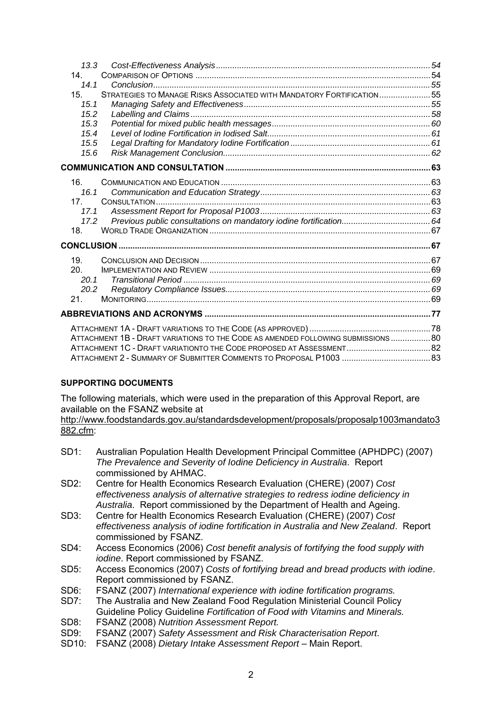| 13.3<br>14<br>14.1<br>STRATEGIES TO MANAGE RISKS ASSOCIATED WITH MANDATORY FORTIFICATION 55<br>15 <sub>1</sub><br>15.1                                   |  |
|----------------------------------------------------------------------------------------------------------------------------------------------------------|--|
| 15.2<br>15.3<br>15.4<br>15.5<br>15.6                                                                                                                     |  |
| 16.<br>16.1<br>17<br>17.1                                                                                                                                |  |
| 17.2<br>18.<br>19 <sub>1</sub>                                                                                                                           |  |
| 20.<br>201<br>20.2<br>21.                                                                                                                                |  |
|                                                                                                                                                          |  |
| ATTACHMENT 1B - DRAFT VARIATIONS TO THE CODE AS AMENDED FOLLOWING SUBMISSIONS 80<br>ATTACHMENT 1C - DRAFT VARIATIONTO THE CODE PROPOSED AT ASSESSMENT 82 |  |

### **SUPPORTING DOCUMENTS**

The following materials, which were used in the preparation of this Approval Report, are available on the FSANZ website at

http://www.foodstandards.gov.au/standardsdevelopment/proposals/proposalp1003mandato3 882.cfm:

- SD1: Australian Population Health Development Principal Committee (APHDPC) (2007) *The Prevalence and Severity of Iodine Deficiency in Australia*. Report commissioned by AHMAC.
- SD2: Centre for Health Economics Research Evaluation (CHERE) (2007) *Cost effectiveness analysis of alternative strategies to redress iodine deficiency in Australia*. Report commissioned by the Department of Health and Ageing.
- SD3: Centre for Health Economics Research Evaluation (CHERE) (2007) *Cost effectiveness analysis of iodine fortification in Australia and New Zealand*. Report commissioned by FSANZ.
- SD4: Access Economics (2006) *Cost benefit analysis of fortifying the food supply with iodine*. Report commissioned by FSANZ.
- SD5: Access Economics (2007) *Costs of fortifying bread and bread products with iodine*. Report commissioned by FSANZ.
- SD6: FSANZ (2007) *International experience with iodine fortification programs.*
- SD7: The Australia and New Zealand Food Regulation Ministerial Council Policy Guideline Policy Guideline *Fortification of Food with Vitamins and Minerals.*
- SD8: FSANZ (2008) *Nutrition Assessment Report.*
- SD9: FSANZ (2007) *Safety Assessment and Risk Characterisation Report*.
- SD10: FSANZ (2008) *Dietary Intake Assessment Report* Main Report.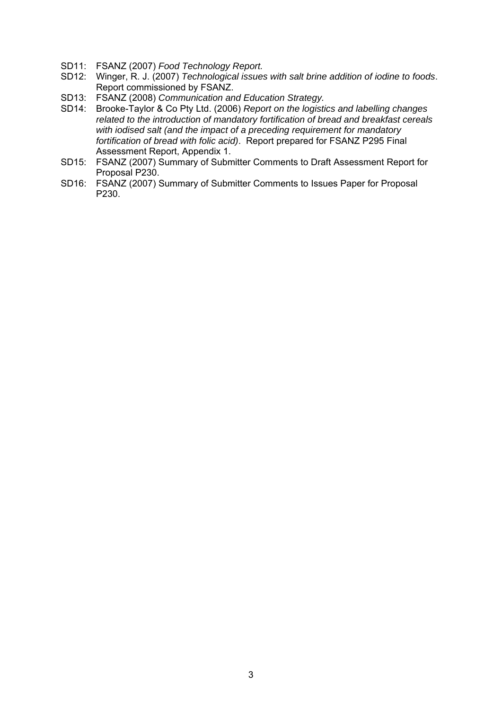- SD11: FSANZ (2007) *Food Technology Report.*
- SD12: Winger, R. J. (2007) *Technological issues with salt brine addition of iodine to foods*. Report commissioned by FSANZ.
- SD13: FSANZ (2008) *Communication and Education Strategy.*
- SD14: Brooke-Taylor & Co Pty Ltd. (2006) *Report on the logistics and labelling changes related to the introduction of mandatory fortification of bread and breakfast cereals with iodised salt (and the impact of a preceding requirement for mandatory fortification of bread with folic acid)*. Report prepared for FSANZ P295 Final Assessment Report, Appendix 1.
- SD15: FSANZ (2007) Summary of Submitter Comments to Draft Assessment Report for Proposal P230.
- SD16: FSANZ (2007) Summary of Submitter Comments to Issues Paper for Proposal P230.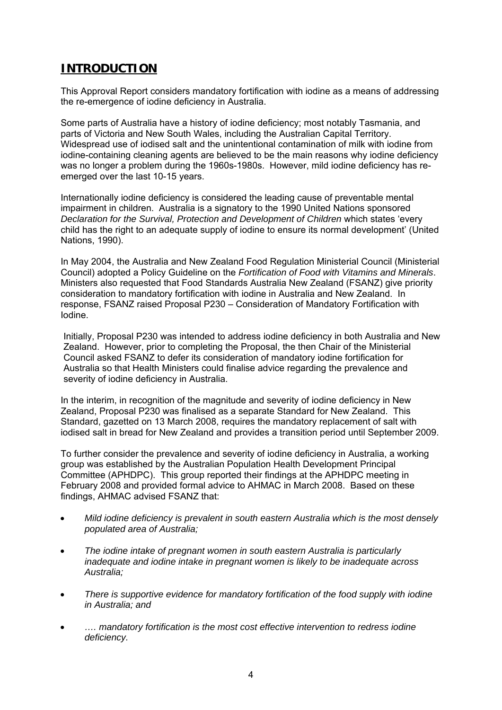# **INTRODUCTION**

This Approval Report considers mandatory fortification with iodine as a means of addressing the re-emergence of iodine deficiency in Australia.

Some parts of Australia have a history of iodine deficiency; most notably Tasmania, and parts of Victoria and New South Wales, including the Australian Capital Territory. Widespread use of iodised salt and the unintentional contamination of milk with iodine from iodine-containing cleaning agents are believed to be the main reasons why iodine deficiency was no longer a problem during the 1960s-1980s. However, mild iodine deficiency has reemerged over the last 10-15 years.

Internationally iodine deficiency is considered the leading cause of preventable mental impairment in children. Australia is a signatory to the 1990 United Nations sponsored *Declaration for the Survival, Protection and Development of Children* which states 'every child has the right to an adequate supply of iodine to ensure its normal development' (United Nations, 1990).

In May 2004, the Australia and New Zealand Food Regulation Ministerial Council (Ministerial Council) adopted a Policy Guideline on the *Fortification of Food with Vitamins and Minerals*. Ministers also requested that Food Standards Australia New Zealand (FSANZ) give priority consideration to mandatory fortification with iodine in Australia and New Zealand. In response, FSANZ raised Proposal P230 – Consideration of Mandatory Fortification with Iodine.

Initially, Proposal P230 was intended to address iodine deficiency in both Australia and New Zealand. However, prior to completing the Proposal, the then Chair of the Ministerial Council asked FSANZ to defer its consideration of mandatory iodine fortification for Australia so that Health Ministers could finalise advice regarding the prevalence and severity of iodine deficiency in Australia.

In the interim, in recognition of the magnitude and severity of iodine deficiency in New Zealand, Proposal P230 was finalised as a separate Standard for New Zealand. This Standard, gazetted on 13 March 2008, requires the mandatory replacement of salt with iodised salt in bread for New Zealand and provides a transition period until September 2009.

To further consider the prevalence and severity of iodine deficiency in Australia, a working group was established by the Australian Population Health Development Principal Committee (APHDPC). This group reported their findings at the APHDPC meeting in February 2008 and provided formal advice to AHMAC in March 2008. Based on these findings, AHMAC advised FSANZ that:

- *Mild iodine deficiency is prevalent in south eastern Australia which is the most densely populated area of Australia;*
- *The iodine intake of pregnant women in south eastern Australia is particularly inadequate and iodine intake in pregnant women is likely to be inadequate across Australia;*
- *There is supportive evidence for mandatory fortification of the food supply with iodine in Australia; and*
- *…. mandatory fortification is the most cost effective intervention to redress iodine deficiency.*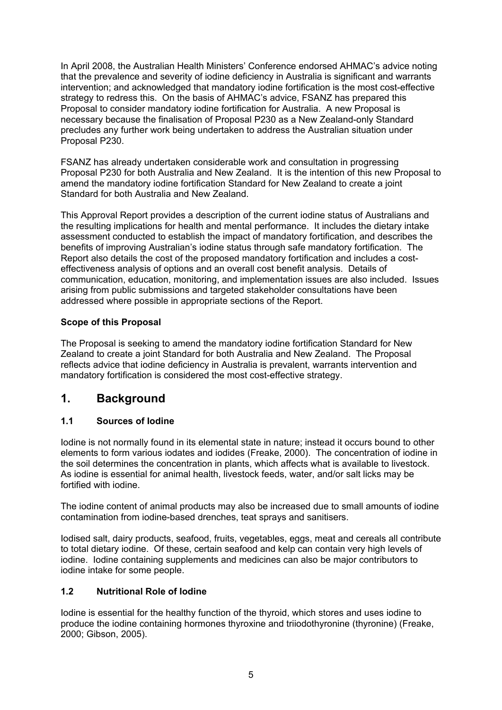In April 2008, the Australian Health Ministers' Conference endorsed AHMAC's advice noting that the prevalence and severity of iodine deficiency in Australia is significant and warrants intervention; and acknowledged that mandatory iodine fortification is the most cost-effective strategy to redress this. On the basis of AHMAC's advice, FSANZ has prepared this Proposal to consider mandatory iodine fortification for Australia. A new Proposal is necessary because the finalisation of Proposal P230 as a New Zealand-only Standard precludes any further work being undertaken to address the Australian situation under Proposal P230.

FSANZ has already undertaken considerable work and consultation in progressing Proposal P230 for both Australia and New Zealand. It is the intention of this new Proposal to amend the mandatory iodine fortification Standard for New Zealand to create a joint Standard for both Australia and New Zealand.

This Approval Report provides a description of the current iodine status of Australians and the resulting implications for health and mental performance. It includes the dietary intake assessment conducted to establish the impact of mandatory fortification, and describes the benefits of improving Australian's iodine status through safe mandatory fortification. The Report also details the cost of the proposed mandatory fortification and includes a costeffectiveness analysis of options and an overall cost benefit analysis. Details of communication, education, monitoring, and implementation issues are also included. Issues arising from public submissions and targeted stakeholder consultations have been addressed where possible in appropriate sections of the Report.

### **Scope of this Proposal**

The Proposal is seeking to amend the mandatory iodine fortification Standard for New Zealand to create a joint Standard for both Australia and New Zealand. The Proposal reflects advice that iodine deficiency in Australia is prevalent, warrants intervention and mandatory fortification is considered the most cost-effective strategy.

# **1. Background**

## **1.1 Sources of Iodine**

Iodine is not normally found in its elemental state in nature; instead it occurs bound to other elements to form various iodates and iodides (Freake, 2000). The concentration of iodine in the soil determines the concentration in plants, which affects what is available to livestock. As iodine is essential for animal health, livestock feeds, water, and/or salt licks may be fortified with iodine.

The iodine content of animal products may also be increased due to small amounts of iodine contamination from iodine-based drenches, teat sprays and sanitisers.

Iodised salt, dairy products, seafood, fruits, vegetables, eggs, meat and cereals all contribute to total dietary iodine. Of these, certain seafood and kelp can contain very high levels of iodine. Iodine containing supplements and medicines can also be major contributors to iodine intake for some people.

### **1.2 Nutritional Role of Iodine**

Iodine is essential for the healthy function of the thyroid, which stores and uses iodine to produce the iodine containing hormones thyroxine and triiodothyronine (thyronine) (Freake, 2000; Gibson, 2005).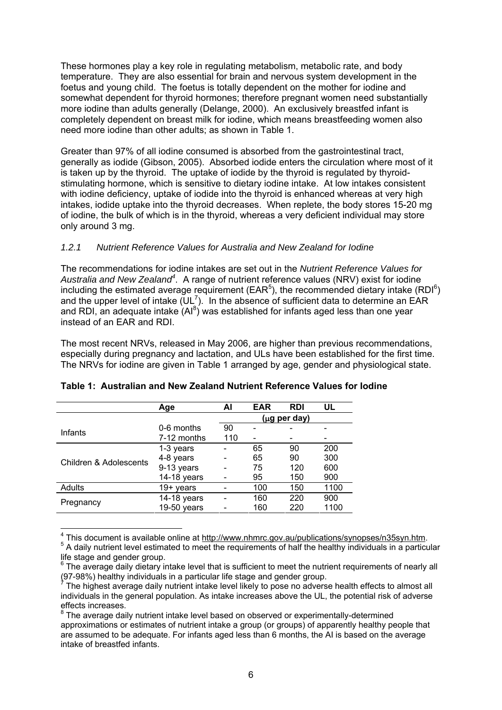These hormones play a key role in regulating metabolism, metabolic rate, and body temperature. They are also essential for brain and nervous system development in the foetus and young child. The foetus is totally dependent on the mother for iodine and somewhat dependent for thyroid hormones; therefore pregnant women need substantially more iodine than adults generally (Delange, 2000). An exclusively breastfed infant is completely dependent on breast milk for iodine, which means breastfeeding women also need more iodine than other adults; as shown in Table 1.

Greater than 97% of all iodine consumed is absorbed from the gastrointestinal tract, generally as iodide (Gibson, 2005). Absorbed iodide enters the circulation where most of it is taken up by the thyroid. The uptake of iodide by the thyroid is regulated by thyroidstimulating hormone, which is sensitive to dietary iodine intake. At low intakes consistent with iodine deficiency, uptake of iodide into the thyroid is enhanced whereas at very high intakes, iodide uptake into the thyroid decreases. When replete, the body stores 15-20 mg of iodine, the bulk of which is in the thyroid, whereas a very deficient individual may store only around 3 mg.

### *1.2.1 Nutrient Reference Values for Australia and New Zealand for Iodine*

The recommendations for iodine intakes are set out in the *Nutrient Reference Values for*  Australia and New Zealand<sup>4</sup>. A range of nutrient reference values (NRV) exist for iodine including the estimated average requirement ( $EAR<sup>5</sup>$ ), the recommended dietary intake (RDI $<sup>6</sup>$ )</sup> and the upper level of intake  $(UL^7)$ . In the absence of sufficient data to determine an EAR and RDI, an adequate intake  $(A^8)$  was established for infants aged less than one year instead of an EAR and RDI.

The most recent NRVs, released in May 2006, are higher than previous recommendations, especially during pregnancy and lactation, and ULs have been established for the first time. The NRVs for iodine are given in Table 1 arranged by age, gender and physiological state.

|                        | Age           | Al  | <b>EAR</b> | <b>RDI</b>        | UL   |
|------------------------|---------------|-----|------------|-------------------|------|
|                        |               |     |            | $(\mu g$ per day) |      |
| Infants                | 0-6 months    | 90  |            |                   |      |
|                        | 7-12 months   | 110 |            |                   |      |
|                        | 1-3 years     |     | 65         | 90                | 200  |
| Children & Adolescents | 4-8 years     |     | 65         | 90                | 300  |
|                        | 9-13 years    |     | 75         | 120               | 600  |
|                        | 14-18 years   |     | 95         | 150               | 900  |
| Adults                 | $19+$ years   |     | 100        | 150               | 1100 |
|                        | 14-18 years   |     | 160        | 220               | 900  |
| Pregnancy              | $19-50$ years |     | 160        | 220               | 1100 |

### **Table 1: Australian and New Zealand Nutrient Reference Values for Iodine**

This document is available online at http://www.nhmrc.gov.au/publications/synopses/n35syn.html<br>
<sup>5</sup> A deily puttient lovel estimated to meet the requirements of helf the healthy individuals in a portion

<sup>&</sup>lt;sup>5</sup> A daily nutrient level estimated to meet the requirements of half the healthy individuals in a particular life stage and gender group.

<sup>&</sup>lt;sup>6</sup> The average daily dietary intake level that is sufficient to meet the nutrient requirements of nearly all (97-98%) healthy individuals in a particular life stage and gender group. 7

The highest average daily nutrient intake level likely to pose no adverse health effects to almost all individuals in the general population. As intake increases above the UL, the potential risk of adverse effects increases.

 $8$  The average daily nutrient intake level based on observed or experimentally-determined approximations or estimates of nutrient intake a group (or groups) of apparently healthy people that are assumed to be adequate. For infants aged less than 6 months, the AI is based on the average intake of breastfed infants.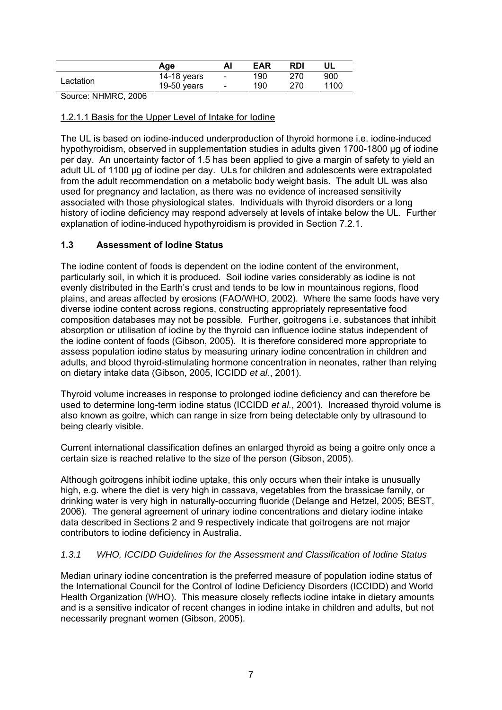|           | Age           |                          | <b>EAR</b> | RDI |      |
|-----------|---------------|--------------------------|------------|-----|------|
| Lactation | 14-18 years   | $\overline{\phantom{a}}$ | 190        | 270 | 900  |
|           | $19-50$ years | $\overline{\phantom{a}}$ | 190        | 270 | 1100 |

Source: NHMRC, 2006

#### 1.2.1.1 Basis for the Upper Level of Intake for Iodine

The UL is based on iodine-induced underproduction of thyroid hormone i.e. iodine-induced hypothyroidism, observed in supplementation studies in adults given 1700-1800 μg of iodine per day. An uncertainty factor of 1.5 has been applied to give a margin of safety to yield an adult UL of 1100 μg of iodine per day. ULs for children and adolescents were extrapolated from the adult recommendation on a metabolic body weight basis. The adult UL was also used for pregnancy and lactation, as there was no evidence of increased sensitivity associated with those physiological states. Individuals with thyroid disorders or a long history of iodine deficiency may respond adversely at levels of intake below the UL. Further explanation of iodine-induced hypothyroidism is provided in Section 7.2.1.

### **1.3 Assessment of Iodine Status**

The iodine content of foods is dependent on the iodine content of the environment, particularly soil, in which it is produced. Soil iodine varies considerably as iodine is not evenly distributed in the Earth's crust and tends to be low in mountainous regions, flood plains, and areas affected by erosions (FAO/WHO, 2002). Where the same foods have very diverse iodine content across regions, constructing appropriately representative food composition databases may not be possible. Further, goitrogens i.e. substances that inhibit absorption or utilisation of iodine by the thyroid can influence iodine status independent of the iodine content of foods (Gibson, 2005). It is therefore considered more appropriate to assess population iodine status by measuring urinary iodine concentration in children and adults, and blood thyroid-stimulating hormone concentration in neonates, rather than relying on dietary intake data (Gibson, 2005, ICCIDD *et al.*, 2001).

Thyroid volume increases in response to prolonged iodine deficiency and can therefore be used to determine long-term iodine status (ICCIDD *et al.*, 2001). Increased thyroid volume is also known as goitre, which can range in size from being detectable only by ultrasound to being clearly visible.

Current international classification defines an enlarged thyroid as being a goitre only once a certain size is reached relative to the size of the person (Gibson, 2005).

Although goitrogens inhibit iodine uptake, this only occurs when their intake is unusually high, e.g. where the diet is very high in cassava, vegetables from the brassicae family, or drinking water is very high in naturally-occurring fluoride (Delange and Hetzel, 2005; BEST, 2006). The general agreement of urinary iodine concentrations and dietary iodine intake data described in Sections 2 and 9 respectively indicate that goitrogens are not major contributors to iodine deficiency in Australia.

### *1.3.1 WHO, ICCIDD Guidelines for the Assessment and Classification of Iodine Status*

Median urinary iodine concentration is the preferred measure of population iodine status of the International Council for the Control of Iodine Deficiency Disorders (ICCIDD) and World Health Organization (WHO). This measure closely reflects iodine intake in dietary amounts and is a sensitive indicator of recent changes in iodine intake in children and adults, but not necessarily pregnant women (Gibson, 2005).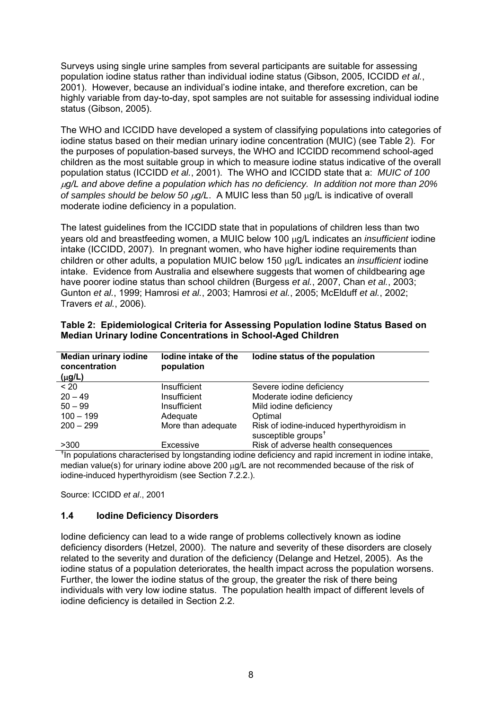Surveys using single urine samples from several participants are suitable for assessing population iodine status rather than individual iodine status (Gibson, 2005, ICCIDD *et al.*, 2001). However, because an individual's iodine intake, and therefore excretion, can be highly variable from day-to-day, spot samples are not suitable for assessing individual iodine status (Gibson, 2005).

The WHO and ICCIDD have developed a system of classifying populations into categories of iodine status based on their median urinary iodine concentration (MUIC) (see Table 2). For the purposes of population-based surveys, the WHO and ICCIDD recommend school-aged children as the most suitable group in which to measure iodine status indicative of the overall population status (ICCIDD *et al.*, 2001). The WHO and ICCIDD state that a: *MUIC of 100*  <sup>μ</sup>*g/L and above define a population which has no deficiency. In addition not more than 20% of samples should be below 50* μ*g/L*. A MUIC less than 50 μg/L is indicative of overall moderate iodine deficiency in a population.

The latest guidelines from the ICCIDD state that in populations of children less than two years old and breastfeeding women, a MUIC below 100 μg/L indicates an *insufficient* iodine intake (ICCIDD, 2007). In pregnant women, who have higher iodine requirements than children or other adults, a population MUIC below 150 μg/L indicates an *insufficient* iodine intake. Evidence from Australia and elsewhere suggests that women of childbearing age have poorer iodine status than school children (Burgess *et al.*, 2007, Chan *et al.*, 2003; Gunton *et al.*, 1999; Hamrosi *et al.*, 2003; Hamrosi *et al.*, 2005; McElduff *et al.*, 2002; Travers *et al.*, 2006).

| <b>Median urinary iodine</b><br>concentration | lodine intake of the<br>population | lodine status of the population                                                                     |
|-----------------------------------------------|------------------------------------|-----------------------------------------------------------------------------------------------------|
| $(\mu g/L)$                                   |                                    |                                                                                                     |
| ~120                                          | Insufficient                       | Severe iodine deficiency                                                                            |
| $20 - 49$                                     | Insufficient                       | Moderate iodine deficiency                                                                          |
| $50 - 99$                                     | Insufficient                       | Mild iodine deficiency                                                                              |
| $100 - 199$                                   | Adequate                           | Optimal                                                                                             |
| $200 - 299$                                   | More than adequate                 | Risk of iodine-induced hyperthyroidism in                                                           |
|                                               |                                    | susceptible groups <sup>+</sup>                                                                     |
| >300                                          | Excessive                          | Risk of adverse health consequences                                                                 |
|                                               |                                    | th populations characterised by longstanding jodine deficiency and rapid increment in jodine intake |

#### **Table 2: Epidemiological Criteria for Assessing Population Iodine Status Based on Median Urinary Iodine Concentrations in School-Aged Children**

<sup>t</sup>In populations characterised by longstanding iodine deficiency and rapid increment in iodine intake, median value(s) for urinary iodine above 200 μg/L are not recommended because of the risk of iodine-induced hyperthyroidism (see Section 7.2.2.).

Source: ICCIDD *et al*., 2001

#### **1.4 Iodine Deficiency Disorders**

Iodine deficiency can lead to a wide range of problems collectively known as iodine deficiency disorders (Hetzel, 2000). The nature and severity of these disorders are closely related to the severity and duration of the deficiency (Delange and Hetzel, 2005). As the iodine status of a population deteriorates, the health impact across the population worsens. Further, the lower the iodine status of the group, the greater the risk of there being individuals with very low iodine status. The population health impact of different levels of iodine deficiency is detailed in Section 2.2.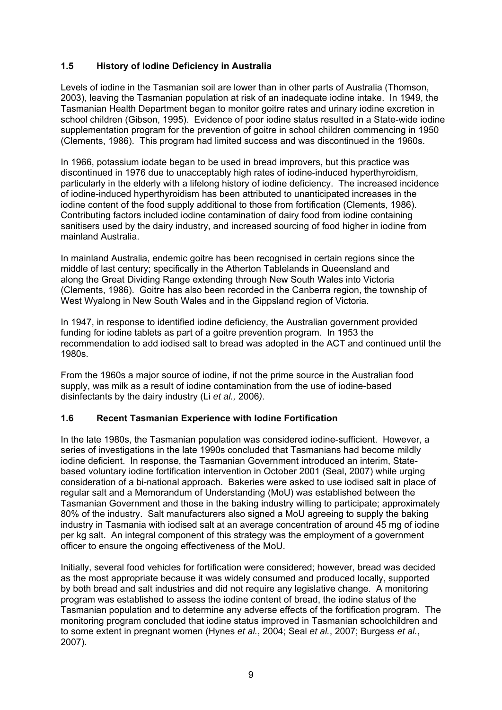## **1.5 History of Iodine Deficiency in Australia**

Levels of iodine in the Tasmanian soil are lower than in other parts of Australia (Thomson, 2003), leaving the Tasmanian population at risk of an inadequate iodine intake. In 1949, the Tasmanian Health Department began to monitor goitre rates and urinary iodine excretion in school children (Gibson, 1995). Evidence of poor iodine status resulted in a State-wide iodine supplementation program for the prevention of goitre in school children commencing in 1950 (Clements, 1986). This program had limited success and was discontinued in the 1960s.

In 1966, potassium iodate began to be used in bread improvers, but this practice was discontinued in 1976 due to unacceptably high rates of iodine-induced hyperthyroidism, particularly in the elderly with a lifelong history of iodine deficiency. The increased incidence of iodine-induced hyperthyroidism has been attributed to unanticipated increases in the iodine content of the food supply additional to those from fortification (Clements, 1986). Contributing factors included iodine contamination of dairy food from iodine containing sanitisers used by the dairy industry, and increased sourcing of food higher in iodine from mainland Australia.

In mainland Australia, endemic goitre has been recognised in certain regions since the middle of last century; specifically in the Atherton Tablelands in Queensland and along the Great Dividing Range extending through New South Wales into Victoria (Clements, 1986). Goitre has also been recorded in the Canberra region, the township of West Wyalong in New South Wales and in the Gippsland region of Victoria.

In 1947, in response to identified iodine deficiency, the Australian government provided funding for iodine tablets as part of a goitre prevention program. In 1953 the recommendation to add iodised salt to bread was adopted in the ACT and continued until the 1980s.

From the 1960s a major source of iodine, if not the prime source in the Australian food supply, was milk as a result of iodine contamination from the use of iodine-based disinfectants by the dairy industry (Li *et al.,* 2006*)*.

### **1.6 Recent Tasmanian Experience with Iodine Fortification**

In the late 1980s, the Tasmanian population was considered iodine-sufficient. However, a series of investigations in the late 1990s concluded that Tasmanians had become mildly iodine deficient. In response, the Tasmanian Government introduced an interim, Statebased voluntary iodine fortification intervention in October 2001 (Seal, 2007) while urging consideration of a bi-national approach. Bakeries were asked to use iodised salt in place of regular salt and a Memorandum of Understanding (MoU) was established between the Tasmanian Government and those in the baking industry willing to participate; approximately 80% of the industry. Salt manufacturers also signed a MoU agreeing to supply the baking industry in Tasmania with iodised salt at an average concentration of around 45 mg of iodine per kg salt. An integral component of this strategy was the employment of a government officer to ensure the ongoing effectiveness of the MoU.

Initially, several food vehicles for fortification were considered; however, bread was decided as the most appropriate because it was widely consumed and produced locally, supported by both bread and salt industries and did not require any legislative change. A monitoring program was established to assess the iodine content of bread, the iodine status of the Tasmanian population and to determine any adverse effects of the fortification program. The monitoring program concluded that iodine status improved in Tasmanian schoolchildren and to some extent in pregnant women (Hynes *et al.*, 2004; Seal *et al.*, 2007; Burgess *et al.*, 2007).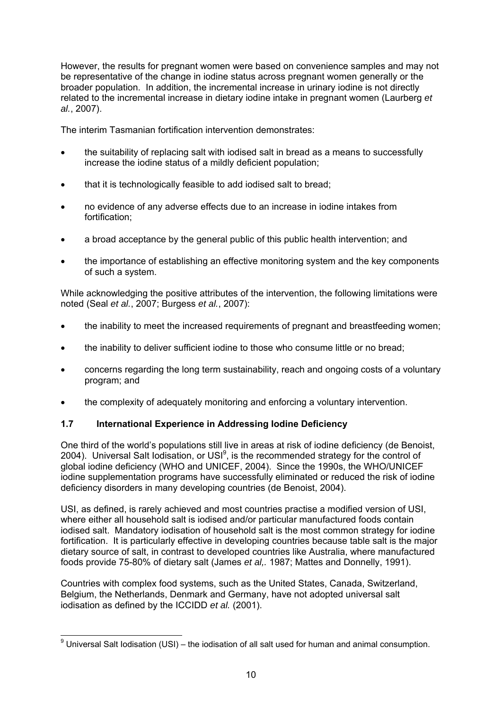However, the results for pregnant women were based on convenience samples and may not be representative of the change in iodine status across pregnant women generally or the broader population. In addition, the incremental increase in urinary iodine is not directly related to the incremental increase in dietary iodine intake in pregnant women (Laurberg *et al.*, 2007).

The interim Tasmanian fortification intervention demonstrates:

- the suitability of replacing salt with iodised salt in bread as a means to successfully increase the iodine status of a mildly deficient population;
- that it is technologically feasible to add iodised salt to bread;
- no evidence of any adverse effects due to an increase in iodine intakes from fortification;
- a broad acceptance by the general public of this public health intervention; and
- the importance of establishing an effective monitoring system and the key components of such a system.

While acknowledging the positive attributes of the intervention, the following limitations were noted (Seal *et al.*, 2007; Burgess *et al.*, 2007):

- the inability to meet the increased requirements of pregnant and breastfeeding women;
- the inability to deliver sufficient iodine to those who consume little or no bread;
- concerns regarding the long term sustainability, reach and ongoing costs of a voluntary program; and
- the complexity of adequately monitoring and enforcing a voluntary intervention.

## **1.7 International Experience in Addressing Iodine Deficiency**

One third of the world's populations still live in areas at risk of iodine deficiency (de Benoist, 2004). Universal Salt Iodisation, or USI $<sup>9</sup>$ , is the recommended strategy for the control of</sup> global iodine deficiency (WHO and UNICEF, 2004). Since the 1990s, the WHO/UNICEF iodine supplementation programs have successfully eliminated or reduced the risk of iodine deficiency disorders in many developing countries (de Benoist, 2004).

USI, as defined, is rarely achieved and most countries practise a modified version of USI, where either all household salt is iodised and/or particular manufactured foods contain iodised salt. Mandatory iodisation of household salt is the most common strategy for iodine fortification. It is particularly effective in developing countries because table salt is the major dietary source of salt, in contrast to developed countries like Australia, where manufactured foods provide 75-80% of dietary salt (James *et al,.* 1987; Mattes and Donnelly, 1991).

Countries with complex food systems, such as the United States, Canada, Switzerland, Belgium, the Netherlands, Denmark and Germany, have not adopted universal salt iodisation as defined by the ICCIDD *et al.* (2001).

 9 Universal Salt Iodisation (USI) – the iodisation of all salt used for human and animal consumption.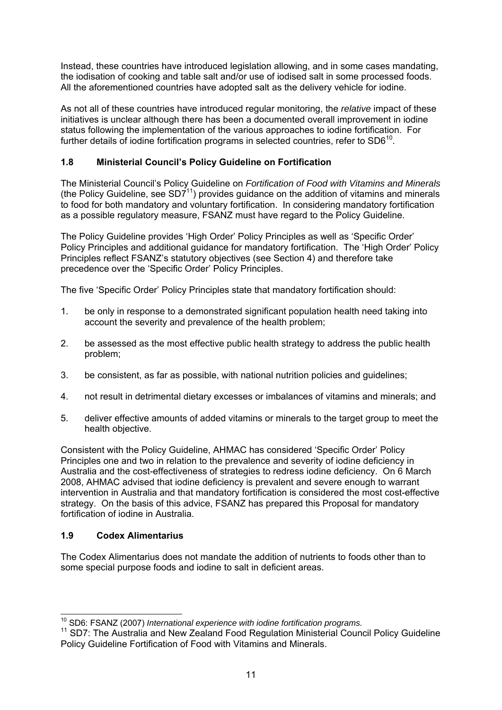Instead, these countries have introduced legislation allowing, and in some cases mandating, the iodisation of cooking and table salt and/or use of iodised salt in some processed foods. All the aforementioned countries have adopted salt as the delivery vehicle for iodine.

As not all of these countries have introduced regular monitoring, the *relative* impact of these initiatives is unclear although there has been a documented overall improvement in iodine status following the implementation of the various approaches to iodine fortification. For further details of iodine fortification programs in selected countries, refer to SD6<sup>10</sup>.

### **1.8 Ministerial Council's Policy Guideline on Fortification**

The Ministerial Council's Policy Guideline on *Fortification of Food with Vitamins and Minerals*  (the Policy Guideline, see SD7<sup>11</sup>) provides guidance on the addition of vitamins and minerals to food for both mandatory and voluntary fortification. In considering mandatory fortification as a possible regulatory measure, FSANZ must have regard to the Policy Guideline.

The Policy Guideline provides 'High Order' Policy Principles as well as 'Specific Order' Policy Principles and additional guidance for mandatory fortification. The 'High Order' Policy Principles reflect FSANZ's statutory objectives (see Section 4) and therefore take precedence over the 'Specific Order' Policy Principles.

The five 'Specific Order' Policy Principles state that mandatory fortification should:

- 1. be only in response to a demonstrated significant population health need taking into account the severity and prevalence of the health problem;
- 2. be assessed as the most effective public health strategy to address the public health problem;
- 3. be consistent, as far as possible, with national nutrition policies and guidelines;
- 4. not result in detrimental dietary excesses or imbalances of vitamins and minerals; and
- 5. deliver effective amounts of added vitamins or minerals to the target group to meet the health objective.

Consistent with the Policy Guideline, AHMAC has considered 'Specific Order' Policy Principles one and two in relation to the prevalence and severity of iodine deficiency in Australia and the cost-effectiveness of strategies to redress iodine deficiency. On 6 March 2008, AHMAC advised that iodine deficiency is prevalent and severe enough to warrant intervention in Australia and that mandatory fortification is considered the most cost-effective strategy. On the basis of this advice, FSANZ has prepared this Proposal for mandatory fortification of iodine in Australia.

### **1.9 Codex Alimentarius**

The Codex Alimentarius does not mandate the addition of nutrients to foods other than to some special purpose foods and iodine to salt in deficient areas.

<sup>1</sup> <sup>10</sup> SD6: FSANZ (2007) International experience with iodine fortification programs.

<sup>&</sup>lt;sup>11</sup> SD7: The Australia and New Zealand Food Regulation Ministerial Council Policy Guideline Policy Guideline Fortification of Food with Vitamins and Minerals.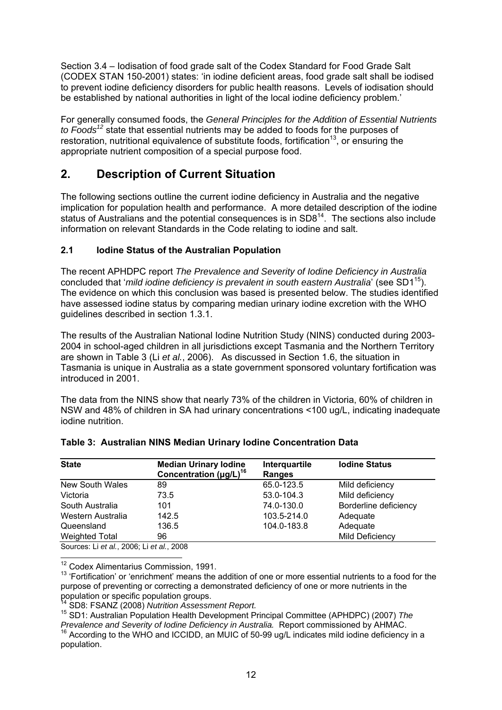Section 3.4 – Iodisation of food grade salt of the Codex Standard for Food Grade Salt (CODEX STAN 150-2001) states: 'in iodine deficient areas, food grade salt shall be iodised to prevent iodine deficiency disorders for public health reasons. Levels of iodisation should be established by national authorities in light of the local iodine deficiency problem.'

For generally consumed foods, the *General Principles for the Addition of Essential Nutrients to Foods12* state that essential nutrients may be added to foods for the purposes of restoration, nutritional equivalence of substitute foods, fortification<sup>13</sup>, or ensuring the appropriate nutrient composition of a special purpose food.

# **2. Description of Current Situation**

The following sections outline the current iodine deficiency in Australia and the negative implication for population health and performance. A more detailed description of the iodine status of Australians and the potential consequences is in SD8<sup>14</sup>. The sections also include information on relevant Standards in the Code relating to iodine and salt.

## **2.1 Iodine Status of the Australian Population**

The recent APHDPC report *The Prevalence and Severity of Iodine Deficiency in Australia* concluded that '*mild iodine deficiency is prevalent in south eastern Australia*' (see SD115). The evidence on which this conclusion was based is presented below. The studies identified have assessed iodine status by comparing median urinary iodine excretion with the WHO guidelines described in section 1.3.1.

The results of the Australian National Iodine Nutrition Study (NINS) conducted during 2003- 2004 in school-aged children in all jurisdictions except Tasmania and the Northern Territory are shown in Table 3 (Li *et al.*, 2006). As discussed in Section 1.6, the situation in Tasmania is unique in Australia as a state government sponsored voluntary fortification was introduced in 2001.

The data from the NINS show that nearly 73% of the children in Victoria, 60% of children in NSW and 48% of children in SA had urinary concentrations <100 ug/L, indicating inadequate iodine nutrition.

| <b>State</b>          | <b>Median Urinary lodine</b>                      | Interquartile | <b>Iodine Status</b>  |
|-----------------------|---------------------------------------------------|---------------|-----------------------|
|                       | Concentration (µg/L) <sup>16</sup>                | <b>Ranges</b> |                       |
| New South Wales       | 89                                                | 65.0-123.5    | Mild deficiency       |
| Victoria              | 73.5                                              | 53.0-104.3    | Mild deficiency       |
| South Australia       | 101                                               | 74.0-130.0    | Borderline deficiency |
| Western Australia     | 142.5                                             | 103.5-214.0   | Adequate              |
| Queensland            | 136.5                                             | 104.0-183.8   | Adequate              |
| <b>Weighted Total</b> | 96                                                |               | Mild Deficiency       |
|                       | $\mathbf{a}\mathbf{a}\mathbf{a}$<br>$\sim$ $\sim$ |               |                       |

## **Table 3: Australian NINS Median Urinary Iodine Concentration Data**

Sources: Li *et al.*, 2006; Li *et al.*, 2008 1

12 Codex Alimentarius Commission, 1991.

<sup>13</sup> 'Fortification' or 'enrichment' means the addition of one or more essential nutrients to a food for the purpose of preventing or correcting a demonstrated deficiency of one or more nutrients in the population or specific population groups.<br><sup>14</sup> SD8: FSANZ (2008) Nutrition Assessment Report.

<sup>15</sup> SD1: Australian Population Health Development Principal Committee (APHDPC) (2007) *The Prevalence and Severity of Iodine Deficiency in Australia.* Report commissioned by AHMAC.

<sup>16</sup> According to the WHO and ICCIDD, an MUIC of 50-99 ug/L indicates mild iodine deficiency in a population.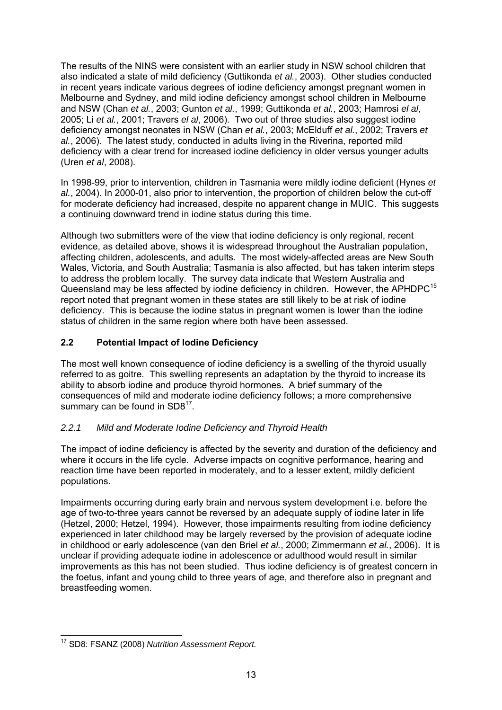The results of the NINS were consistent with an earlier study in NSW school children that also indicated a state of mild deficiency (Guttikonda *et al.*, 2003). Other studies conducted in recent years indicate various degrees of iodine deficiency amongst pregnant women in Melbourne and Sydney, and mild iodine deficiency amongst school children in Melbourne and NSW (Chan *et al.*, 2003; Gunton *et al.*, 1999; Guttikonda *et al.*, 2003; Hamrosi *el al*, 2005; Li *et al.*, 2001; Travers *el al*, 2006). Two out of three studies also suggest iodine deficiency amongst neonates in NSW (Chan *et al.*, 2003; McElduff *et al.*, 2002; Travers *et al.*, 2006). The latest study, conducted in adults living in the Riverina, reported mild deficiency with a clear trend for increased iodine deficiency in older versus younger adults (Uren *et al*, 2008).

In 1998-99, prior to intervention, children in Tasmania were mildly iodine deficient (Hynes *et al.*, 2004). In 2000-01, also prior to intervention, the proportion of children below the cut-off for moderate deficiency had increased, despite no apparent change in MUIC. This suggests a continuing downward trend in iodine status during this time.

Although two submitters were of the view that iodine deficiency is only regional, recent evidence, as detailed above, shows it is widespread throughout the Australian population, affecting children, adolescents, and adults. The most widely-affected areas are New South Wales, Victoria, and South Australia; Tasmania is also affected, but has taken interim steps to address the problem locally. The survey data indicate that Western Australia and Queensland may be less affected by iodine deficiency in children. However, the APHDPC<sup>15</sup> report noted that pregnant women in these states are still likely to be at risk of iodine deficiency. This is because the iodine status in pregnant women is lower than the iodine status of children in the same region where both have been assessed.

# **2.2 Potential Impact of Iodine Deficiency**

The most well known consequence of iodine deficiency is a swelling of the thyroid usually referred to as goitre. This swelling represents an adaptation by the thyroid to increase its ability to absorb iodine and produce thyroid hormones. A brief summary of the consequences of mild and moderate iodine deficiency follows; a more comprehensive summary can be found in SD8<sup>17</sup>.

## *2.2.1 Mild and Moderate Iodine Deficiency and Thyroid Health*

The impact of iodine deficiency is affected by the severity and duration of the deficiency and where it occurs in the life cycle. Adverse impacts on cognitive performance, hearing and reaction time have been reported in moderately, and to a lesser extent, mildly deficient populations.

Impairments occurring during early brain and nervous system development i.e. before the age of two-to-three years cannot be reversed by an adequate supply of iodine later in life (Hetzel, 2000; Hetzel, 1994). However, those impairments resulting from iodine deficiency experienced in later childhood may be largely reversed by the provision of adequate iodine in childhood or early adolescence (van den Briel *et al.*, 2000; Zimmermann *et al.*, 2006). It is unclear if providing adequate iodine in adolescence or adulthood would result in similar improvements as this has not been studied. Thus iodine deficiency is of greatest concern in the foetus, infant and young child to three years of age, and therefore also in pregnant and breastfeeding women.

 $\overline{a}$ 17 SD8: FSANZ (2008) *Nutrition Assessment Report.*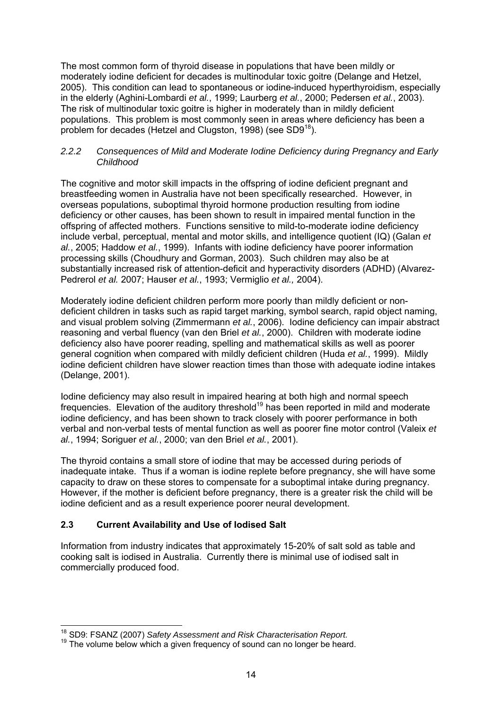The most common form of thyroid disease in populations that have been mildly or moderately iodine deficient for decades is multinodular toxic goitre (Delange and Hetzel, 2005). This condition can lead to spontaneous or iodine-induced hyperthyroidism, especially in the elderly (Aghini-Lombardi *et al.*, 1999; Laurberg *et al.*, 2000; Pedersen *et al.*, 2003). The risk of multinodular toxic goitre is higher in moderately than in mildly deficient populations. This problem is most commonly seen in areas where deficiency has been a problem for decades (Hetzel and Clugston, 1998) (see SD9<sup>18</sup>).

### *2.2.2 Consequences of Mild and Moderate Iodine Deficiency during Pregnancy and Early Childhood*

The cognitive and motor skill impacts in the offspring of iodine deficient pregnant and breastfeeding women in Australia have not been specifically researched. However, in overseas populations, suboptimal thyroid hormone production resulting from iodine deficiency or other causes, has been shown to result in impaired mental function in the offspring of affected mothers. Functions sensitive to mild-to-moderate iodine deficiency include verbal, perceptual, mental and motor skills, and intelligence quotient (IQ) (Galan *et al.*, 2005; Haddow *et al.*, 1999). Infants with iodine deficiency have poorer information processing skills (Choudhury and Gorman, 2003). Such children may also be at substantially increased risk of attention-deficit and hyperactivity disorders (ADHD) (Alvarez-Pedrerol *et al.* 2007; Hauser *et al.*, 1993; Vermiglio *et al.,* 2004).

Moderately iodine deficient children perform more poorly than mildly deficient or nondeficient children in tasks such as rapid target marking, symbol search, rapid object naming, and visual problem solving (Zimmermann *et al.*, 2006). Iodine deficiency can impair abstract reasoning and verbal fluency (van den Briel *et al.*, 2000). Children with moderate iodine deficiency also have poorer reading, spelling and mathematical skills as well as poorer general cognition when compared with mildly deficient children (Huda *et al.*, 1999). Mildly iodine deficient children have slower reaction times than those with adequate iodine intakes (Delange, 2001).

Iodine deficiency may also result in impaired hearing at both high and normal speech frequencies. Elevation of the auditory threshold<sup>19</sup> has been reported in mild and moderate iodine deficiency, and has been shown to track closely with poorer performance in both verbal and non-verbal tests of mental function as well as poorer fine motor control (Valeix *et al.*, 1994; Soriguer *et al.*, 2000; van den Briel *et al.*, 2001).

The thyroid contains a small store of iodine that may be accessed during periods of inadequate intake. Thus if a woman is iodine replete before pregnancy, she will have some capacity to draw on these stores to compensate for a suboptimal intake during pregnancy. However, if the mother is deficient before pregnancy, there is a greater risk the child will be iodine deficient and as a result experience poorer neural development.

## **2.3 Current Availability and Use of Iodised Salt**

Information from industry indicates that approximately 15-20% of salt sold as table and cooking salt is iodised in Australia. Currently there is minimal use of iodised salt in commercially produced food.

<sup>&</sup>lt;sup>18</sup> SD9: FSANZ (2007) Safety Assessment and Risk Characterisation Report.

<sup>&</sup>lt;sup>19</sup> The volume below which a given frequency of sound can no longer be heard.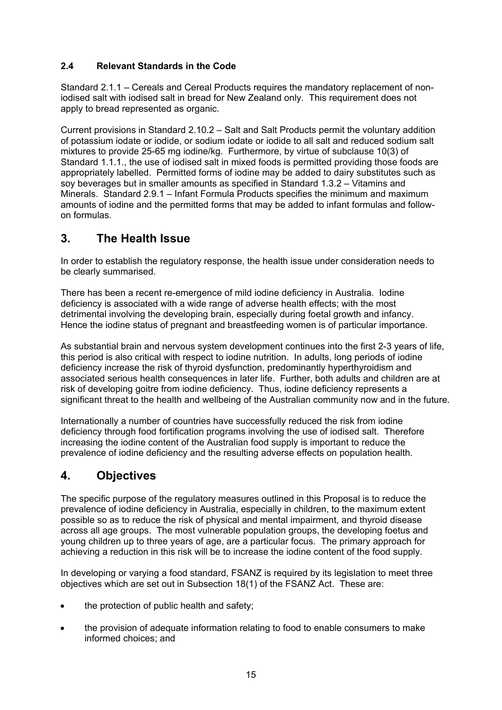# **2.4 Relevant Standards in the Code**

Standard 2.1.1 – Cereals and Cereal Products requires the mandatory replacement of noniodised salt with iodised salt in bread for New Zealand only. This requirement does not apply to bread represented as organic.

Current provisions in Standard 2.10.2 – Salt and Salt Products permit the voluntary addition of potassium iodate or iodide, or sodium iodate or iodide to all salt and reduced sodium salt mixtures to provide 25-65 mg iodine/kg. Furthermore, by virtue of subclause 10(3) of Standard 1.1.1., the use of iodised salt in mixed foods is permitted providing those foods are appropriately labelled. Permitted forms of iodine may be added to dairy substitutes such as soy beverages but in smaller amounts as specified in Standard 1.3.2 – Vitamins and Minerals. Standard 2.9.1 – Infant Formula Products specifies the minimum and maximum amounts of iodine and the permitted forms that may be added to infant formulas and followon formulas.

# **3. The Health Issue**

In order to establish the regulatory response, the health issue under consideration needs to be clearly summarised.

There has been a recent re-emergence of mild iodine deficiency in Australia. Iodine deficiency is associated with a wide range of adverse health effects; with the most detrimental involving the developing brain, especially during foetal growth and infancy. Hence the iodine status of pregnant and breastfeeding women is of particular importance.

As substantial brain and nervous system development continues into the first 2-3 years of life, this period is also critical with respect to iodine nutrition. In adults, long periods of iodine deficiency increase the risk of thyroid dysfunction, predominantly hyperthyroidism and associated serious health consequences in later life. Further, both adults and children are at risk of developing goitre from iodine deficiency. Thus, iodine deficiency represents a significant threat to the health and wellbeing of the Australian community now and in the future.

Internationally a number of countries have successfully reduced the risk from iodine deficiency through food fortification programs involving the use of iodised salt. Therefore increasing the iodine content of the Australian food supply is important to reduce the prevalence of iodine deficiency and the resulting adverse effects on population health.

# **4. Objectives**

The specific purpose of the regulatory measures outlined in this Proposal is to reduce the prevalence of iodine deficiency in Australia, especially in children, to the maximum extent possible so as to reduce the risk of physical and mental impairment, and thyroid disease across all age groups. The most vulnerable population groups, the developing foetus and young children up to three years of age, are a particular focus. The primary approach for achieving a reduction in this risk will be to increase the iodine content of the food supply.

In developing or varying a food standard, FSANZ is required by its legislation to meet three objectives which are set out in Subsection 18(1) of the FSANZ Act. These are:

- the protection of public health and safety:
- the provision of adequate information relating to food to enable consumers to make informed choices; and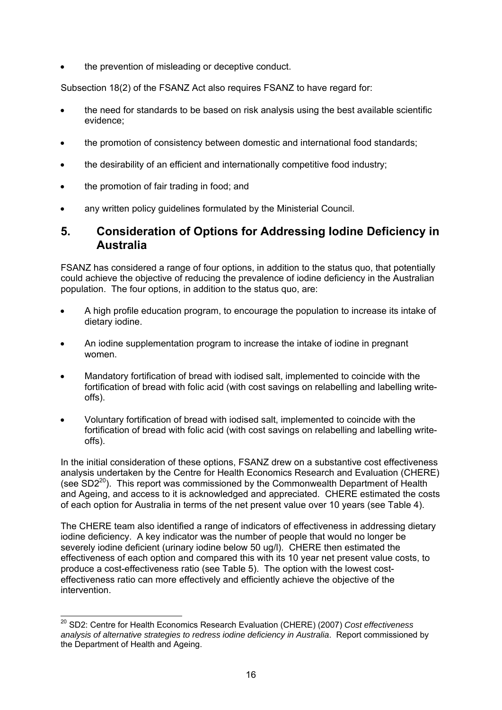the prevention of misleading or deceptive conduct.

Subsection 18(2) of the FSANZ Act also requires FSANZ to have regard for:

- the need for standards to be based on risk analysis using the best available scientific evidence;
- the promotion of consistency between domestic and international food standards;
- the desirability of an efficient and internationally competitive food industry;
- the promotion of fair trading in food; and
- any written policy guidelines formulated by the Ministerial Council.

# **5. Consideration of Options for Addressing Iodine Deficiency in Australia**

FSANZ has considered a range of four options, in addition to the status quo, that potentially could achieve the objective of reducing the prevalence of iodine deficiency in the Australian population. The four options, in addition to the status quo, are:

- A high profile education program, to encourage the population to increase its intake of dietary iodine.
- An iodine supplementation program to increase the intake of iodine in pregnant women.
- Mandatory fortification of bread with iodised salt, implemented to coincide with the fortification of bread with folic acid (with cost savings on relabelling and labelling writeoffs).
- Voluntary fortification of bread with iodised salt, implemented to coincide with the fortification of bread with folic acid (with cost savings on relabelling and labelling writeoffs).

In the initial consideration of these options, FSANZ drew on a substantive cost effectiveness analysis undertaken by the Centre for Health Economics Research and Evaluation (CHERE) (see  $SD2^{20}$ ). This report was commissioned by the Commonwealth Department of Health and Ageing, and access to it is acknowledged and appreciated. CHERE estimated the costs of each option for Australia in terms of the net present value over 10 years (see Table 4).

The CHERE team also identified a range of indicators of effectiveness in addressing dietary iodine deficiency. A key indicator was the number of people that would no longer be severely iodine deficient (urinary iodine below 50 ug/l). CHERE then estimated the effectiveness of each option and compared this with its 10 year net present value costs, to produce a cost-effectiveness ratio (see Table 5). The option with the lowest costeffectiveness ratio can more effectively and efficiently achieve the objective of the intervention.

<sup>1</sup> 20 SD2: Centre for Health Economics Research Evaluation (CHERE) (2007) *Cost effectiveness analysis of alternative strategies to redress iodine deficiency in Australia*. Report commissioned by the Department of Health and Ageing.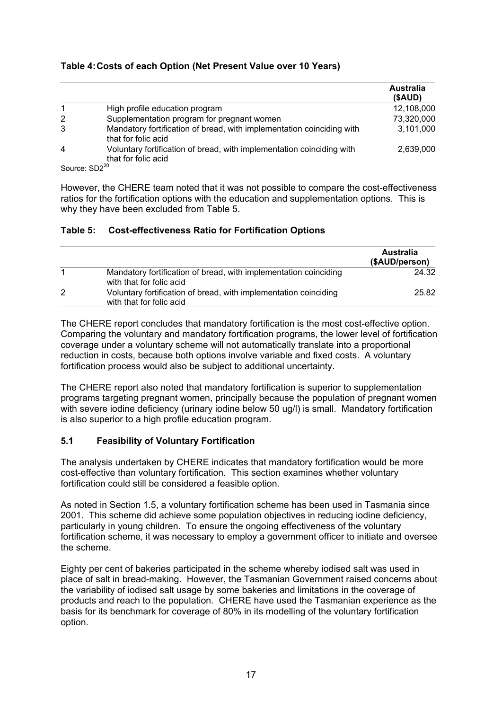### **Table 4: Costs of each Option (Net Present Value over 10 Years)**

|                |                                                                                              | <b>Australia</b><br>(SAUD) |
|----------------|----------------------------------------------------------------------------------------------|----------------------------|
|                | High profile education program                                                               | 12,108,000                 |
| 2              | Supplementation program for pregnant women                                                   | 73,320,000                 |
| 3              | Mandatory fortification of bread, with implementation coinciding with<br>that for folic acid | 3,101,000                  |
| $\overline{4}$ | Voluntary fortification of bread, with implementation coinciding with<br>that for folic acid | 2,639,000                  |
|                | חכי                                                                                          |                            |

Source: SD2<sup>20</sup>

However, the CHERE team noted that it was not possible to compare the cost-effectiveness ratios for the fortification options with the education and supplementation options. This is why they have been excluded from Table 5.

### **Table 5: Cost-effectiveness Ratio for Fortification Options**

|   |                                                                                              | Australia<br>(\$AUD/person) |
|---|----------------------------------------------------------------------------------------------|-----------------------------|
|   | Mandatory fortification of bread, with implementation coinciding<br>with that for folic acid | 24.32                       |
| 2 | Voluntary fortification of bread, with implementation coinciding<br>with that for folic acid | 25.82                       |

The CHERE report concludes that mandatory fortification is the most cost-effective option. Comparing the voluntary and mandatory fortification programs, the lower level of fortification coverage under a voluntary scheme will not automatically translate into a proportional reduction in costs, because both options involve variable and fixed costs. A voluntary fortification process would also be subject to additional uncertainty.

The CHERE report also noted that mandatory fortification is superior to supplementation programs targeting pregnant women, principally because the population of pregnant women with severe iodine deficiency (urinary iodine below 50 ug/l) is small. Mandatory fortification is also superior to a high profile education program.

### **5.1 Feasibility of Voluntary Fortification**

The analysis undertaken by CHERE indicates that mandatory fortification would be more cost-effective than voluntary fortification. This section examines whether voluntary fortification could still be considered a feasible option.

As noted in Section 1.5, a voluntary fortification scheme has been used in Tasmania since 2001. This scheme did achieve some population objectives in reducing iodine deficiency, particularly in young children. To ensure the ongoing effectiveness of the voluntary fortification scheme, it was necessary to employ a government officer to initiate and oversee the scheme.

Eighty per cent of bakeries participated in the scheme whereby iodised salt was used in place of salt in bread-making. However, the Tasmanian Government raised concerns about the variability of iodised salt usage by some bakeries and limitations in the coverage of products and reach to the population. CHERE have used the Tasmanian experience as the basis for its benchmark for coverage of 80% in its modelling of the voluntary fortification option.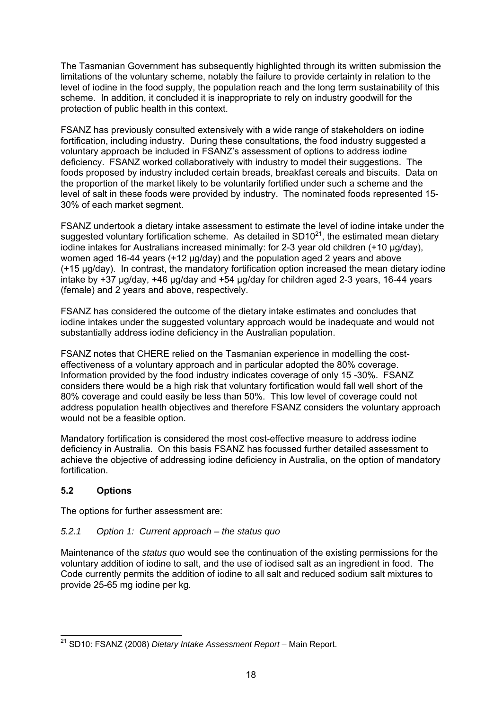The Tasmanian Government has subsequently highlighted through its written submission the limitations of the voluntary scheme, notably the failure to provide certainty in relation to the level of iodine in the food supply, the population reach and the long term sustainability of this scheme. In addition, it concluded it is inappropriate to rely on industry goodwill for the protection of public health in this context.

FSANZ has previously consulted extensively with a wide range of stakeholders on iodine fortification, including industry. During these consultations, the food industry suggested a voluntary approach be included in FSANZ's assessment of options to address iodine deficiency. FSANZ worked collaboratively with industry to model their suggestions. The foods proposed by industry included certain breads, breakfast cereals and biscuits. Data on the proportion of the market likely to be voluntarily fortified under such a scheme and the level of salt in these foods were provided by industry. The nominated foods represented 15- 30% of each market segment.

FSANZ undertook a dietary intake assessment to estimate the level of iodine intake under the suggested voluntary fortification scheme. As detailed in  $SD10^{21}$ , the estimated mean dietary iodine intakes for Australians increased minimally: for 2-3 year old children (+10 μg/day), women aged 16-44 years (+12 μg/day) and the population aged 2 years and above (+15 µg/day). In contrast, the mandatory fortification option increased the mean dietary iodine intake by  $+37$  µg/day,  $+46$  µg/day and  $+54$  µg/day for children aged 2-3 years, 16-44 years (female) and 2 years and above, respectively.

FSANZ has considered the outcome of the dietary intake estimates and concludes that iodine intakes under the suggested voluntary approach would be inadequate and would not substantially address iodine deficiency in the Australian population.

FSANZ notes that CHERE relied on the Tasmanian experience in modelling the costeffectiveness of a voluntary approach and in particular adopted the 80% coverage. Information provided by the food industry indicates coverage of only 15 -30%. FSANZ considers there would be a high risk that voluntary fortification would fall well short of the 80% coverage and could easily be less than 50%. This low level of coverage could not address population health objectives and therefore FSANZ considers the voluntary approach would not be a feasible option.

Mandatory fortification is considered the most cost-effective measure to address iodine deficiency in Australia. On this basis FSANZ has focussed further detailed assessment to achieve the objective of addressing iodine deficiency in Australia, on the option of mandatory fortification.

## **5.2 Options**

The options for further assessment are:

### *5.2.1 Option 1: Current approach – the status quo*

Maintenance of the *status quo* would see the continuation of the existing permissions for the voluntary addition of iodine to salt, and the use of iodised salt as an ingredient in food. The Code currently permits the addition of iodine to all salt and reduced sodium salt mixtures to provide 25-65 mg iodine per kg.

 $\overline{a}$ 21 SD10: FSANZ (2008) *Dietary Intake Assessment Report –* Main Report.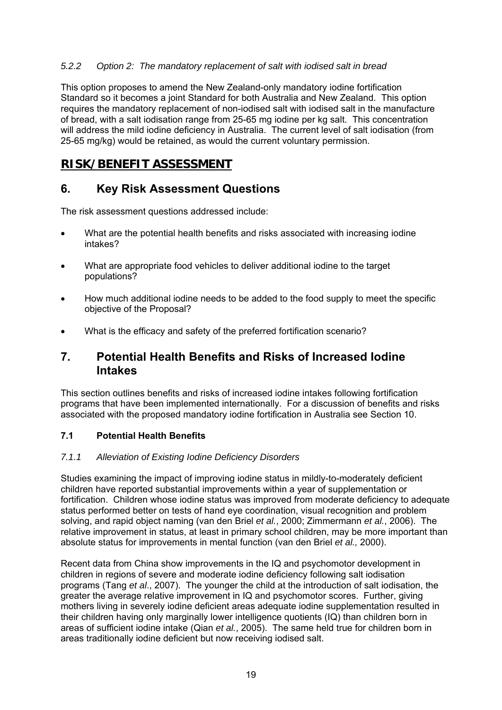## *5.2.2 Option 2: The mandatory replacement of salt with iodised salt in bread*

This option proposes to amend the New Zealand-only mandatory iodine fortification Standard so it becomes a joint Standard for both Australia and New Zealand. This option requires the mandatory replacement of non-iodised salt with iodised salt in the manufacture of bread, with a salt iodisation range from 25-65 mg iodine per kg salt. This concentration will address the mild iodine deficiency in Australia. The current level of salt iodisation (from 25-65 mg/kg) would be retained, as would the current voluntary permission.

# **RISK/BENEFIT ASSESSMENT**

# **6. Key Risk Assessment Questions**

The risk assessment questions addressed include:

- What are the potential health benefits and risks associated with increasing iodine intakes?
- What are appropriate food vehicles to deliver additional iodine to the target populations?
- How much additional iodine needs to be added to the food supply to meet the specific objective of the Proposal?
- What is the efficacy and safety of the preferred fortification scenario?

# **7. Potential Health Benefits and Risks of Increased Iodine Intakes**

This section outlines benefits and risks of increased iodine intakes following fortification programs that have been implemented internationally. For a discussion of benefits and risks associated with the proposed mandatory iodine fortification in Australia see Section 10.

## **7.1 Potential Health Benefits**

## *7.1.1 Alleviation of Existing Iodine Deficiency Disorders*

Studies examining the impact of improving iodine status in mildly-to-moderately deficient children have reported substantial improvements within a year of supplementation or fortification. Children whose iodine status was improved from moderate deficiency to adequate status performed better on tests of hand eye coordination, visual recognition and problem solving, and rapid object naming (van den Briel *et al.*, 2000; Zimmermann *et al.*, 2006). The relative improvement in status, at least in primary school children, may be more important than absolute status for improvements in mental function (van den Briel *et al.,* 2000).

Recent data from China show improvements in the IQ and psychomotor development in children in regions of severe and moderate iodine deficiency following salt iodisation programs (Tang *et al*., 2007). The younger the child at the introduction of salt iodisation, the greater the average relative improvement in IQ and psychomotor scores. Further, giving mothers living in severely iodine deficient areas adequate iodine supplementation resulted in their children having only marginally lower intelligence quotients (IQ) than children born in areas of sufficient iodine intake (Qian *et al.*, 2005). The same held true for children born in areas traditionally iodine deficient but now receiving iodised salt.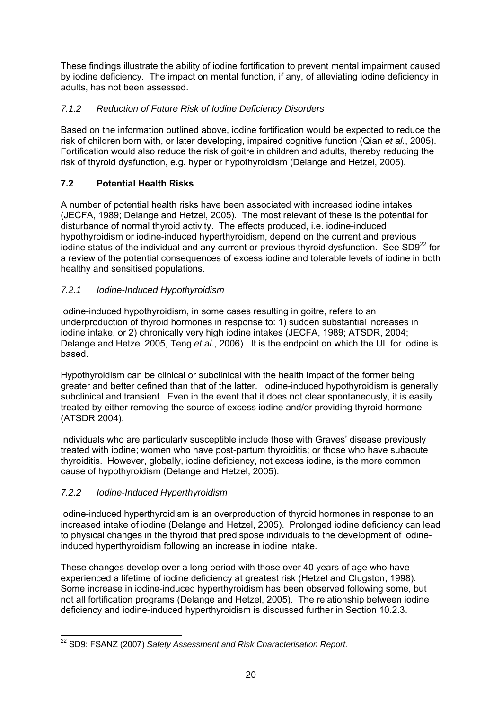These findings illustrate the ability of iodine fortification to prevent mental impairment caused by iodine deficiency. The impact on mental function, if any, of alleviating iodine deficiency in adults, has not been assessed.

# *7.1.2 Reduction of Future Risk of Iodine Deficiency Disorders*

Based on the information outlined above, iodine fortification would be expected to reduce the risk of children born with, or later developing, impaired cognitive function (Qian *et al.*, 2005). Fortification would also reduce the risk of goitre in children and adults, thereby reducing the risk of thyroid dysfunction, e.g. hyper or hypothyroidism (Delange and Hetzel, 2005).

# **7.2 Potential Health Risks**

A number of potential health risks have been associated with increased iodine intakes (JECFA, 1989; Delange and Hetzel, 2005). The most relevant of these is the potential for disturbance of normal thyroid activity. The effects produced, i.e. iodine-induced hypothyroidism or iodine-induced hyperthyroidism, depend on the current and previous iodine status of the individual and any current or previous thyroid dysfunction. See SD9 $^{22}$  for a review of the potential consequences of excess iodine and tolerable levels of iodine in both healthy and sensitised populations.

# *7.2.1 Iodine-Induced Hypothyroidism*

Iodine-induced hypothyroidism, in some cases resulting in goitre, refers to an underproduction of thyroid hormones in response to: 1) sudden substantial increases in iodine intake, or 2) chronically very high iodine intakes (JECFA, 1989; ATSDR, 2004; Delange and Hetzel 2005, Teng *et al.*, 2006). It is the endpoint on which the UL for iodine is based.

Hypothyroidism can be clinical or subclinical with the health impact of the former being greater and better defined than that of the latter. Iodine-induced hypothyroidism is generally subclinical and transient. Even in the event that it does not clear spontaneously, it is easily treated by either removing the source of excess iodine and/or providing thyroid hormone (ATSDR 2004).

Individuals who are particularly susceptible include those with Graves' disease previously treated with iodine; women who have post-partum thyroiditis; or those who have subacute thyroiditis. However, globally, iodine deficiency, not excess iodine, is the more common cause of hypothyroidism (Delange and Hetzel, 2005).

# *7.2.2 Iodine-Induced Hyperthyroidism*

Iodine-induced hyperthyroidism is an overproduction of thyroid hormones in response to an increased intake of iodine (Delange and Hetzel, 2005). Prolonged iodine deficiency can lead to physical changes in the thyroid that predispose individuals to the development of iodineinduced hyperthyroidism following an increase in iodine intake.

These changes develop over a long period with those over 40 years of age who have experienced a lifetime of iodine deficiency at greatest risk (Hetzel and Clugston, 1998). Some increase in iodine-induced hyperthyroidism has been observed following some, but not all fortification programs (Delange and Hetzel, 2005). The relationship between iodine deficiency and iodine-induced hyperthyroidism is discussed further in Section 10.2.3.

 $\overline{a}$ 22 SD9: FSANZ (2007) *Safety Assessment and Risk Characterisation Report.*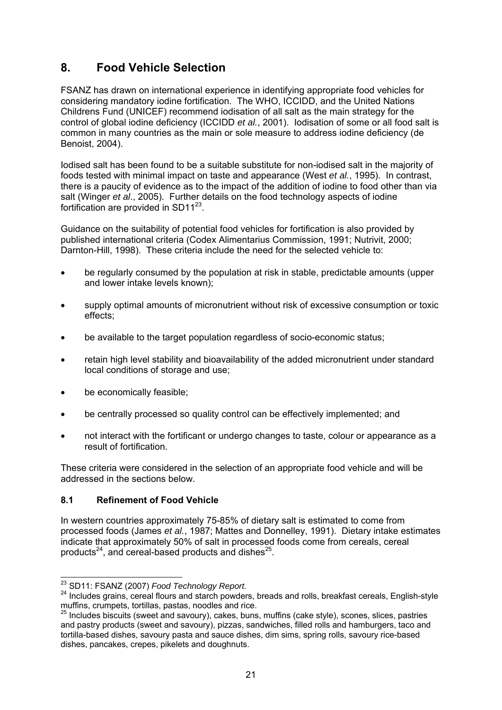# **8. Food Vehicle Selection**

FSANZ has drawn on international experience in identifying appropriate food vehicles for considering mandatory iodine fortification. The WHO, ICCIDD, and the United Nations Childrens Fund (UNICEF) recommend iodisation of all salt as the main strategy for the control of global iodine deficiency (ICCIDD *et al.*, 2001). Iodisation of some or all food salt is common in many countries as the main or sole measure to address iodine deficiency (de Benoist, 2004).

Iodised salt has been found to be a suitable substitute for non-iodised salt in the majority of foods tested with minimal impact on taste and appearance (West *et al.*, 1995). In contrast, there is a paucity of evidence as to the impact of the addition of iodine to food other than via salt (Winger *et al*., 2005). Further details on the food technology aspects of iodine fortification are provided in  $SD11^{23}$ .

Guidance on the suitability of potential food vehicles for fortification is also provided by published international criteria (Codex Alimentarius Commission, 1991; Nutrivit, 2000; Darnton-Hill, 1998). These criteria include the need for the selected vehicle to:

- be regularly consumed by the population at risk in stable, predictable amounts (upper and lower intake levels known);
- supply optimal amounts of micronutrient without risk of excessive consumption or toxic effects;
- be available to the target population regardless of socio-economic status;
- retain high level stability and bioavailability of the added micronutrient under standard local conditions of storage and use;
- be economically feasible;
- be centrally processed so quality control can be effectively implemented; and
- not interact with the fortificant or undergo changes to taste, colour or appearance as a result of fortification.

These criteria were considered in the selection of an appropriate food vehicle and will be addressed in the sections below.

## **8.1 Refinement of Food Vehicle**

In western countries approximately 75-85% of dietary salt is estimated to come from processed foods (James *et al.*, 1987; Mattes and Donnelley, 1991). Dietary intake estimates indicate that approximately 50% of salt in processed foods come from cereals, cereal products<sup>24</sup>, and cereal-based products and dishes<sup>25</sup>.

<sup>&</sup>lt;sup>23</sup> SD11: FSANZ (2007) Food Technology Report.

<sup>&</sup>lt;sup>24</sup> Includes grains, cereal flours and starch powders, breads and rolls, breakfast cereals, English-style muffins, crumpets, tortillas, pastas, noodles and rice.

 $25$  Includes biscuits (sweet and savoury), cakes, buns, muffins (cake style), scones, slices, pastries and pastry products (sweet and savoury), pizzas, sandwiches, filled rolls and hamburgers, taco and tortilla-based dishes, savoury pasta and sauce dishes, dim sims, spring rolls, savoury rice-based dishes, pancakes, crepes, pikelets and doughnuts.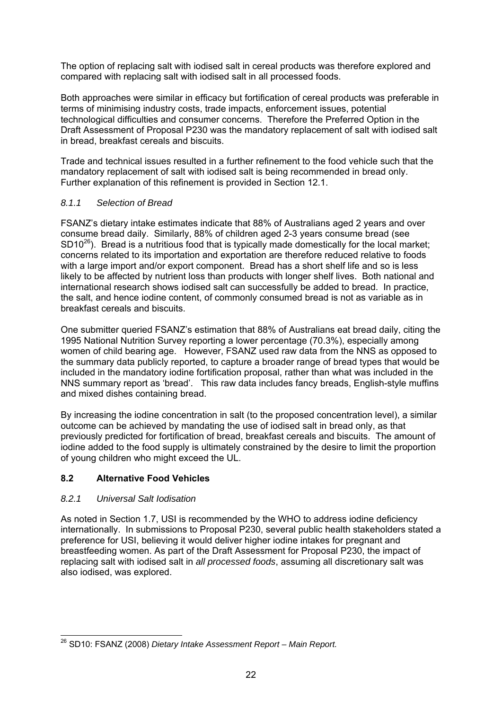The option of replacing salt with iodised salt in cereal products was therefore explored and compared with replacing salt with iodised salt in all processed foods.

Both approaches were similar in efficacy but fortification of cereal products was preferable in terms of minimising industry costs, trade impacts, enforcement issues, potential technological difficulties and consumer concerns. Therefore the Preferred Option in the Draft Assessment of Proposal P230 was the mandatory replacement of salt with iodised salt in bread, breakfast cereals and biscuits.

Trade and technical issues resulted in a further refinement to the food vehicle such that the mandatory replacement of salt with iodised salt is being recommended in bread only. Further explanation of this refinement is provided in Section 12.1.

### *8.1.1 Selection of Bread*

FSANZ's dietary intake estimates indicate that 88% of Australians aged 2 years and over consume bread daily. Similarly, 88% of children aged 2-3 years consume bread (see  $SD10^{26}$ ). Bread is a nutritious food that is typically made domestically for the local market; concerns related to its importation and exportation are therefore reduced relative to foods with a large import and/or export component. Bread has a short shelf life and so is less likely to be affected by nutrient loss than products with longer shelf lives. Both national and international research shows iodised salt can successfully be added to bread. In practice, the salt, and hence iodine content, of commonly consumed bread is not as variable as in breakfast cereals and biscuits.

One submitter queried FSANZ's estimation that 88% of Australians eat bread daily, citing the 1995 National Nutrition Survey reporting a lower percentage (70.3%), especially among women of child bearing age. However, FSANZ used raw data from the NNS as opposed to the summary data publicly reported, to capture a broader range of bread types that would be included in the mandatory iodine fortification proposal, rather than what was included in the NNS summary report as 'bread'. This raw data includes fancy breads, English-style muffins and mixed dishes containing bread.

By increasing the iodine concentration in salt (to the proposed concentration level), a similar outcome can be achieved by mandating the use of iodised salt in bread only, as that previously predicted for fortification of bread, breakfast cereals and biscuits. The amount of iodine added to the food supply is ultimately constrained by the desire to limit the proportion of young children who might exceed the UL.

## **8.2 Alternative Food Vehicles**

### *8.2.1 Universal Salt Iodisation*

As noted in Section 1.7, USI is recommended by the WHO to address iodine deficiency internationally. In submissions to Proposal P230, several public health stakeholders stated a preference for USI, believing it would deliver higher iodine intakes for pregnant and breastfeeding women. As part of the Draft Assessment for Proposal P230, the impact of replacing salt with iodised salt in *all processed foods*, assuming all discretionary salt was also iodised, was explored.

 $\overline{a}$ 26 SD10: FSANZ (2008) *Dietary Intake Assessment Report – Main Report.*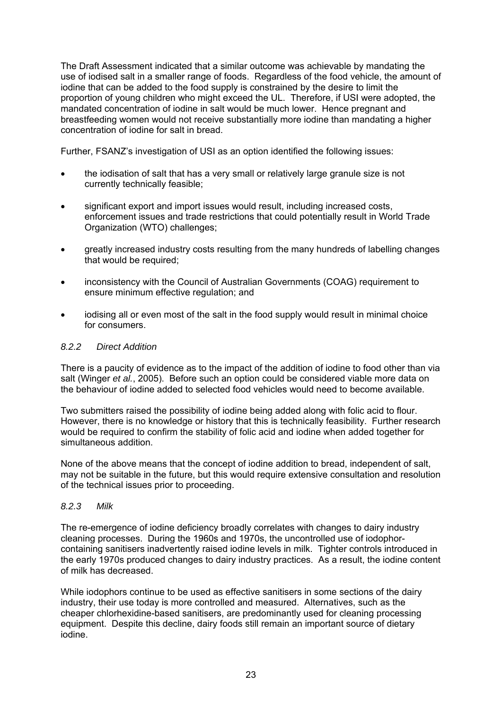The Draft Assessment indicated that a similar outcome was achievable by mandating the use of iodised salt in a smaller range of foods. Regardless of the food vehicle, the amount of iodine that can be added to the food supply is constrained by the desire to limit the proportion of young children who might exceed the UL. Therefore, if USI were adopted, the mandated concentration of iodine in salt would be much lower. Hence pregnant and breastfeeding women would not receive substantially more iodine than mandating a higher concentration of iodine for salt in bread.

Further, FSANZ's investigation of USI as an option identified the following issues:

- the iodisation of salt that has a very small or relatively large granule size is not currently technically feasible;
- significant export and import issues would result, including increased costs, enforcement issues and trade restrictions that could potentially result in World Trade Organization (WTO) challenges;
- greatly increased industry costs resulting from the many hundreds of labelling changes that would be required;
- inconsistency with the Council of Australian Governments (COAG) requirement to ensure minimum effective regulation; and
- iodising all or even most of the salt in the food supply would result in minimal choice for consumers.

### *8.2.2 Direct Addition*

There is a paucity of evidence as to the impact of the addition of iodine to food other than via salt (Winger *et al.*, 2005). Before such an option could be considered viable more data on the behaviour of iodine added to selected food vehicles would need to become available.

Two submitters raised the possibility of iodine being added along with folic acid to flour. However, there is no knowledge or history that this is technically feasibility. Further research would be required to confirm the stability of folic acid and iodine when added together for simultaneous addition.

None of the above means that the concept of iodine addition to bread, independent of salt, may not be suitable in the future, but this would require extensive consultation and resolution of the technical issues prior to proceeding.

### *8.2.3 Milk*

The re-emergence of iodine deficiency broadly correlates with changes to dairy industry cleaning processes. During the 1960s and 1970s, the uncontrolled use of iodophorcontaining sanitisers inadvertently raised iodine levels in milk. Tighter controls introduced in the early 1970s produced changes to dairy industry practices. As a result, the iodine content of milk has decreased.

While iodophors continue to be used as effective sanitisers in some sections of the dairy industry, their use today is more controlled and measured. Alternatives, such as the cheaper chlorhexidine-based sanitisers, are predominantly used for cleaning processing equipment. Despite this decline, dairy foods still remain an important source of dietary iodine.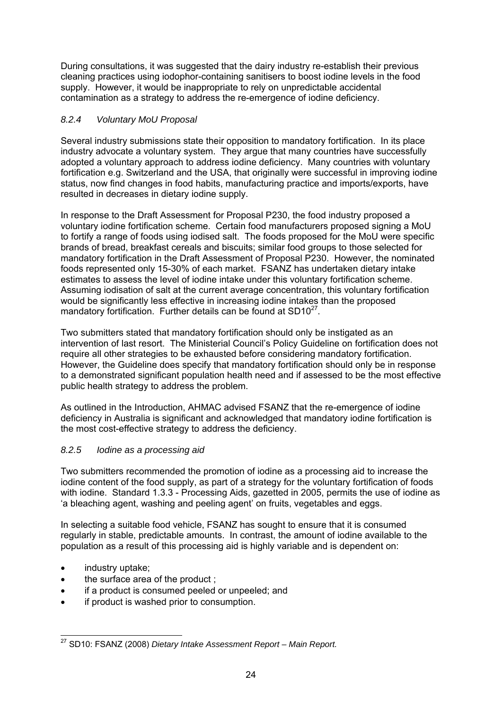During consultations, it was suggested that the dairy industry re-establish their previous cleaning practices using iodophor-containing sanitisers to boost iodine levels in the food supply. However, it would be inappropriate to rely on unpredictable accidental contamination as a strategy to address the re-emergence of iodine deficiency.

# *8.2.4 Voluntary MoU Proposal*

Several industry submissions state their opposition to mandatory fortification. In its place industry advocate a voluntary system. They argue that many countries have successfully adopted a voluntary approach to address iodine deficiency. Many countries with voluntary fortification e.g. Switzerland and the USA, that originally were successful in improving iodine status, now find changes in food habits, manufacturing practice and imports/exports, have resulted in decreases in dietary iodine supply.

In response to the Draft Assessment for Proposal P230, the food industry proposed a voluntary iodine fortification scheme. Certain food manufacturers proposed signing a MoU to fortify a range of foods using iodised salt. The foods proposed for the MoU were specific brands of bread, breakfast cereals and biscuits; similar food groups to those selected for mandatory fortification in the Draft Assessment of Proposal P230. However, the nominated foods represented only 15-30% of each market. FSANZ has undertaken dietary intake estimates to assess the level of iodine intake under this voluntary fortification scheme. Assuming iodisation of salt at the current average concentration, this voluntary fortification would be significantly less effective in increasing iodine intakes than the proposed mandatory fortification. Further details can be found at SD10<sup>27</sup>.

Two submitters stated that mandatory fortification should only be instigated as an intervention of last resort. The Ministerial Council's Policy Guideline on fortification does not require all other strategies to be exhausted before considering mandatory fortification. However, the Guideline does specify that mandatory fortification should only be in response to a demonstrated significant population health need and if assessed to be the most effective public health strategy to address the problem.

As outlined in the Introduction, AHMAC advised FSANZ that the re-emergence of iodine deficiency in Australia is significant and acknowledged that mandatory iodine fortification is the most cost-effective strategy to address the deficiency.

## *8.2.5 Iodine as a processing aid*

Two submitters recommended the promotion of iodine as a processing aid to increase the iodine content of the food supply, as part of a strategy for the voluntary fortification of foods with iodine. Standard 1.3.3 - Processing Aids, gazetted in 2005, permits the use of iodine as 'a bleaching agent, washing and peeling agent' on fruits, vegetables and eggs.

In selecting a suitable food vehicle, FSANZ has sought to ensure that it is consumed regularly in stable, predictable amounts. In contrast, the amount of iodine available to the population as a result of this processing aid is highly variable and is dependent on:

- industry uptake;
- the surface area of the product ;
- if a product is consumed peeled or unpeeled; and
- if product is washed prior to consumption.

 $\overline{a}$ 27 SD10: FSANZ (2008) *Dietary Intake Assessment Report – Main Report.*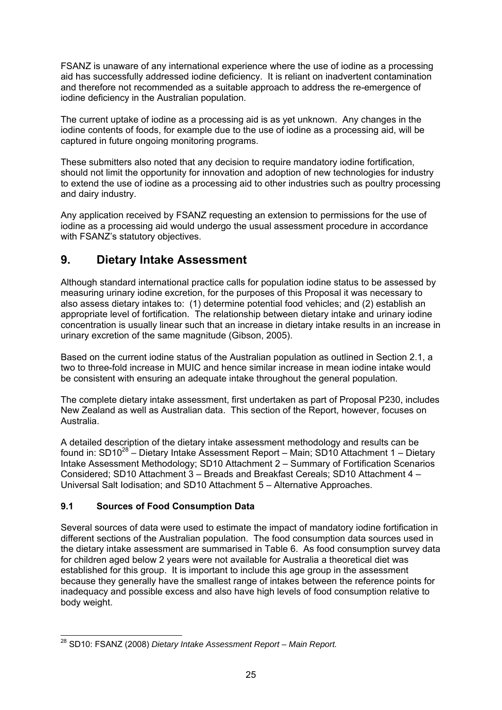FSANZ is unaware of any international experience where the use of iodine as a processing aid has successfully addressed iodine deficiency. It is reliant on inadvertent contamination and therefore not recommended as a suitable approach to address the re-emergence of iodine deficiency in the Australian population.

The current uptake of iodine as a processing aid is as yet unknown. Any changes in the iodine contents of foods, for example due to the use of iodine as a processing aid, will be captured in future ongoing monitoring programs.

These submitters also noted that any decision to require mandatory iodine fortification, should not limit the opportunity for innovation and adoption of new technologies for industry to extend the use of iodine as a processing aid to other industries such as poultry processing and dairy industry.

Any application received by FSANZ requesting an extension to permissions for the use of iodine as a processing aid would undergo the usual assessment procedure in accordance with FSANZ's statutory objectives.

# **9. Dietary Intake Assessment**

Although standard international practice calls for population iodine status to be assessed by measuring urinary iodine excretion, for the purposes of this Proposal it was necessary to also assess dietary intakes to: (1) determine potential food vehicles; and (2) establish an appropriate level of fortification. The relationship between dietary intake and urinary iodine concentration is usually linear such that an increase in dietary intake results in an increase in urinary excretion of the same magnitude (Gibson, 2005).

Based on the current iodine status of the Australian population as outlined in Section 2.1, a two to three-fold increase in MUIC and hence similar increase in mean iodine intake would be consistent with ensuring an adequate intake throughout the general population.

The complete dietary intake assessment, first undertaken as part of Proposal P230, includes New Zealand as well as Australian data. This section of the Report, however, focuses on Australia.

A detailed description of the dietary intake assessment methodology and results can be found in: SD10<sup>28</sup> *–* Dietary Intake Assessment Report – Main; SD10 Attachment 1 – Dietary Intake Assessment Methodology; SD10 Attachment 2 – Summary of Fortification Scenarios Considered; SD10 Attachment 3 – Breads and Breakfast Cereals; SD10 Attachment 4 – Universal Salt Iodisation; and SD10 Attachment 5 – Alternative Approaches.

## **9.1 Sources of Food Consumption Data**

Several sources of data were used to estimate the impact of mandatory iodine fortification in different sections of the Australian population. The food consumption data sources used in the dietary intake assessment are summarised in Table 6. As food consumption survey data for children aged below 2 years were not available for Australia a theoretical diet was established for this group. It is important to include this age group in the assessment because they generally have the smallest range of intakes between the reference points for inadequacy and possible excess and also have high levels of food consumption relative to body weight.

 $\overline{a}$ 28 SD10: FSANZ (2008) *Dietary Intake Assessment Report – Main Report.*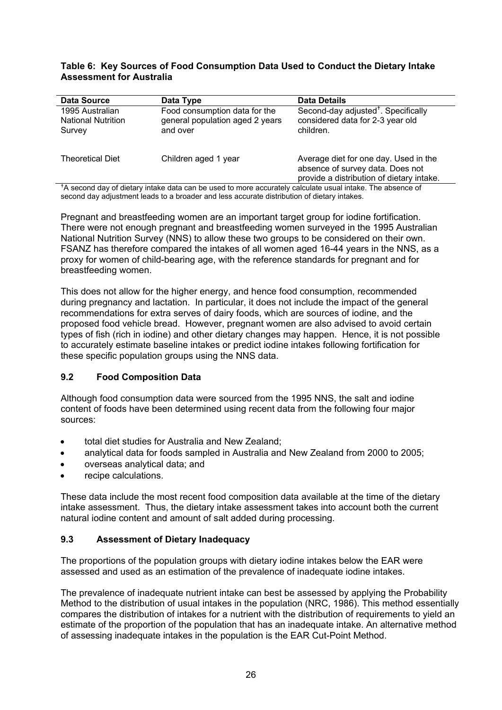### **Table 6: Key Sources of Food Consumption Data Used to Conduct the Dietary Intake Assessment for Australia**

| <b>Data Source</b>                                                                                                     | Data Type                       | <b>Data Details</b>                             |  |  |  |  |
|------------------------------------------------------------------------------------------------------------------------|---------------------------------|-------------------------------------------------|--|--|--|--|
| 1995 Australian                                                                                                        | Food consumption data for the   | Second-day adjusted <sup>+</sup> . Specifically |  |  |  |  |
| <b>National Nutrition</b>                                                                                              | general population aged 2 years | considered data for 2-3 year old                |  |  |  |  |
| Survey                                                                                                                 | and over                        | children.                                       |  |  |  |  |
|                                                                                                                        |                                 |                                                 |  |  |  |  |
| <b>Theoretical Diet</b>                                                                                                | Children aged 1 year            | Average diet for one day. Used in the           |  |  |  |  |
|                                                                                                                        |                                 | absence of survey data. Does not                |  |  |  |  |
|                                                                                                                        |                                 | provide a distribution of dietary intake.       |  |  |  |  |
| <sup>+</sup> A second day of dietary intake data can be used to more accurately calculate usual intake. The absence of |                                 |                                                 |  |  |  |  |

<sup>+</sup>A second day of dietary intake data can be used to more accurately calculate usual intake. The absence of second day adjustment leads to a broader and less accurate distribution of dietary intakes.

Pregnant and breastfeeding women are an important target group for iodine fortification. There were not enough pregnant and breastfeeding women surveyed in the 1995 Australian National Nutrition Survey (NNS) to allow these two groups to be considered on their own. FSANZ has therefore compared the intakes of all women aged 16-44 years in the NNS, as a proxy for women of child-bearing age, with the reference standards for pregnant and for breastfeeding women.

This does not allow for the higher energy, and hence food consumption, recommended during pregnancy and lactation. In particular, it does not include the impact of the general recommendations for extra serves of dairy foods, which are sources of iodine, and the proposed food vehicle bread. However, pregnant women are also advised to avoid certain types of fish (rich in iodine) and other dietary changes may happen. Hence, it is not possible to accurately estimate baseline intakes or predict iodine intakes following fortification for these specific population groups using the NNS data.

## **9.2 Food Composition Data**

Although food consumption data were sourced from the 1995 NNS, the salt and iodine content of foods have been determined using recent data from the following four major sources:

- total diet studies for Australia and New Zealand:
- analytical data for foods sampled in Australia and New Zealand from 2000 to 2005;
- overseas analytical data; and
- recipe calculations.

These data include the most recent food composition data available at the time of the dietary intake assessment. Thus, the dietary intake assessment takes into account both the current natural iodine content and amount of salt added during processing.

### **9.3 Assessment of Dietary Inadequacy**

The proportions of the population groups with dietary iodine intakes below the EAR were assessed and used as an estimation of the prevalence of inadequate iodine intakes.

The prevalence of inadequate nutrient intake can best be assessed by applying the Probability Method to the distribution of usual intakes in the population (NRC, 1986). This method essentially compares the distribution of intakes for a nutrient with the distribution of requirements to yield an estimate of the proportion of the population that has an inadequate intake. An alternative method of assessing inadequate intakes in the population is the EAR Cut-Point Method.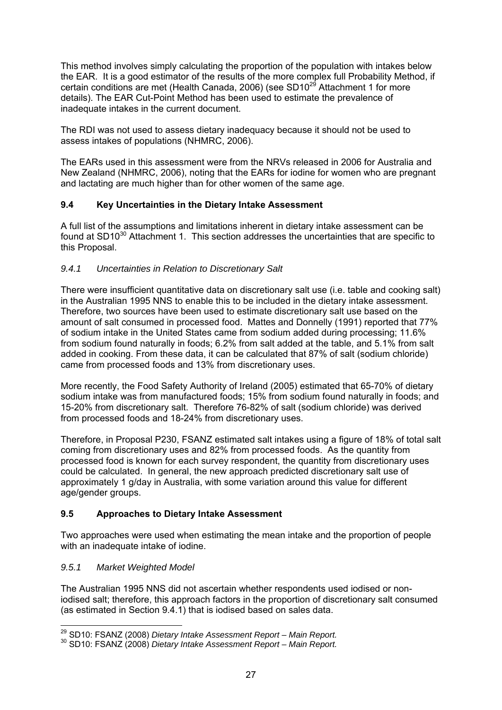This method involves simply calculating the proportion of the population with intakes below the EAR. It is a good estimator of the results of the more complex full Probability Method, if certain conditions are met (Health Canada, 2006) (see SD10<sup>29</sup> Attachment 1 for more details). The EAR Cut-Point Method has been used to estimate the prevalence of inadequate intakes in the current document.

The RDI was not used to assess dietary inadequacy because it should not be used to assess intakes of populations (NHMRC, 2006).

The EARs used in this assessment were from the NRVs released in 2006 for Australia and New Zealand (NHMRC, 2006), noting that the EARs for iodine for women who are pregnant and lactating are much higher than for other women of the same age.

### **9.4 Key Uncertainties in the Dietary Intake Assessment**

A full list of the assumptions and limitations inherent in dietary intake assessment can be found at SD10<sup>30</sup> Attachment 1. This section addresses the uncertainties that are specific to this Proposal.

### *9.4.1 Uncertainties in Relation to Discretionary Salt*

There were insufficient quantitative data on discretionary salt use (i.e. table and cooking salt) in the Australian 1995 NNS to enable this to be included in the dietary intake assessment. Therefore, two sources have been used to estimate discretionary salt use based on the amount of salt consumed in processed food. Mattes and Donnelly (1991) reported that 77% of sodium intake in the United States came from sodium added during processing; 11.6% from sodium found naturally in foods; 6.2% from salt added at the table, and 5.1% from salt added in cooking. From these data, it can be calculated that 87% of salt (sodium chloride) came from processed foods and 13% from discretionary uses.

More recently, the Food Safety Authority of Ireland (2005) estimated that 65-70% of dietary sodium intake was from manufactured foods; 15% from sodium found naturally in foods; and 15-20% from discretionary salt. Therefore 76-82% of salt (sodium chloride) was derived from processed foods and 18-24% from discretionary uses.

Therefore, in Proposal P230, FSANZ estimated salt intakes using a figure of 18% of total salt coming from discretionary uses and 82% from processed foods. As the quantity from processed food is known for each survey respondent, the quantity from discretionary uses could be calculated. In general, the new approach predicted discretionary salt use of approximately 1 g/day in Australia, with some variation around this value for different age/gender groups.

## **9.5 Approaches to Dietary Intake Assessment**

Two approaches were used when estimating the mean intake and the proportion of people with an inadequate intake of iodine.

### *9.5.1 Market Weighted Model*

The Australian 1995 NNS did not ascertain whether respondents used iodised or noniodised salt; therefore, this approach factors in the proportion of discretionary salt consumed (as estimated in Section 9.4.1) that is iodised based on sales data.

<sup>&</sup>lt;sup>29</sup> SD10: FSANZ (2008) Dietary Intake Assessment Report - Main Report.

<sup>29</sup> SD10: FSANZ (2008) *Dietary Intake Assessment Report – Main Report.* 30 SD10: FSANZ (2008) *Dietary Intake Assessment Report – Main Report.*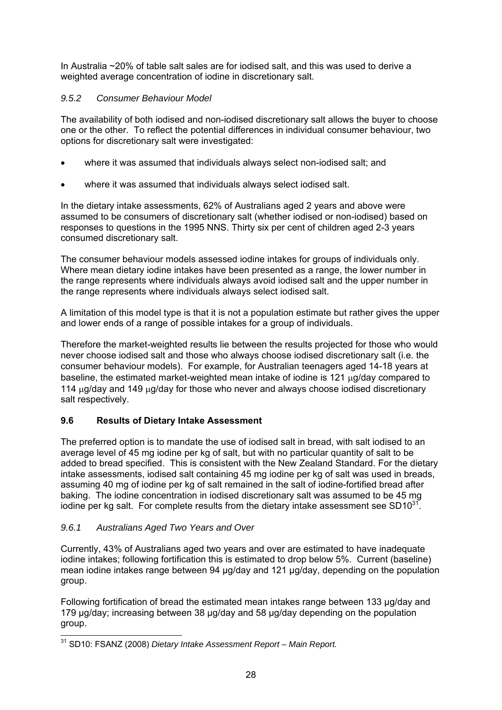In Australia ~20% of table salt sales are for iodised salt, and this was used to derive a weighted average concentration of iodine in discretionary salt.

# *9.5.2 Consumer Behaviour Model*

The availability of both iodised and non-iodised discretionary salt allows the buyer to choose one or the other. To reflect the potential differences in individual consumer behaviour, two options for discretionary salt were investigated:

- where it was assumed that individuals always select non-iodised salt; and
- where it was assumed that individuals always select iodised salt.

In the dietary intake assessments, 62% of Australians aged 2 years and above were assumed to be consumers of discretionary salt (whether iodised or non-iodised) based on responses to questions in the 1995 NNS. Thirty six per cent of children aged 2-3 years consumed discretionary salt.

The consumer behaviour models assessed iodine intakes for groups of individuals only. Where mean dietary iodine intakes have been presented as a range, the lower number in the range represents where individuals always avoid iodised salt and the upper number in the range represents where individuals always select iodised salt.

A limitation of this model type is that it is not a population estimate but rather gives the upper and lower ends of a range of possible intakes for a group of individuals.

Therefore the market-weighted results lie between the results projected for those who would never choose iodised salt and those who always choose iodised discretionary salt (i.e. the consumer behaviour models). For example, for Australian teenagers aged 14-18 years at baseline, the estimated market-weighted mean intake of iodine is 121 μg/day compared to 114 μg/day and 149 μg/day for those who never and always choose iodised discretionary salt respectively.

# **9.6 Results of Dietary Intake Assessment**

The preferred option is to mandate the use of iodised salt in bread, with salt iodised to an average level of 45 mg iodine per kg of salt, but with no particular quantity of salt to be added to bread specified. This is consistent with the New Zealand Standard. For the dietary intake assessments, iodised salt containing 45 mg iodine per kg of salt was used in breads, assuming 40 mg of iodine per kg of salt remained in the salt of iodine-fortified bread after baking. The iodine concentration in iodised discretionary salt was assumed to be 45 mg iodine per kg salt. For complete results from the dietary intake assessment see SD10 $^{31}$ .

## *9.6.1 Australians Aged Two Years and Over*

Currently, 43% of Australians aged two years and over are estimated to have inadequate iodine intakes; following fortification this is estimated to drop below 5%. Current (baseline) mean iodine intakes range between 94 µg/day and 121 µg/day, depending on the population group.

Following fortification of bread the estimated mean intakes range between 133 µg/day and 179 µg/day; increasing between 38 µg/day and 58 µg/day depending on the population group.

 $\overline{a}$ 31 SD10: FSANZ (2008) *Dietary Intake Assessment Report – Main Report.*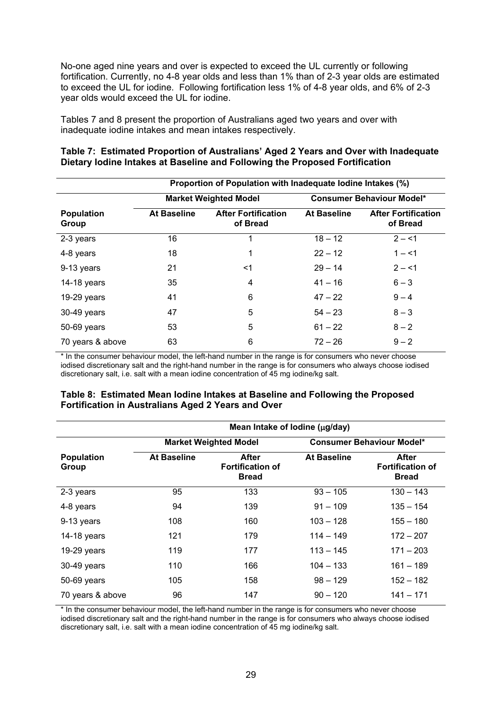No-one aged nine years and over is expected to exceed the UL currently or following fortification. Currently, no 4-8 year olds and less than 1% than of 2-3 year olds are estimated to exceed the UL for iodine. Following fortification less 1% of 4-8 year olds, and 6% of 2-3 year olds would exceed the UL for iodine.

Tables 7 and 8 present the proportion of Australians aged two years and over with inadequate iodine intakes and mean intakes respectively.

#### **Table 7: Estimated Proportion of Australians' Aged 2 Years and Over with Inadequate Dietary Iodine Intakes at Baseline and Following the Proposed Fortification**

| Proportion of Population with Inadequate Iodine Intakes (%) |                              |                                        |             |                                        |  |
|-------------------------------------------------------------|------------------------------|----------------------------------------|-------------|----------------------------------------|--|
|                                                             | <b>Market Weighted Model</b> |                                        |             | <b>Consumer Behaviour Model*</b>       |  |
| <b>Population</b><br>Group                                  | <b>At Baseline</b>           | <b>After Fortification</b><br>of Bread | At Baseline | <b>After Fortification</b><br>of Bread |  |
| 2-3 years                                                   | 16                           | 1                                      | $18 - 12$   | $2 - 1$                                |  |
| 4-8 years                                                   | 18                           | 1                                      | $22 - 12$   | $1 - 1$                                |  |
| 9-13 years                                                  | 21                           | <1                                     | $29 - 14$   | $2 - 1$                                |  |
| 14-18 years                                                 | 35                           | 4                                      | $41 - 16$   | $6 - 3$                                |  |
| $19-29$ years                                               | 41                           | 6                                      | $47 - 22$   | $9 - 4$                                |  |
| 30-49 years                                                 | 47                           | 5                                      | $54 - 23$   | $8 - 3$                                |  |
| 50-69 years                                                 | 53                           | 5                                      | $61 - 22$   | $8 - 2$                                |  |
| 70 years & above                                            | 63                           | 6                                      | $72 - 26$   | $9 - 2$                                |  |

In the consumer behaviour model, the left-hand number in the range is for consumers who never choose iodised discretionary salt and the right-hand number in the range is for consumers who always choose iodised discretionary salt, i.e. salt with a mean iodine concentration of 45 mg iodine/kg salt.

| Mean Intake of Iodine (µg/day) |                              |                                                         |                                  |                                                  |  |
|--------------------------------|------------------------------|---------------------------------------------------------|----------------------------------|--------------------------------------------------|--|
|                                | <b>Market Weighted Model</b> |                                                         | <b>Consumer Behaviour Model*</b> |                                                  |  |
| <b>Population</b><br>Group     | <b>At Baseline</b>           | <b>After</b><br><b>Fortification of</b><br><b>Bread</b> | <b>At Baseline</b>               | After<br><b>Fortification of</b><br><b>Bread</b> |  |
| 2-3 years                      | 95                           | 133                                                     | $93 - 105$                       | $130 - 143$                                      |  |
| 4-8 years                      | 94                           | 139                                                     | $91 - 109$                       | $135 - 154$                                      |  |
| 9-13 years                     | 108                          | 160                                                     | $103 - 128$                      | 155 – 180                                        |  |
| 14-18 years                    | 121                          | 179                                                     | $114 - 149$                      | 172 – 207                                        |  |
| $19-29$ years                  | 119                          | 177                                                     | $113 - 145$                      | $171 - 203$                                      |  |
| 30-49 years                    | 110                          | 166                                                     | $104 - 133$                      | $161 - 189$                                      |  |
| 50-69 years                    | 105                          | 158                                                     | $98 - 129$                       | $152 - 182$                                      |  |
| 70 years & above               | 96                           | 147                                                     | $90 - 120$                       | 141 – 171                                        |  |

### **Table 8: Estimated Mean Iodine Intakes at Baseline and Following the Proposed Fortification in Australians Aged 2 Years and Over**

\* In the consumer behaviour model, the left-hand number in the range is for consumers who never choose iodised discretionary salt and the right-hand number in the range is for consumers who always choose iodised discretionary salt, i.e. salt with a mean iodine concentration of 45 mg iodine/kg salt.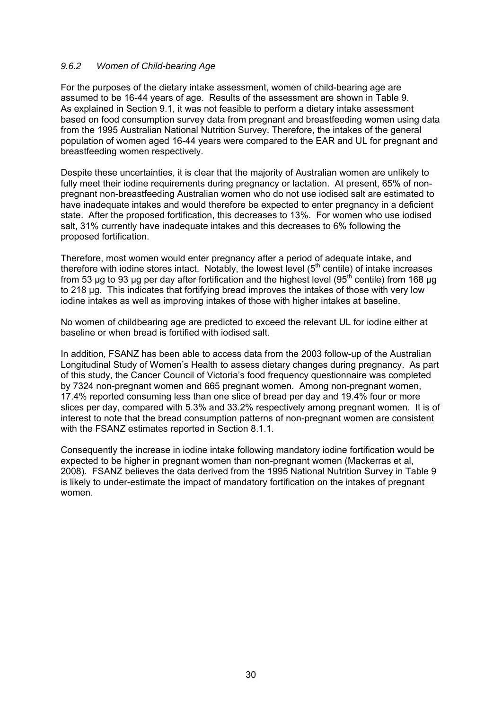### *9.6.2 Women of Child-bearing Age*

For the purposes of the dietary intake assessment, women of child-bearing age are assumed to be 16-44 years of age. Results of the assessment are shown in Table 9. As explained in Section 9.1, it was not feasible to perform a dietary intake assessment based on food consumption survey data from pregnant and breastfeeding women using data from the 1995 Australian National Nutrition Survey. Therefore, the intakes of the general population of women aged 16-44 years were compared to the EAR and UL for pregnant and breastfeeding women respectively.

Despite these uncertainties, it is clear that the majority of Australian women are unlikely to fully meet their iodine requirements during pregnancy or lactation. At present, 65% of nonpregnant non-breastfeeding Australian women who do not use iodised salt are estimated to have inadequate intakes and would therefore be expected to enter pregnancy in a deficient state. After the proposed fortification, this decreases to 13%. For women who use iodised salt, 31% currently have inadequate intakes and this decreases to 6% following the proposed fortification.

Therefore, most women would enter pregnancy after a period of adequate intake, and therefore with iodine stores intact. Notably, the lowest level  $(5<sup>th</sup>$  centile) of intake increases from 53 μg to 93 μg per day after fortification and the highest level (95<sup>th</sup> centile) from 168 μg to 218 μg. This indicates that fortifying bread improves the intakes of those with very low iodine intakes as well as improving intakes of those with higher intakes at baseline.

No women of childbearing age are predicted to exceed the relevant UL for iodine either at baseline or when bread is fortified with iodised salt.

In addition, FSANZ has been able to access data from the 2003 follow-up of the Australian Longitudinal Study of Women's Health to assess dietary changes during pregnancy. As part of this study, the Cancer Council of Victoria's food frequency questionnaire was completed by 7324 non-pregnant women and 665 pregnant women. Among non-pregnant women, 17.4% reported consuming less than one slice of bread per day and 19.4% four or more slices per day, compared with 5.3% and 33.2% respectively among pregnant women. It is of interest to note that the bread consumption patterns of non-pregnant women are consistent with the FSANZ estimates reported in Section 8.1.1.

Consequently the increase in iodine intake following mandatory iodine fortification would be expected to be higher in pregnant women than non-pregnant women (Mackerras et al, 2008). FSANZ believes the data derived from the 1995 National Nutrition Survey in Table 9 is likely to under-estimate the impact of mandatory fortification on the intakes of pregnant women.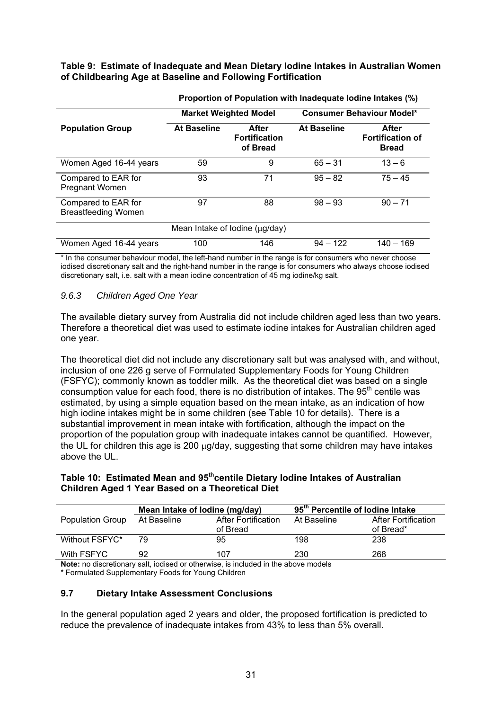### **Table 9: Estimate of Inadequate and Mean Dietary Iodine Intakes in Australian Women of Childbearing Age at Baseline and Following Fortification**

| Proportion of Population with Inadequate Iodine Intakes (%) |                    |                                           |                                  |                                                  |  |
|-------------------------------------------------------------|--------------------|-------------------------------------------|----------------------------------|--------------------------------------------------|--|
|                                                             |                    | <b>Market Weighted Model</b>              | <b>Consumer Behaviour Model*</b> |                                                  |  |
| <b>Population Group</b>                                     | <b>At Baseline</b> | After<br><b>Fortification</b><br>of Bread | <b>At Baseline</b>               | After<br><b>Fortification of</b><br><b>Bread</b> |  |
| Women Aged 16-44 years                                      | 59                 | 9                                         | $65 - 31$                        | $13 - 6$                                         |  |
| Compared to EAR for<br><b>Pregnant Women</b>                | 93                 | 71                                        | $95 - 82$                        | $75 - 45$                                        |  |
| Compared to EAR for<br><b>Breastfeeding Women</b>           | 97                 | 88                                        | $98 - 93$                        | $90 - 71$                                        |  |
| Mean Intake of Iodine ( $\mu$ g/day)                        |                    |                                           |                                  |                                                  |  |
| Women Aged 16-44 years                                      | 100                | 146                                       | $94 - 122$                       | $140 - 169$                                      |  |

\* In the consumer behaviour model, the left-hand number in the range is for consumers who never choose iodised discretionary salt and the right-hand number in the range is for consumers who always choose iodised discretionary salt, i.e. salt with a mean iodine concentration of 45 mg iodine/kg salt.

### *9.6.3 Children Aged One Year*

The available dietary survey from Australia did not include children aged less than two years. Therefore a theoretical diet was used to estimate iodine intakes for Australian children aged one year.

The theoretical diet did not include any discretionary salt but was analysed with, and without, inclusion of one 226 g serve of Formulated Supplementary Foods for Young Children (FSFYC); commonly known as toddler milk. As the theoretical diet was based on a single consumption value for each food, there is no distribution of intakes. The  $95<sup>th</sup>$  centile was estimated, by using a simple equation based on the mean intake, as an indication of how high iodine intakes might be in some children (see Table 10 for details). There is a substantial improvement in mean intake with fortification, although the impact on the proportion of the population group with inadequate intakes cannot be quantified. However, the UL for children this age is 200 μg/day, suggesting that some children may have intakes above the UL.

### **Table 10: Estimated Mean and 95thcentile Dietary Iodine Intakes of Australian Children Aged 1 Year Based on a Theoretical Diet**

|                         | Mean Intake of Iodine (mg/day) |                                        | 95 <sup>th</sup> Percentile of Iodine Intake |                                         |
|-------------------------|--------------------------------|----------------------------------------|----------------------------------------------|-----------------------------------------|
| <b>Population Group</b> | At Baseline                    | <b>After Fortification</b><br>of Bread | At Baseline                                  | <b>After Fortification</b><br>of Bread* |
| Without FSFYC*          | 79                             | 95                                     | 198                                          | 238                                     |
| With FSFYC              | 92                             | 107                                    | 230                                          | 268                                     |

**Note:** no discretionary salt, iodised or otherwise, is included in the above models \* Formulated Supplementary Foods for Young Children

### **9.7 Dietary Intake Assessment Conclusions**

In the general population aged 2 years and older, the proposed fortification is predicted to reduce the prevalence of inadequate intakes from 43% to less than 5% overall.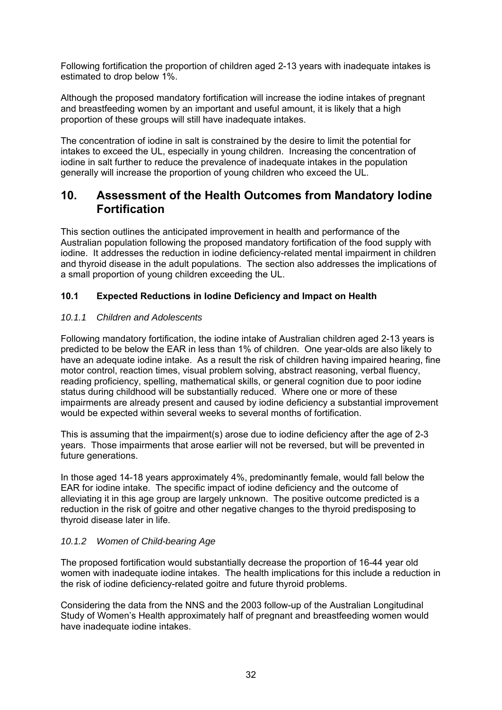Following fortification the proportion of children aged 2-13 years with inadequate intakes is estimated to drop below 1%.

Although the proposed mandatory fortification will increase the iodine intakes of pregnant and breastfeeding women by an important and useful amount, it is likely that a high proportion of these groups will still have inadequate intakes.

The concentration of iodine in salt is constrained by the desire to limit the potential for intakes to exceed the UL, especially in young children. Increasing the concentration of iodine in salt further to reduce the prevalence of inadequate intakes in the population generally will increase the proportion of young children who exceed the UL.

# **10. Assessment of the Health Outcomes from Mandatory Iodine Fortification**

This section outlines the anticipated improvement in health and performance of the Australian population following the proposed mandatory fortification of the food supply with iodine. It addresses the reduction in iodine deficiency-related mental impairment in children and thyroid disease in the adult populations. The section also addresses the implications of a small proportion of young children exceeding the UL.

### **10.1 Expected Reductions in Iodine Deficiency and Impact on Health**

### *10.1.1 Children and Adolescents*

Following mandatory fortification, the iodine intake of Australian children aged 2-13 years is predicted to be below the EAR in less than 1% of children. One year-olds are also likely to have an adequate iodine intake. As a result the risk of children having impaired hearing, fine motor control, reaction times, visual problem solving, abstract reasoning, verbal fluency, reading proficiency, spelling, mathematical skills, or general cognition due to poor iodine status during childhood will be substantially reduced. Where one or more of these impairments are already present and caused by iodine deficiency a substantial improvement would be expected within several weeks to several months of fortification.

This is assuming that the impairment(s) arose due to iodine deficiency after the age of 2-3 years. Those impairments that arose earlier will not be reversed, but will be prevented in future generations.

In those aged 14-18 years approximately 4%, predominantly female, would fall below the EAR for iodine intake. The specific impact of iodine deficiency and the outcome of alleviating it in this age group are largely unknown. The positive outcome predicted is a reduction in the risk of goitre and other negative changes to the thyroid predisposing to thyroid disease later in life.

## *10.1.2 Women of Child-bearing Age*

The proposed fortification would substantially decrease the proportion of 16-44 year old women with inadequate iodine intakes. The health implications for this include a reduction in the risk of iodine deficiency-related goitre and future thyroid problems.

Considering the data from the NNS and the 2003 follow-up of the Australian Longitudinal Study of Women's Health approximately half of pregnant and breastfeeding women would have inadequate iodine intakes.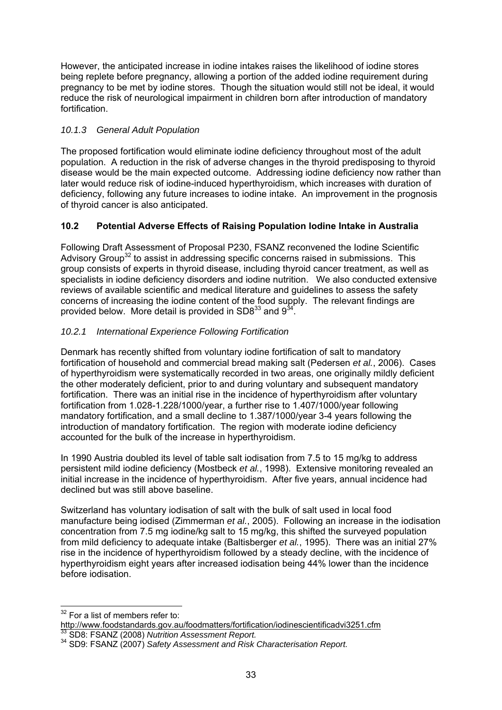However, the anticipated increase in iodine intakes raises the likelihood of iodine stores being replete before pregnancy, allowing a portion of the added iodine requirement during pregnancy to be met by iodine stores. Though the situation would still not be ideal, it would reduce the risk of neurological impairment in children born after introduction of mandatory fortification.

## *10.1.3 General Adult Population*

The proposed fortification would eliminate iodine deficiency throughout most of the adult population. A reduction in the risk of adverse changes in the thyroid predisposing to thyroid disease would be the main expected outcome. Addressing iodine deficiency now rather than later would reduce risk of iodine-induced hyperthyroidism, which increases with duration of deficiency, following any future increases to iodine intake. An improvement in the prognosis of thyroid cancer is also anticipated.

# **10.2 Potential Adverse Effects of Raising Population Iodine Intake in Australia**

Following Draft Assessment of Proposal P230, FSANZ reconvened the Iodine Scientific Advisory Group<sup>32</sup> to assist in addressing specific concerns raised in submissions. This group consists of experts in thyroid disease, including thyroid cancer treatment, as well as specialists in iodine deficiency disorders and iodine nutrition. We also conducted extensive reviews of available scientific and medical literature and guidelines to assess the safety concerns of increasing the iodine content of the food supply. The relevant findings are provided below. More detail is provided in  $SD8^{33}$  and  $9^{34}$ .

# *10.2.1 International Experience Following Fortification*

Denmark has recently shifted from voluntary iodine fortification of salt to mandatory fortification of household and commercial bread making salt (Pedersen *et al.*, 2006). Cases of hyperthyroidism were systematically recorded in two areas, one originally mildly deficient the other moderately deficient, prior to and during voluntary and subsequent mandatory fortification. There was an initial rise in the incidence of hyperthyroidism after voluntary fortification from 1.028-1.228/1000/year, a further rise to 1.407/1000/year following mandatory fortification, and a small decline to 1.387/1000/year 3-4 years following the introduction of mandatory fortification. The region with moderate iodine deficiency accounted for the bulk of the increase in hyperthyroidism.

In 1990 Austria doubled its level of table salt iodisation from 7.5 to 15 mg/kg to address persistent mild iodine deficiency (Mostbeck *et al.*, 1998). Extensive monitoring revealed an initial increase in the incidence of hyperthyroidism. After five years, annual incidence had declined but was still above baseline.

Switzerland has voluntary iodisation of salt with the bulk of salt used in local food manufacture being iodised (Zimmerman *et al.*, 2005). Following an increase in the iodisation concentration from 7.5 mg iodine/kg salt to 15 mg/kg, this shifted the surveyed population from mild deficiency to adequate intake (Baltisberger *et al.*, 1995). There was an initial 27% rise in the incidence of hyperthyroidism followed by a steady decline, with the incidence of hyperthyroidism eight years after increased iodisation being 44% lower than the incidence before iodisation.

 $\overline{a}$ 

 $32$  For a list of members refer to:

http://www.foodstandards.gov.au/foodmatters/fortification/iodinescientificadvi3251.cfm<br>
33 SD8: FSANZ (2008) Nutrition Assessment Report.

<sup>33</sup> SD8: FSANZ (2008) *Nutrition Assessment Report.* 34 SD9: FSANZ (2007) *Safety Assessment and Risk Characterisation Report.*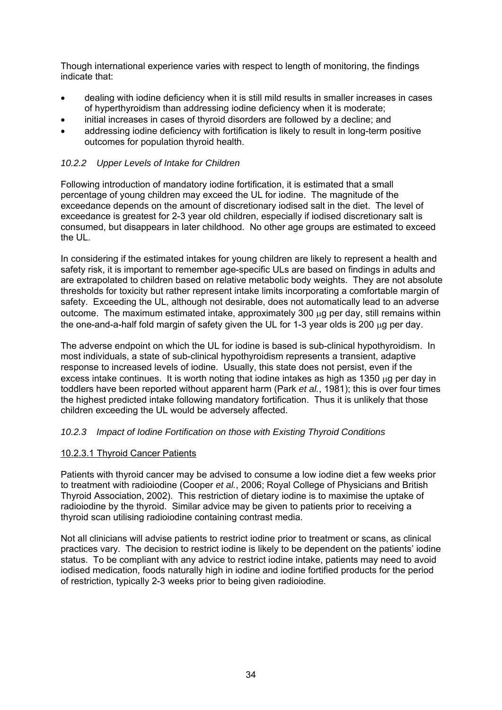Though international experience varies with respect to length of monitoring, the findings indicate that:

- dealing with iodine deficiency when it is still mild results in smaller increases in cases of hyperthyroidism than addressing iodine deficiency when it is moderate;
- initial increases in cases of thyroid disorders are followed by a decline; and
- addressing iodine deficiency with fortification is likely to result in long-term positive outcomes for population thyroid health.

#### *10.2.2 Upper Levels of Intake for Children*

Following introduction of mandatory iodine fortification, it is estimated that a small percentage of young children may exceed the UL for iodine. The magnitude of the exceedance depends on the amount of discretionary iodised salt in the diet. The level of exceedance is greatest for 2-3 year old children, especially if iodised discretionary salt is consumed, but disappears in later childhood. No other age groups are estimated to exceed the UL.

In considering if the estimated intakes for young children are likely to represent a health and safety risk, it is important to remember age-specific ULs are based on findings in adults and are extrapolated to children based on relative metabolic body weights. They are not absolute thresholds for toxicity but rather represent intake limits incorporating a comfortable margin of safety. Exceeding the UL, although not desirable, does not automatically lead to an adverse outcome. The maximum estimated intake, approximately 300 μg per day, still remains within the one-and-a-half fold margin of safety given the UL for 1-3 year olds is 200 μg per day.

The adverse endpoint on which the UL for iodine is based is sub-clinical hypothyroidism. In most individuals, a state of sub-clinical hypothyroidism represents a transient, adaptive response to increased levels of iodine. Usually, this state does not persist, even if the excess intake continues. It is worth noting that iodine intakes as high as 1350 μg per day in toddlers have been reported without apparent harm (Park *et al.*, 1981); this is over four times the highest predicted intake following mandatory fortification. Thus it is unlikely that those children exceeding the UL would be adversely affected.

#### *10.2.3 Impact of Iodine Fortification on those with Existing Thyroid Conditions*

#### 10.2.3.1 Thyroid Cancer Patients

Patients with thyroid cancer may be advised to consume a low iodine diet a few weeks prior to treatment with radioiodine (Cooper *et al.*, 2006; Royal College of Physicians and British Thyroid Association, 2002). This restriction of dietary iodine is to maximise the uptake of radioiodine by the thyroid. Similar advice may be given to patients prior to receiving a thyroid scan utilising radioiodine containing contrast media.

Not all clinicians will advise patients to restrict iodine prior to treatment or scans, as clinical practices vary. The decision to restrict iodine is likely to be dependent on the patients' iodine status. To be compliant with any advice to restrict iodine intake, patients may need to avoid iodised medication, foods naturally high in iodine and iodine fortified products for the period of restriction, typically 2-3 weeks prior to being given radioiodine.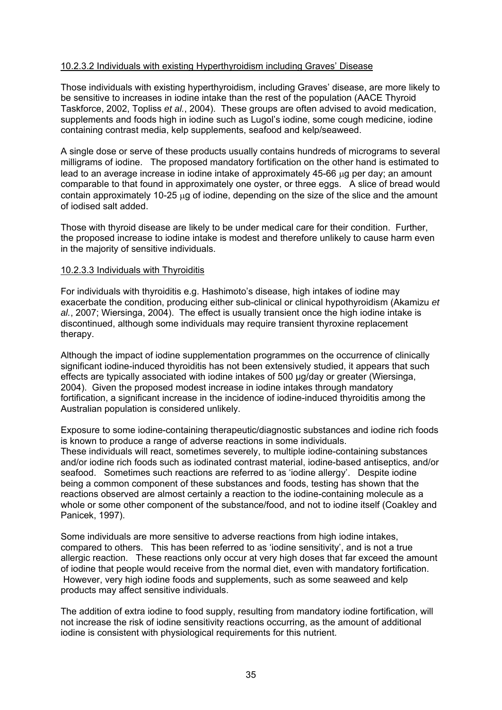#### 10.2.3.2 Individuals with existing Hyperthyroidism including Graves' Disease

Those individuals with existing hyperthyroidism, including Graves' disease, are more likely to be sensitive to increases in iodine intake than the rest of the population (AACE Thyroid Taskforce, 2002, Topliss *et al.*, 2004). These groups are often advised to avoid medication, supplements and foods high in iodine such as Lugol's iodine, some cough medicine, iodine containing contrast media, kelp supplements, seafood and kelp/seaweed.

A single dose or serve of these products usually contains hundreds of micrograms to several milligrams of iodine. The proposed mandatory fortification on the other hand is estimated to lead to an average increase in iodine intake of approximately 45-66 μg per day; an amount comparable to that found in approximately one oyster, or three eggs. A slice of bread would contain approximately 10-25 μg of iodine, depending on the size of the slice and the amount of iodised salt added.

Those with thyroid disease are likely to be under medical care for their condition. Further, the proposed increase to iodine intake is modest and therefore unlikely to cause harm even in the majority of sensitive individuals.

#### 10.2.3.3 Individuals with Thyroiditis

For individuals with thyroiditis e.g. Hashimoto's disease, high intakes of iodine may exacerbate the condition, producing either sub-clinical or clinical hypothyroidism (Akamizu *et al.*, 2007; Wiersinga, 2004). The effect is usually transient once the high iodine intake is discontinued, although some individuals may require transient thyroxine replacement therapy.

Although the impact of iodine supplementation programmes on the occurrence of clinically significant iodine-induced thyroiditis has not been extensively studied, it appears that such effects are typically associated with iodine intakes of 500 μg/day or greater (Wiersinga, 2004). Given the proposed modest increase in iodine intakes through mandatory fortification, a significant increase in the incidence of iodine-induced thyroiditis among the Australian population is considered unlikely.

Exposure to some iodine-containing therapeutic/diagnostic substances and iodine rich foods is known to produce a range of adverse reactions in some individuals. These individuals will react, sometimes severely, to multiple iodine-containing substances and/or iodine rich foods such as iodinated contrast material, iodine-based antiseptics, and/or seafood. Sometimes such reactions are referred to as 'iodine allergy'. Despite iodine being a common component of these substances and foods, testing has shown that the reactions observed are almost certainly a reaction to the iodine-containing molecule as a whole or some other component of the substance/food, and not to iodine itself (Coakley and Panicek, 1997).

Some individuals are more sensitive to adverse reactions from high iodine intakes, compared to others. This has been referred to as 'iodine sensitivity', and is not a true allergic reaction. These reactions only occur at very high doses that far exceed the amount of iodine that people would receive from the normal diet, even with mandatory fortification. However, very high iodine foods and supplements, such as some seaweed and kelp products may affect sensitive individuals.

The addition of extra iodine to food supply, resulting from mandatory iodine fortification, will not increase the risk of iodine sensitivity reactions occurring, as the amount of additional iodine is consistent with physiological requirements for this nutrient.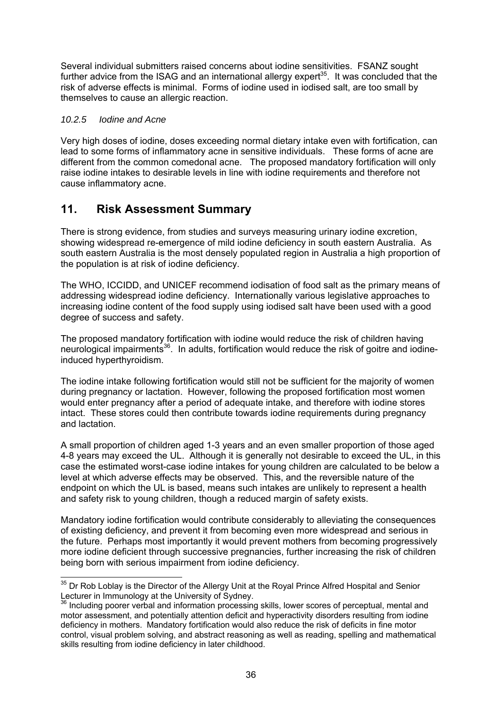Several individual submitters raised concerns about iodine sensitivities. FSANZ sought further advice from the ISAG and an international allergy expert<sup>35</sup>. It was concluded that the risk of adverse effects is minimal. Forms of iodine used in iodised salt, are too small by themselves to cause an allergic reaction.

## *10.2.5 Iodine and Acne*

Very high doses of iodine, doses exceeding normal dietary intake even with fortification, can lead to some forms of inflammatory acne in sensitive individuals. These forms of acne are different from the common comedonal acne. The proposed mandatory fortification will only raise iodine intakes to desirable levels in line with iodine requirements and therefore not cause inflammatory acne.

# **11. Risk Assessment Summary**

There is strong evidence, from studies and surveys measuring urinary iodine excretion, showing widespread re-emergence of mild iodine deficiency in south eastern Australia. As south eastern Australia is the most densely populated region in Australia a high proportion of the population is at risk of iodine deficiency.

The WHO, ICCIDD, and UNICEF recommend iodisation of food salt as the primary means of addressing widespread iodine deficiency. Internationally various legislative approaches to increasing iodine content of the food supply using iodised salt have been used with a good degree of success and safety.

The proposed mandatory fortification with iodine would reduce the risk of children having neurological impairments<sup>36</sup>. In adults, fortification would reduce the risk of goitre and iodineinduced hyperthyroidism.

The iodine intake following fortification would still not be sufficient for the majority of women during pregnancy or lactation. However, following the proposed fortification most women would enter pregnancy after a period of adequate intake, and therefore with iodine stores intact. These stores could then contribute towards iodine requirements during pregnancy and lactation.

A small proportion of children aged 1-3 years and an even smaller proportion of those aged 4-8 years may exceed the UL. Although it is generally not desirable to exceed the UL, in this case the estimated worst-case iodine intakes for young children are calculated to be below a level at which adverse effects may be observed. This, and the reversible nature of the endpoint on which the UL is based, means such intakes are unlikely to represent a health and safety risk to young children, though a reduced margin of safety exists.

Mandatory iodine fortification would contribute considerably to alleviating the consequences of existing deficiency, and prevent it from becoming even more widespread and serious in the future. Perhaps most importantly it would prevent mothers from becoming progressively more iodine deficient through successive pregnancies, further increasing the risk of children being born with serious impairment from iodine deficiency.

 $\overline{a}$  $35$  Dr Rob Loblay is the Director of the Allergy Unit at the Royal Prince Alfred Hospital and Senior Lecturer in Immunology at the University of Sydney.

<sup>&</sup>lt;sup>36</sup> Including poorer verbal and information processing skills, lower scores of perceptual, mental and motor assessment, and potentially attention deficit and hyperactivity disorders resulting from iodine deficiency in mothers. Mandatory fortification would also reduce the risk of deficits in fine motor control, visual problem solving, and abstract reasoning as well as reading, spelling and mathematical skills resulting from iodine deficiency in later childhood.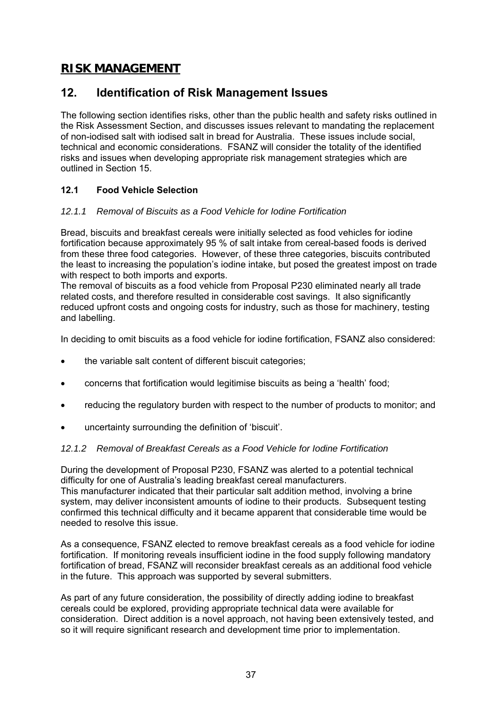# **RISK MANAGEMENT**

# **12. Identification of Risk Management Issues**

The following section identifies risks, other than the public health and safety risks outlined in the Risk Assessment Section, and discusses issues relevant to mandating the replacement of non-iodised salt with iodised salt in bread for Australia. These issues include social, technical and economic considerations. FSANZ will consider the totality of the identified risks and issues when developing appropriate risk management strategies which are outlined in Section 15.

## **12.1 Food Vehicle Selection**

## *12.1.1 Removal of Biscuits as a Food Vehicle for Iodine Fortification*

Bread, biscuits and breakfast cereals were initially selected as food vehicles for iodine fortification because approximately 95 % of salt intake from cereal-based foods is derived from these three food categories. However, of these three categories, biscuits contributed the least to increasing the population's iodine intake, but posed the greatest impost on trade with respect to both imports and exports.

The removal of biscuits as a food vehicle from Proposal P230 eliminated nearly all trade related costs, and therefore resulted in considerable cost savings. It also significantly reduced upfront costs and ongoing costs for industry, such as those for machinery, testing and labelling.

In deciding to omit biscuits as a food vehicle for iodine fortification, FSANZ also considered:

- the variable salt content of different biscuit categories:
- concerns that fortification would legitimise biscuits as being a 'health' food;
- reducing the regulatory burden with respect to the number of products to monitor; and
- uncertainty surrounding the definition of 'biscuit'.

#### *12.1.2 Removal of Breakfast Cereals as a Food Vehicle for Iodine Fortification*

During the development of Proposal P230, FSANZ was alerted to a potential technical difficulty for one of Australia's leading breakfast cereal manufacturers. This manufacturer indicated that their particular salt addition method, involving a brine

system, may deliver inconsistent amounts of iodine to their products. Subsequent testing confirmed this technical difficulty and it became apparent that considerable time would be needed to resolve this issue.

As a consequence, FSANZ elected to remove breakfast cereals as a food vehicle for iodine fortification. If monitoring reveals insufficient iodine in the food supply following mandatory fortification of bread, FSANZ will reconsider breakfast cereals as an additional food vehicle in the future. This approach was supported by several submitters.

As part of any future consideration, the possibility of directly adding iodine to breakfast cereals could be explored, providing appropriate technical data were available for consideration. Direct addition is a novel approach, not having been extensively tested, and so it will require significant research and development time prior to implementation.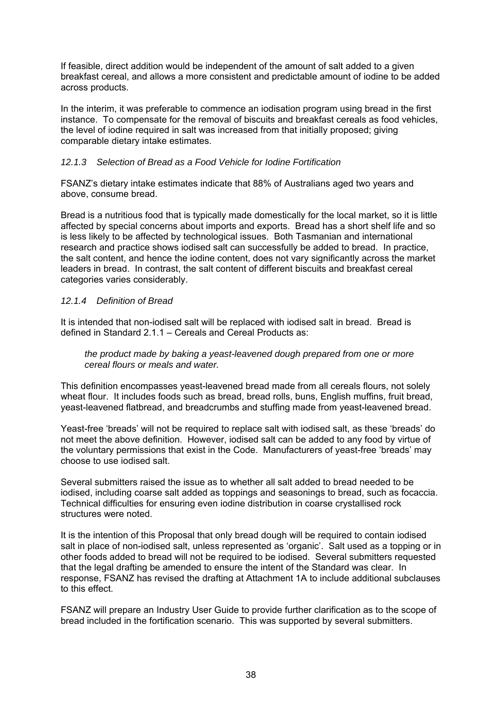If feasible, direct addition would be independent of the amount of salt added to a given breakfast cereal, and allows a more consistent and predictable amount of iodine to be added across products.

In the interim, it was preferable to commence an iodisation program using bread in the first instance. To compensate for the removal of biscuits and breakfast cereals as food vehicles, the level of iodine required in salt was increased from that initially proposed; giving comparable dietary intake estimates.

#### *12.1.3 Selection of Bread as a Food Vehicle for Iodine Fortification*

FSANZ's dietary intake estimates indicate that 88% of Australians aged two years and above, consume bread.

Bread is a nutritious food that is typically made domestically for the local market, so it is little affected by special concerns about imports and exports. Bread has a short shelf life and so is less likely to be affected by technological issues. Both Tasmanian and international research and practice shows iodised salt can successfully be added to bread. In practice, the salt content, and hence the iodine content, does not vary significantly across the market leaders in bread. In contrast, the salt content of different biscuits and breakfast cereal categories varies considerably.

#### *12.1.4 Definition of Bread*

It is intended that non-iodised salt will be replaced with iodised salt in bread. Bread is defined in Standard 2.1.1 – Cereals and Cereal Products as:

#### *the product made by baking a yeast-leavened dough prepared from one or more cereal flours or meals and water.*

This definition encompasses yeast-leavened bread made from all cereals flours, not solely wheat flour. It includes foods such as bread, bread rolls, buns, English muffins, fruit bread, yeast-leavened flatbread, and breadcrumbs and stuffing made from yeast-leavened bread.

Yeast-free 'breads' will not be required to replace salt with iodised salt, as these 'breads' do not meet the above definition. However, iodised salt can be added to any food by virtue of the voluntary permissions that exist in the Code. Manufacturers of yeast-free 'breads' may choose to use iodised salt.

Several submitters raised the issue as to whether all salt added to bread needed to be iodised, including coarse salt added as toppings and seasonings to bread, such as focaccia. Technical difficulties for ensuring even iodine distribution in coarse crystallised rock structures were noted.

It is the intention of this Proposal that only bread dough will be required to contain iodised salt in place of non-iodised salt, unless represented as 'organic'. Salt used as a topping or in other foods added to bread will not be required to be iodised. Several submitters requested that the legal drafting be amended to ensure the intent of the Standard was clear. In response, FSANZ has revised the drafting at Attachment 1A to include additional subclauses to this effect.

FSANZ will prepare an Industry User Guide to provide further clarification as to the scope of bread included in the fortification scenario. This was supported by several submitters.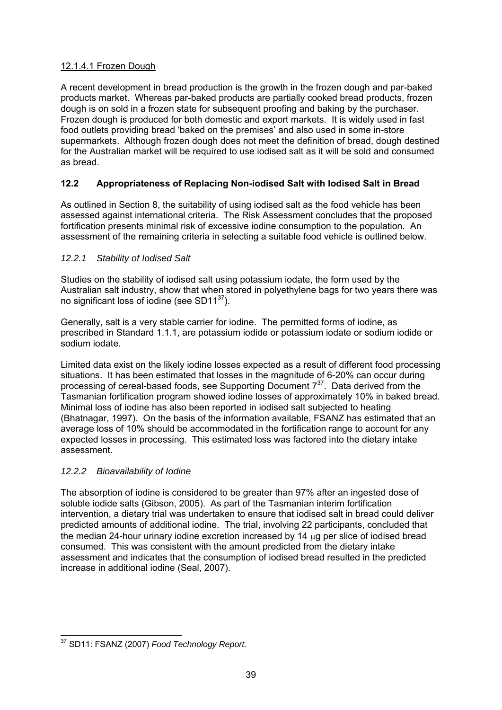## 12.1.4.1 Frozen Dough

A recent development in bread production is the growth in the frozen dough and par-baked products market. Whereas par-baked products are partially cooked bread products, frozen dough is on sold in a frozen state for subsequent proofing and baking by the purchaser. Frozen dough is produced for both domestic and export markets. It is widely used in fast food outlets providing bread 'baked on the premises' and also used in some in-store supermarkets. Although frozen dough does not meet the definition of bread, dough destined for the Australian market will be required to use iodised salt as it will be sold and consumed as bread.

## **12.2 Appropriateness of Replacing Non-iodised Salt with Iodised Salt in Bread**

As outlined in Section 8, the suitability of using iodised salt as the food vehicle has been assessed against international criteria. The Risk Assessment concludes that the proposed fortification presents minimal risk of excessive iodine consumption to the population. An assessment of the remaining criteria in selecting a suitable food vehicle is outlined below.

## *12.2.1 Stability of Iodised Salt*

Studies on the stability of iodised salt using potassium iodate, the form used by the Australian salt industry, show that when stored in polyethylene bags for two years there was no significant loss of iodine (see  $SD11^{37}$ ).

Generally, salt is a very stable carrier for iodine. The permitted forms of iodine, as prescribed in Standard 1.1.1, are potassium iodide or potassium iodate or sodium iodide or sodium iodate.

Limited data exist on the likely iodine losses expected as a result of different food processing situations. It has been estimated that losses in the magnitude of 6-20% can occur during processing of cereal-based foods, see Supporting Document  $7^{37}$ . Data derived from the Tasmanian fortification program showed iodine losses of approximately 10% in baked bread. Minimal loss of iodine has also been reported in iodised salt subjected to heating (Bhatnagar, 1997). On the basis of the information available, FSANZ has estimated that an average loss of 10% should be accommodated in the fortification range to account for any expected losses in processing. This estimated loss was factored into the dietary intake assessment.

## *12.2.2 Bioavailability of Iodine*

The absorption of iodine is considered to be greater than 97% after an ingested dose of soluble iodide salts (Gibson, 2005). As part of the Tasmanian interim fortification intervention, a dietary trial was undertaken to ensure that iodised salt in bread could deliver predicted amounts of additional iodine. The trial, involving 22 participants, concluded that the median 24-hour urinary iodine excretion increased by 14 μg per slice of iodised bread consumed. This was consistent with the amount predicted from the dietary intake assessment and indicates that the consumption of iodised bread resulted in the predicted increase in additional iodine (Seal, 2007).

 $\overline{a}$ 37 SD11: FSANZ (2007) *Food Technology Report.*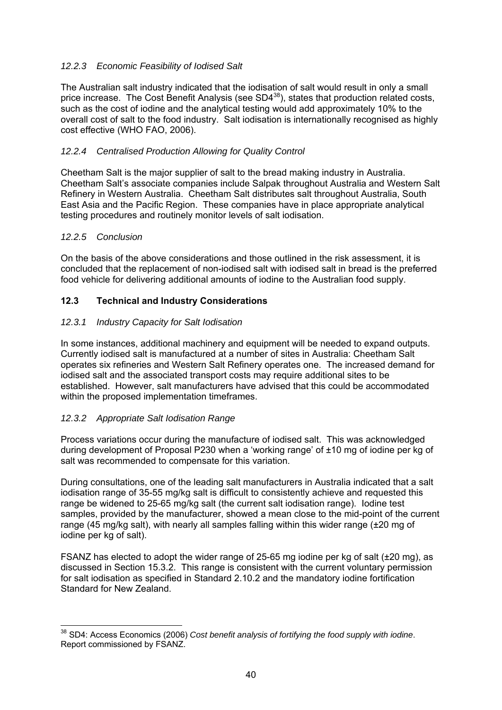## *12.2.3 Economic Feasibility of Iodised Salt*

The Australian salt industry indicated that the iodisation of salt would result in only a small price increase. The Cost Benefit Analysis (see SD4<sup>38</sup>), states that production related costs, such as the cost of iodine and the analytical testing would add approximately 10% to the overall cost of salt to the food industry. Salt iodisation is internationally recognised as highly cost effective (WHO FAO, 2006).

## *12.2.4 Centralised Production Allowing for Quality Control*

Cheetham Salt is the major supplier of salt to the bread making industry in Australia. Cheetham Salt's associate companies include Salpak throughout Australia and Western Salt Refinery in Western Australia. Cheetham Salt distributes salt throughout Australia, South East Asia and the Pacific Region. These companies have in place appropriate analytical testing procedures and routinely monitor levels of salt iodisation.

#### *12.2.5 Conclusion*

On the basis of the above considerations and those outlined in the risk assessment, it is concluded that the replacement of non-iodised salt with iodised salt in bread is the preferred food vehicle for delivering additional amounts of iodine to the Australian food supply.

## **12.3 Technical and Industry Considerations**

## *12.3.1 Industry Capacity for Salt Iodisation*

In some instances, additional machinery and equipment will be needed to expand outputs. Currently iodised salt is manufactured at a number of sites in Australia: Cheetham Salt operates six refineries and Western Salt Refinery operates one. The increased demand for iodised salt and the associated transport costs may require additional sites to be established. However, salt manufacturers have advised that this could be accommodated within the proposed implementation timeframes.

#### *12.3.2 Appropriate Salt Iodisation Range*

Process variations occur during the manufacture of iodised salt. This was acknowledged during development of Proposal P230 when a 'working range' of ±10 mg of iodine per kg of salt was recommended to compensate for this variation.

During consultations, one of the leading salt manufacturers in Australia indicated that a salt iodisation range of 35-55 mg/kg salt is difficult to consistently achieve and requested this range be widened to 25-65 mg/kg salt (the current salt iodisation range). Iodine test samples, provided by the manufacturer, showed a mean close to the mid-point of the current range (45 mg/kg salt), with nearly all samples falling within this wider range  $(\pm 20 \text{ mg of})$ iodine per kg of salt).

FSANZ has elected to adopt the wider range of 25-65 mg iodine per kg of salt (±20 mg), as discussed in Section 15.3.2. This range is consistent with the current voluntary permission for salt iodisation as specified in Standard 2.10.2 and the mandatory iodine fortification Standard for New Zealand.

<sup>1</sup> 38 SD4: Access Economics (2006) *Cost benefit analysis of fortifying the food supply with iodine*. Report commissioned by FSANZ.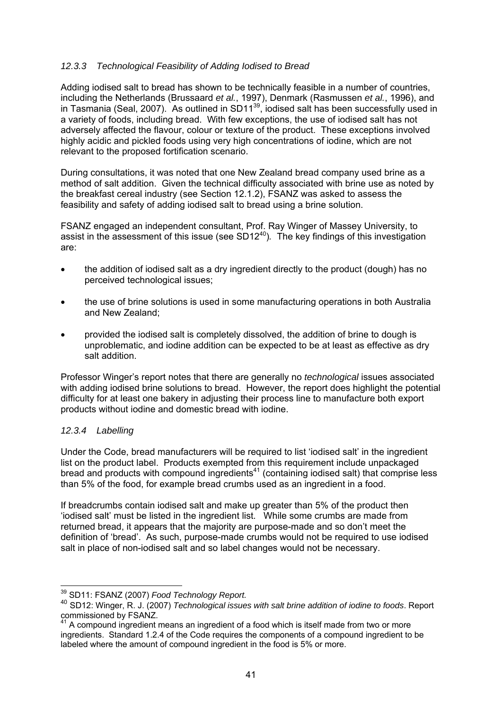#### *12.3.3 Technological Feasibility of Adding Iodised to Bread*

Adding iodised salt to bread has shown to be technically feasible in a number of countries, including the Netherlands (Brussaard *et al.*, 1997), Denmark (Rasmussen *et al.*, 1996), and in Tasmania (Seal, 2007). As outlined in SD1139, iodised salt has been successfully used in a variety of foods, including bread. With few exceptions, the use of iodised salt has not adversely affected the flavour, colour or texture of the product. These exceptions involved highly acidic and pickled foods using very high concentrations of iodine, which are not relevant to the proposed fortification scenario.

During consultations, it was noted that one New Zealand bread company used brine as a method of salt addition. Given the technical difficulty associated with brine use as noted by the breakfast cereal industry (see Section 12.1.2), FSANZ was asked to assess the feasibility and safety of adding iodised salt to bread using a brine solution.

FSANZ engaged an independent consultant, Prof. Ray Winger of Massey University, to assist in the assessment of this issue (see SD1240)*.* The key findings of this investigation are:

- the addition of iodised salt as a dry ingredient directly to the product (dough) has no perceived technological issues;
- the use of brine solutions is used in some manufacturing operations in both Australia and New Zealand;
- provided the iodised salt is completely dissolved, the addition of brine to dough is unproblematic, and iodine addition can be expected to be at least as effective as dry salt addition.

Professor Winger's report notes that there are generally no *technological* issues associated with adding iodised brine solutions to bread. However, the report does highlight the potential difficulty for at least one bakery in adjusting their process line to manufacture both export products without iodine and domestic bread with iodine.

#### *12.3.4 Labelling*

1

Under the Code, bread manufacturers will be required to list 'iodised salt' in the ingredient list on the product label. Products exempted from this requirement include unpackaged bread and products with compound ingredients<sup>41</sup> (containing iodised salt) that comprise less than 5% of the food, for example bread crumbs used as an ingredient in a food.

If breadcrumbs contain iodised salt and make up greater than 5% of the product then 'iodised salt' must be listed in the ingredient list. While some crumbs are made from returned bread, it appears that the majority are purpose-made and so don't meet the definition of 'bread'. As such, purpose-made crumbs would not be required to use iodised salt in place of non-iodised salt and so label changes would not be necessary.

<sup>39</sup> SD11: FSANZ (2007) *Food Technology Report.*

<sup>40</sup> SD12: Winger, R. J. (2007) *Technological issues with salt brine addition of iodine to foods*. Report commissioned by FSANZ.

<sup>&</sup>lt;sup>41</sup> A compound ingredient means an ingredient of a food which is itself made from two or more ingredients. Standard 1.2.4 of the Code requires the components of a compound ingredient to be labeled where the amount of compound ingredient in the food is 5% or more.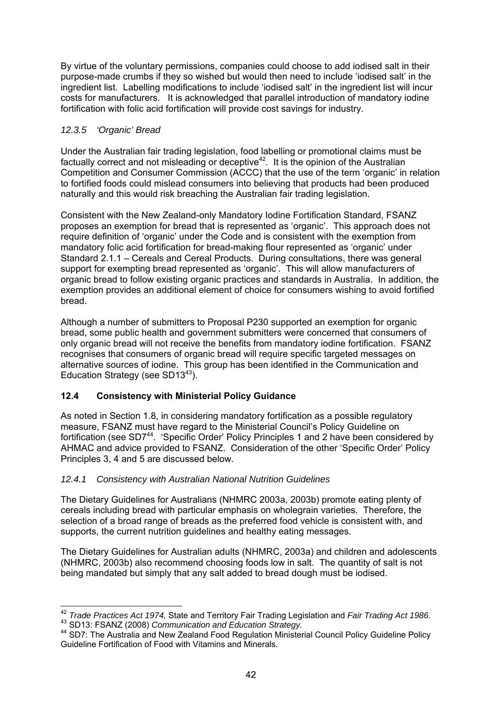By virtue of the voluntary permissions, companies could choose to add iodised salt in their purpose-made crumbs if they so wished but would then need to include 'iodised salt' in the ingredient list. Labelling modifications to include 'iodised salt' in the ingredient list will incur costs for manufacturers. It is acknowledged that parallel introduction of mandatory iodine fortification with folic acid fortification will provide cost savings for industry.

## *12.3.5 'Organic' Bread*

Under the Australian fair trading legislation, food labelling or promotional claims must be factually correct and not misleading or deceptive<sup>42</sup>. It is the opinion of the Australian Competition and Consumer Commission (ACCC) that the use of the term 'organic' in relation to fortified foods could mislead consumers into believing that products had been produced naturally and this would risk breaching the Australian fair trading legislation.

Consistent with the New Zealand-only Mandatory Iodine Fortification Standard, FSANZ proposes an exemption for bread that is represented as 'organic'. This approach does not require definition of 'organic' under the Code and is consistent with the exemption from mandatory folic acid fortification for bread-making flour represented as 'organic' under Standard 2.1.1 – Cereals and Cereal Products. During consultations, there was general support for exempting bread represented as 'organic'. This will allow manufacturers of organic bread to follow existing organic practices and standards in Australia. In addition, the exemption provides an additional element of choice for consumers wishing to avoid fortified bread.

Although a number of submitters to Proposal P230 supported an exemption for organic bread, some public health and government submitters were concerned that consumers of only organic bread will not receive the benefits from mandatory iodine fortification. FSANZ recognises that consumers of organic bread will require specific targeted messages on alternative sources of iodine. This group has been identified in the Communication and Education Strategy (see SD13<sup>43</sup>).

## **12.4 Consistency with Ministerial Policy Guidance**

As noted in Section 1.8, in considering mandatory fortification as a possible regulatory measure, FSANZ must have regard to the Ministerial Council's Policy Guideline on fortification (see SD7<sup>44</sup>. 'Specific Order' Policy Principles 1 and 2 have been considered by AHMAC and advice provided to FSANZ. Consideration of the other 'Specific Order' Policy Principles 3, 4 and 5 are discussed below.

## *12.4.1 Consistency with Australian National Nutrition Guidelines*

The Dietary Guidelines for Australians (NHMRC 2003a, 2003b) promote eating plenty of cereals including bread with particular emphasis on wholegrain varieties. Therefore, the selection of a broad range of breads as the preferred food vehicle is consistent with, and supports, the current nutrition guidelines and healthy eating messages.

The Dietary Guidelines for Australian adults (NHMRC, 2003a) and children and adolescents (NHMRC, 2003b) also recommend choosing foods low in salt. The quantity of salt is not being mandated but simply that any salt added to bread dough must be iodised.

<sup>&</sup>lt;sup>42</sup> Trade Practices Act 1974, State and Territory Fair Trading Legislation and Fair Trading Act 1986. <sup>43</sup> SD13: FSANZ (2008) Communication and Education Strategy.<br><sup>44</sup> SD7: The Australia and New Zealand Food Regulation Ministerial Council Policy Guideline Policy

Guideline Fortification of Food with Vitamins and Minerals.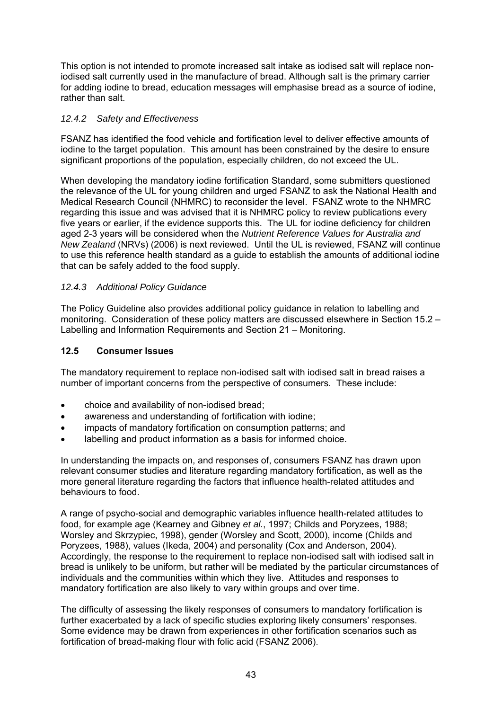This option is not intended to promote increased salt intake as iodised salt will replace noniodised salt currently used in the manufacture of bread. Although salt is the primary carrier for adding iodine to bread, education messages will emphasise bread as a source of iodine, rather than salt.

## *12.4.2 Safety and Effectiveness*

FSANZ has identified the food vehicle and fortification level to deliver effective amounts of iodine to the target population. This amount has been constrained by the desire to ensure significant proportions of the population, especially children, do not exceed the UL.

When developing the mandatory iodine fortification Standard, some submitters questioned the relevance of the UL for young children and urged FSANZ to ask the National Health and Medical Research Council (NHMRC) to reconsider the level. FSANZ wrote to the NHMRC regarding this issue and was advised that it is NHMRC policy to review publications every five years or earlier, if the evidence supports this. The UL for iodine deficiency for children aged 2-3 years will be considered when the *Nutrient Reference Values for Australia and New Zealand* (NRVs) (2006) is next reviewed. Until the UL is reviewed, FSANZ will continue to use this reference health standard as a guide to establish the amounts of additional iodine that can be safely added to the food supply.

## *12.4.3 Additional Policy Guidance*

The Policy Guideline also provides additional policy guidance in relation to labelling and monitoring. Consideration of these policy matters are discussed elsewhere in Section 15.2 – Labelling and Information Requirements and Section 21 – Monitoring.

#### **12.5 Consumer Issues**

The mandatory requirement to replace non-iodised salt with iodised salt in bread raises a number of important concerns from the perspective of consumers. These include:

- choice and availability of non-iodised bread;
- awareness and understanding of fortification with iodine;
- impacts of mandatory fortification on consumption patterns; and
- labelling and product information as a basis for informed choice.

In understanding the impacts on, and responses of, consumers FSANZ has drawn upon relevant consumer studies and literature regarding mandatory fortification, as well as the more general literature regarding the factors that influence health-related attitudes and behaviours to food.

A range of psycho-social and demographic variables influence health-related attitudes to food, for example age (Kearney and Gibney *et al.*, 1997; Childs and Poryzees, 1988; Worsley and Skrzypiec, 1998), gender (Worsley and Scott, 2000), income (Childs and Poryzees, 1988), values (Ikeda, 2004) and personality (Cox and Anderson, 2004). Accordingly, the response to the requirement to replace non-iodised salt with iodised salt in bread is unlikely to be uniform, but rather will be mediated by the particular circumstances of individuals and the communities within which they live. Attitudes and responses to mandatory fortification are also likely to vary within groups and over time.

The difficulty of assessing the likely responses of consumers to mandatory fortification is further exacerbated by a lack of specific studies exploring likely consumers' responses. Some evidence may be drawn from experiences in other fortification scenarios such as fortification of bread-making flour with folic acid (FSANZ 2006).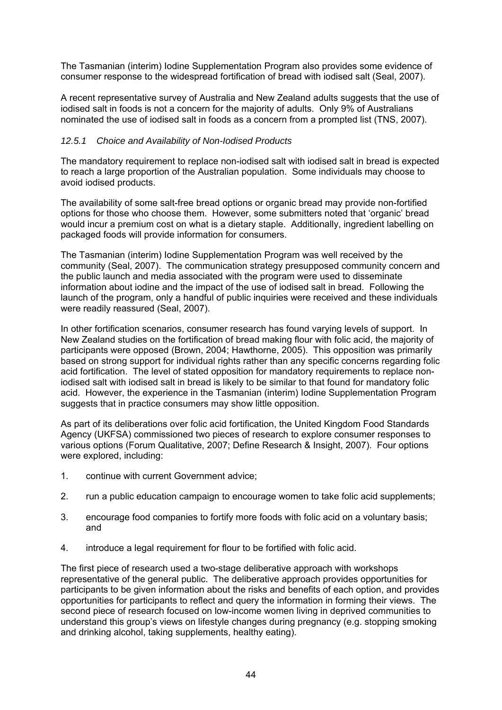The Tasmanian (interim) Iodine Supplementation Program also provides some evidence of consumer response to the widespread fortification of bread with iodised salt (Seal, 2007).

A recent representative survey of Australia and New Zealand adults suggests that the use of iodised salt in foods is not a concern for the majority of adults. Only 9% of Australians nominated the use of iodised salt in foods as a concern from a prompted list (TNS, 2007).

#### *12.5.1 Choice and Availability of Non-Iodised Products*

The mandatory requirement to replace non-iodised salt with iodised salt in bread is expected to reach a large proportion of the Australian population. Some individuals may choose to avoid iodised products.

The availability of some salt-free bread options or organic bread may provide non-fortified options for those who choose them. However, some submitters noted that 'organic' bread would incur a premium cost on what is a dietary staple. Additionally, ingredient labelling on packaged foods will provide information for consumers.

The Tasmanian (interim) Iodine Supplementation Program was well received by the community (Seal, 2007). The communication strategy presupposed community concern and the public launch and media associated with the program were used to disseminate information about iodine and the impact of the use of iodised salt in bread. Following the launch of the program, only a handful of public inquiries were received and these individuals were readily reassured (Seal, 2007).

In other fortification scenarios, consumer research has found varying levels of support. In New Zealand studies on the fortification of bread making flour with folic acid, the majority of participants were opposed (Brown, 2004; Hawthorne, 2005). This opposition was primarily based on strong support for individual rights rather than any specific concerns regarding folic acid fortification. The level of stated opposition for mandatory requirements to replace noniodised salt with iodised salt in bread is likely to be similar to that found for mandatory folic acid. However, the experience in the Tasmanian (interim) Iodine Supplementation Program suggests that in practice consumers may show little opposition.

As part of its deliberations over folic acid fortification, the United Kingdom Food Standards Agency (UKFSA) commissioned two pieces of research to explore consumer responses to various options (Forum Qualitative, 2007; Define Research & Insight, 2007). Four options were explored, including:

- 1. continue with current Government advice;
- 2. run a public education campaign to encourage women to take folic acid supplements;
- 3. encourage food companies to fortify more foods with folic acid on a voluntary basis; and
- 4. introduce a legal requirement for flour to be fortified with folic acid.

The first piece of research used a two-stage deliberative approach with workshops representative of the general public. The deliberative approach provides opportunities for participants to be given information about the risks and benefits of each option, and provides opportunities for participants to reflect and query the information in forming their views. The second piece of research focused on low-income women living in deprived communities to understand this group's views on lifestyle changes during pregnancy (e.g. stopping smoking and drinking alcohol, taking supplements, healthy eating).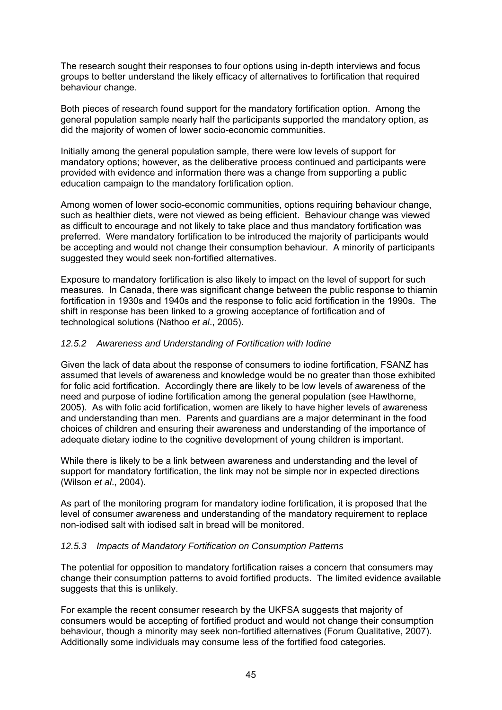The research sought their responses to four options using in-depth interviews and focus groups to better understand the likely efficacy of alternatives to fortification that required behaviour change.

Both pieces of research found support for the mandatory fortification option. Among the general population sample nearly half the participants supported the mandatory option, as did the majority of women of lower socio-economic communities.

Initially among the general population sample, there were low levels of support for mandatory options; however, as the deliberative process continued and participants were provided with evidence and information there was a change from supporting a public education campaign to the mandatory fortification option.

Among women of lower socio-economic communities, options requiring behaviour change, such as healthier diets, were not viewed as being efficient. Behaviour change was viewed as difficult to encourage and not likely to take place and thus mandatory fortification was preferred. Were mandatory fortification to be introduced the majority of participants would be accepting and would not change their consumption behaviour. A minority of participants suggested they would seek non-fortified alternatives.

Exposure to mandatory fortification is also likely to impact on the level of support for such measures. In Canada, there was significant change between the public response to thiamin fortification in 1930s and 1940s and the response to folic acid fortification in the 1990s. The shift in response has been linked to a growing acceptance of fortification and of technological solutions (Nathoo *et al*., 2005).

#### *12.5.2 Awareness and Understanding of Fortification with Iodine*

Given the lack of data about the response of consumers to iodine fortification, FSANZ has assumed that levels of awareness and knowledge would be no greater than those exhibited for folic acid fortification. Accordingly there are likely to be low levels of awareness of the need and purpose of iodine fortification among the general population (see Hawthorne, 2005). As with folic acid fortification, women are likely to have higher levels of awareness and understanding than men. Parents and guardians are a major determinant in the food choices of children and ensuring their awareness and understanding of the importance of adequate dietary iodine to the cognitive development of young children is important.

While there is likely to be a link between awareness and understanding and the level of support for mandatory fortification, the link may not be simple nor in expected directions (Wilson *et al*., 2004).

As part of the monitoring program for mandatory iodine fortification, it is proposed that the level of consumer awareness and understanding of the mandatory requirement to replace non-iodised salt with iodised salt in bread will be monitored.

#### *12.5.3 Impacts of Mandatory Fortification on Consumption Patterns*

The potential for opposition to mandatory fortification raises a concern that consumers may change their consumption patterns to avoid fortified products. The limited evidence available suggests that this is unlikely.

For example the recent consumer research by the UKFSA suggests that majority of consumers would be accepting of fortified product and would not change their consumption behaviour, though a minority may seek non-fortified alternatives (Forum Qualitative, 2007). Additionally some individuals may consume less of the fortified food categories.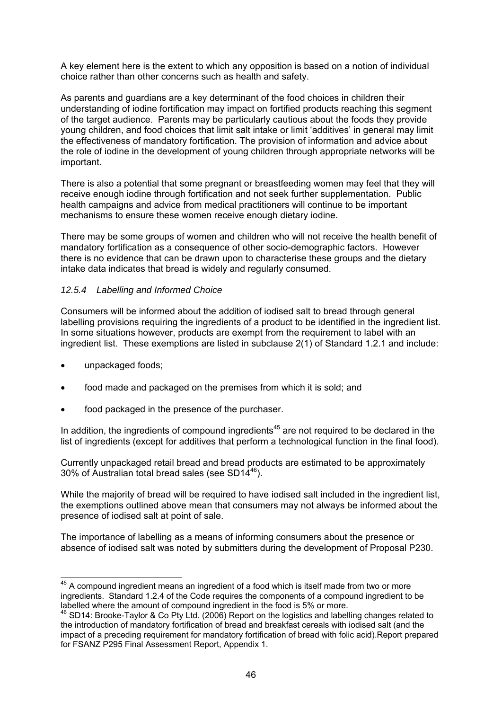A key element here is the extent to which any opposition is based on a notion of individual choice rather than other concerns such as health and safety.

As parents and guardians are a key determinant of the food choices in children their understanding of iodine fortification may impact on fortified products reaching this segment of the target audience. Parents may be particularly cautious about the foods they provide young children, and food choices that limit salt intake or limit 'additives' in general may limit the effectiveness of mandatory fortification. The provision of information and advice about the role of iodine in the development of young children through appropriate networks will be important.

There is also a potential that some pregnant or breastfeeding women may feel that they will receive enough iodine through fortification and not seek further supplementation. Public health campaigns and advice from medical practitioners will continue to be important mechanisms to ensure these women receive enough dietary iodine.

There may be some groups of women and children who will not receive the health benefit of mandatory fortification as a consequence of other socio-demographic factors. However there is no evidence that can be drawn upon to characterise these groups and the dietary intake data indicates that bread is widely and regularly consumed.

#### *12.5.4 Labelling and Informed Choice*

Consumers will be informed about the addition of iodised salt to bread through general labelling provisions requiring the ingredients of a product to be identified in the ingredient list. In some situations however, products are exempt from the requirement to label with an ingredient list. These exemptions are listed in subclause 2(1) of Standard 1.2.1 and include:

• unpackaged foods;

 $\overline{a}$ 

- food made and packaged on the premises from which it is sold; and
- food packaged in the presence of the purchaser.

In addition, the ingredients of compound ingredients<sup>45</sup> are not required to be declared in the list of ingredients (except for additives that perform a technological function in the final food).

Currently unpackaged retail bread and bread products are estimated to be approximately 30% of Australian total bread sales (see SD1446).

While the majority of bread will be required to have jodised salt included in the ingredient list. the exemptions outlined above mean that consumers may not always be informed about the presence of iodised salt at point of sale.

The importance of labelling as a means of informing consumers about the presence or absence of iodised salt was noted by submitters during the development of Proposal P230.

 $45$  A compound ingredient means an ingredient of a food which is itself made from two or more ingredients. Standard 1.2.4 of the Code requires the components of a compound ingredient to be labelled where the amount of compound ingredient in the food is 5% or more.

 $46$  SD14: Brooke-Taylor & Co Pty Ltd. (2006) Report on the logistics and labelling changes related to the introduction of mandatory fortification of bread and breakfast cereals with iodised salt (and the impact of a preceding requirement for mandatory fortification of bread with folic acid).Report prepared for FSANZ P295 Final Assessment Report, Appendix 1.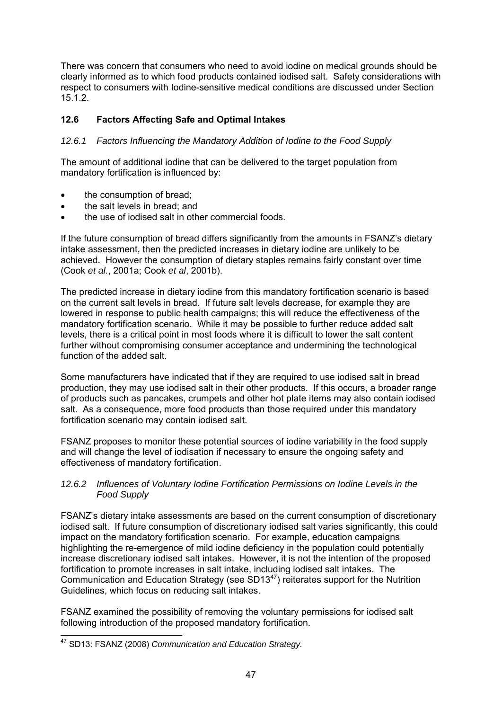There was concern that consumers who need to avoid iodine on medical grounds should be clearly informed as to which food products contained iodised salt. Safety considerations with respect to consumers with Iodine-sensitive medical conditions are discussed under Section 15.1.2.

## **12.6 Factors Affecting Safe and Optimal Intakes**

## *12.6.1 Factors Influencing the Mandatory Addition of Iodine to the Food Supply*

The amount of additional iodine that can be delivered to the target population from mandatory fortification is influenced by:

- the consumption of bread;
- the salt levels in bread; and
- the use of iodised salt in other commercial foods.

If the future consumption of bread differs significantly from the amounts in FSANZ's dietary intake assessment, then the predicted increases in dietary iodine are unlikely to be achieved. However the consumption of dietary staples remains fairly constant over time (Cook *et al.*, 2001a; Cook *et al*, 2001b).

The predicted increase in dietary iodine from this mandatory fortification scenario is based on the current salt levels in bread. If future salt levels decrease, for example they are lowered in response to public health campaigns; this will reduce the effectiveness of the mandatory fortification scenario. While it may be possible to further reduce added salt levels, there is a critical point in most foods where it is difficult to lower the salt content further without compromising consumer acceptance and undermining the technological function of the added salt.

Some manufacturers have indicated that if they are required to use iodised salt in bread production, they may use iodised salt in their other products. If this occurs, a broader range of products such as pancakes, crumpets and other hot plate items may also contain iodised salt. As a consequence, more food products than those required under this mandatory fortification scenario may contain iodised salt.

FSANZ proposes to monitor these potential sources of iodine variability in the food supply and will change the level of iodisation if necessary to ensure the ongoing safety and effectiveness of mandatory fortification.

#### *12.6.2 Influences of Voluntary Iodine Fortification Permissions on Iodine Levels in the Food Supply*

FSANZ's dietary intake assessments are based on the current consumption of discretionary iodised salt. If future consumption of discretionary iodised salt varies significantly, this could impact on the mandatory fortification scenario. For example, education campaigns highlighting the re-emergence of mild iodine deficiency in the population could potentially increase discretionary iodised salt intakes. However, it is not the intention of the proposed fortification to promote increases in salt intake, including iodised salt intakes. The Communication and Education Strategy (see SD1347) reiterates support for the Nutrition Guidelines, which focus on reducing salt intakes.

FSANZ examined the possibility of removing the voluntary permissions for iodised salt following introduction of the proposed mandatory fortification.

 $\overline{a}$ 47 SD13: FSANZ (2008) *Communication and Education Strategy.*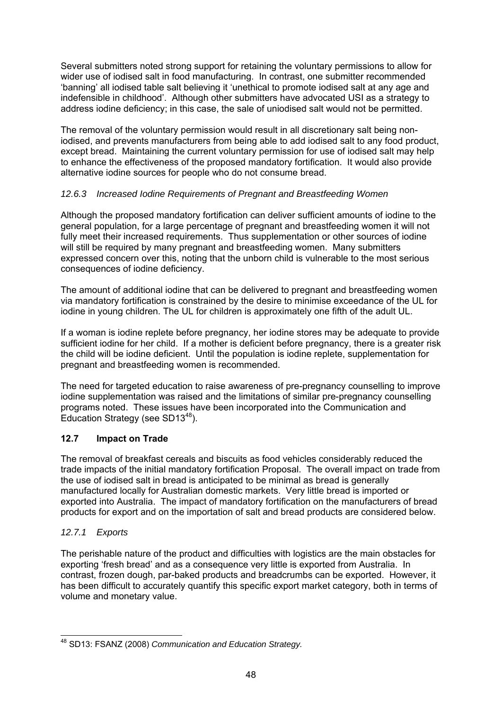Several submitters noted strong support for retaining the voluntary permissions to allow for wider use of iodised salt in food manufacturing. In contrast, one submitter recommended 'banning' all iodised table salt believing it 'unethical to promote iodised salt at any age and indefensible in childhood'. Although other submitters have advocated USI as a strategy to address iodine deficiency; in this case, the sale of uniodised salt would not be permitted.

The removal of the voluntary permission would result in all discretionary salt being noniodised, and prevents manufacturers from being able to add iodised salt to any food product, except bread. Maintaining the current voluntary permission for use of iodised salt may help to enhance the effectiveness of the proposed mandatory fortification. It would also provide alternative iodine sources for people who do not consume bread.

## *12.6.3 Increased Iodine Requirements of Pregnant and Breastfeeding Women*

Although the proposed mandatory fortification can deliver sufficient amounts of iodine to the general population, for a large percentage of pregnant and breastfeeding women it will not fully meet their increased requirements. Thus supplementation or other sources of iodine will still be required by many pregnant and breastfeeding women. Many submitters expressed concern over this, noting that the unborn child is vulnerable to the most serious consequences of iodine deficiency.

The amount of additional iodine that can be delivered to pregnant and breastfeeding women via mandatory fortification is constrained by the desire to minimise exceedance of the UL for iodine in young children. The UL for children is approximately one fifth of the adult UL.

If a woman is iodine replete before pregnancy, her iodine stores may be adequate to provide sufficient iodine for her child. If a mother is deficient before pregnancy, there is a greater risk the child will be iodine deficient. Until the population is iodine replete, supplementation for pregnant and breastfeeding women is recommended.

The need for targeted education to raise awareness of pre-pregnancy counselling to improve iodine supplementation was raised and the limitations of similar pre-pregnancy counselling programs noted. These issues have been incorporated into the Communication and Education Strategy (see SD13<sup>48</sup>).

## **12.7 Impact on Trade**

The removal of breakfast cereals and biscuits as food vehicles considerably reduced the trade impacts of the initial mandatory fortification Proposal. The overall impact on trade from the use of iodised salt in bread is anticipated to be minimal as bread is generally manufactured locally for Australian domestic markets. Very little bread is imported or exported into Australia. The impact of mandatory fortification on the manufacturers of bread products for export and on the importation of salt and bread products are considered below.

## *12.7.1 Exports*

The perishable nature of the product and difficulties with logistics are the main obstacles for exporting 'fresh bread' and as a consequence very little is exported from Australia. In contrast, frozen dough, par-baked products and breadcrumbs can be exported. However, it has been difficult to accurately quantify this specific export market category, both in terms of volume and monetary value.

 $\overline{a}$ 48 SD13: FSANZ (2008) *Communication and Education Strategy.*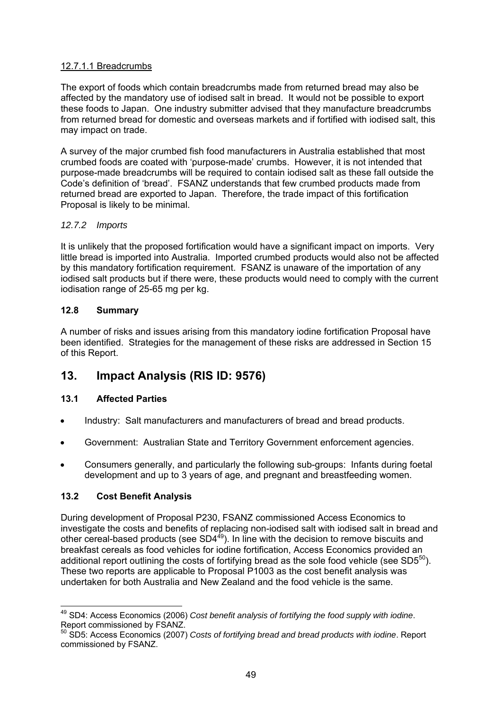## 12.7.1.1 Breadcrumbs

The export of foods which contain breadcrumbs made from returned bread may also be affected by the mandatory use of iodised salt in bread. It would not be possible to export these foods to Japan. One industry submitter advised that they manufacture breadcrumbs from returned bread for domestic and overseas markets and if fortified with iodised salt, this may impact on trade.

A survey of the major crumbed fish food manufacturers in Australia established that most crumbed foods are coated with 'purpose-made' crumbs. However, it is not intended that purpose-made breadcrumbs will be required to contain iodised salt as these fall outside the Code's definition of 'bread'. FSANZ understands that few crumbed products made from returned bread are exported to Japan. Therefore, the trade impact of this fortification Proposal is likely to be minimal.

## *12.7.2 Imports*

It is unlikely that the proposed fortification would have a significant impact on imports. Very little bread is imported into Australia. Imported crumbed products would also not be affected by this mandatory fortification requirement. FSANZ is unaware of the importation of any iodised salt products but if there were, these products would need to comply with the current iodisation range of 25-65 mg per kg.

## **12.8 Summary**

A number of risks and issues arising from this mandatory iodine fortification Proposal have been identified. Strategies for the management of these risks are addressed in Section 15 of this Report.

# **13. Impact Analysis (RIS ID: 9576)**

## **13.1 Affected Parties**

- Industry: Salt manufacturers and manufacturers of bread and bread products.
- Government: Australian State and Territory Government enforcement agencies.
- Consumers generally, and particularly the following sub-groups: Infants during foetal development and up to 3 years of age, and pregnant and breastfeeding women.

## **13.2 Cost Benefit Analysis**

 $\overline{a}$ 

During development of Proposal P230, FSANZ commissioned Access Economics to investigate the costs and benefits of replacing non-iodised salt with iodised salt in bread and other cereal-based products (see  $SD4^{49}$ ). In line with the decision to remove biscuits and breakfast cereals as food vehicles for iodine fortification, Access Economics provided an additional report outlining the costs of fortifying bread as the sole food vehicle (see  $SD5^{50}$ ). These two reports are applicable to Proposal P1003 as the cost benefit analysis was undertaken for both Australia and New Zealand and the food vehicle is the same.

<sup>49</sup> SD4: Access Economics (2006) *Cost benefit analysis of fortifying the food supply with iodine*. Report commissioned by FSANZ.

<sup>50</sup> SD5: Access Economics (2007) *Costs of fortifying bread and bread products with iodine*. Report commissioned by FSANZ.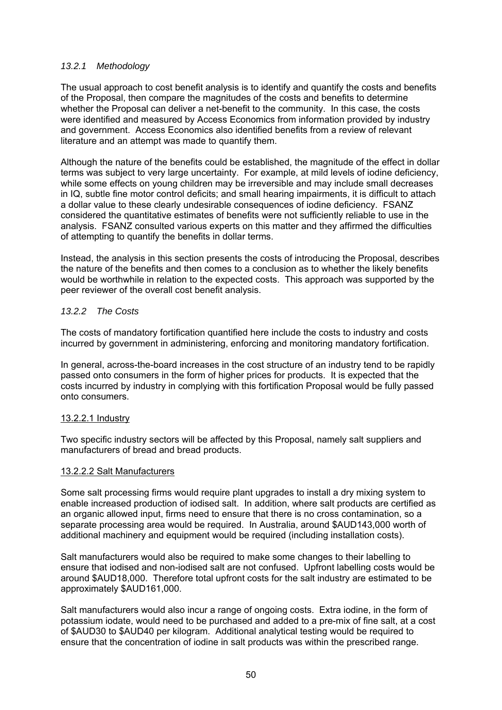#### *13.2.1 Methodology*

The usual approach to cost benefit analysis is to identify and quantify the costs and benefits of the Proposal, then compare the magnitudes of the costs and benefits to determine whether the Proposal can deliver a net-benefit to the community. In this case, the costs were identified and measured by Access Economics from information provided by industry and government. Access Economics also identified benefits from a review of relevant literature and an attempt was made to quantify them.

Although the nature of the benefits could be established, the magnitude of the effect in dollar terms was subject to very large uncertainty. For example, at mild levels of iodine deficiency, while some effects on young children may be irreversible and may include small decreases in IQ, subtle fine motor control deficits; and small hearing impairments, it is difficult to attach a dollar value to these clearly undesirable consequences of iodine deficiency. FSANZ considered the quantitative estimates of benefits were not sufficiently reliable to use in the analysis. FSANZ consulted various experts on this matter and they affirmed the difficulties of attempting to quantify the benefits in dollar terms.

Instead, the analysis in this section presents the costs of introducing the Proposal, describes the nature of the benefits and then comes to a conclusion as to whether the likely benefits would be worthwhile in relation to the expected costs. This approach was supported by the peer reviewer of the overall cost benefit analysis.

#### *13.2.2 The Costs*

The costs of mandatory fortification quantified here include the costs to industry and costs incurred by government in administering, enforcing and monitoring mandatory fortification.

In general, across-the-board increases in the cost structure of an industry tend to be rapidly passed onto consumers in the form of higher prices for products. It is expected that the costs incurred by industry in complying with this fortification Proposal would be fully passed onto consumers.

#### 13.2.2.1 Industry

Two specific industry sectors will be affected by this Proposal, namely salt suppliers and manufacturers of bread and bread products.

#### 13.2.2.2 Salt Manufacturers

Some salt processing firms would require plant upgrades to install a dry mixing system to enable increased production of iodised salt. In addition, where salt products are certified as an organic allowed input, firms need to ensure that there is no cross contamination, so a separate processing area would be required. In Australia, around \$AUD143,000 worth of additional machinery and equipment would be required (including installation costs).

Salt manufacturers would also be required to make some changes to their labelling to ensure that iodised and non-iodised salt are not confused. Upfront labelling costs would be around \$AUD18,000. Therefore total upfront costs for the salt industry are estimated to be approximately \$AUD161,000.

Salt manufacturers would also incur a range of ongoing costs. Extra iodine, in the form of potassium iodate, would need to be purchased and added to a pre-mix of fine salt, at a cost of \$AUD30 to \$AUD40 per kilogram. Additional analytical testing would be required to ensure that the concentration of iodine in salt products was within the prescribed range.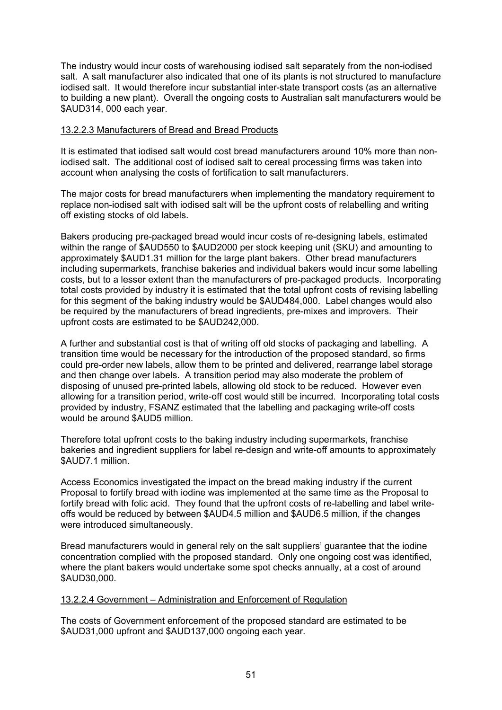The industry would incur costs of warehousing iodised salt separately from the non-iodised salt. A salt manufacturer also indicated that one of its plants is not structured to manufacture iodised salt. It would therefore incur substantial inter-state transport costs (as an alternative to building a new plant). Overall the ongoing costs to Australian salt manufacturers would be \$AUD314, 000 each year.

#### 13.2.2.3 Manufacturers of Bread and Bread Products

It is estimated that iodised salt would cost bread manufacturers around 10% more than noniodised salt. The additional cost of iodised salt to cereal processing firms was taken into account when analysing the costs of fortification to salt manufacturers.

The major costs for bread manufacturers when implementing the mandatory requirement to replace non-iodised salt with iodised salt will be the upfront costs of relabelling and writing off existing stocks of old labels.

Bakers producing pre-packaged bread would incur costs of re-designing labels, estimated within the range of \$AUD550 to \$AUD2000 per stock keeping unit (SKU) and amounting to approximately \$AUD1.31 million for the large plant bakers. Other bread manufacturers including supermarkets, franchise bakeries and individual bakers would incur some labelling costs, but to a lesser extent than the manufacturers of pre-packaged products. Incorporating total costs provided by industry it is estimated that the total upfront costs of revising labelling for this segment of the baking industry would be \$AUD484,000. Label changes would also be required by the manufacturers of bread ingredients, pre-mixes and improvers. Their upfront costs are estimated to be \$AUD242,000.

A further and substantial cost is that of writing off old stocks of packaging and labelling. A transition time would be necessary for the introduction of the proposed standard, so firms could pre-order new labels, allow them to be printed and delivered, rearrange label storage and then change over labels. A transition period may also moderate the problem of disposing of unused pre-printed labels, allowing old stock to be reduced. However even allowing for a transition period, write-off cost would still be incurred. Incorporating total costs provided by industry, FSANZ estimated that the labelling and packaging write-off costs would be around \$AUD5 million.

Therefore total upfront costs to the baking industry including supermarkets, franchise bakeries and ingredient suppliers for label re-design and write-off amounts to approximately \$AUD7.1 million.

Access Economics investigated the impact on the bread making industry if the current Proposal to fortify bread with iodine was implemented at the same time as the Proposal to fortify bread with folic acid. They found that the upfront costs of re-labelling and label writeoffs would be reduced by between \$AUD4.5 million and \$AUD6.5 million, if the changes were introduced simultaneously.

Bread manufacturers would in general rely on the salt suppliers' guarantee that the iodine concentration complied with the proposed standard. Only one ongoing cost was identified, where the plant bakers would undertake some spot checks annually, at a cost of around \$AUD30,000.

#### 13.2.2.4 Government – Administration and Enforcement of Regulation

The costs of Government enforcement of the proposed standard are estimated to be \$AUD31,000 upfront and \$AUD137,000 ongoing each year.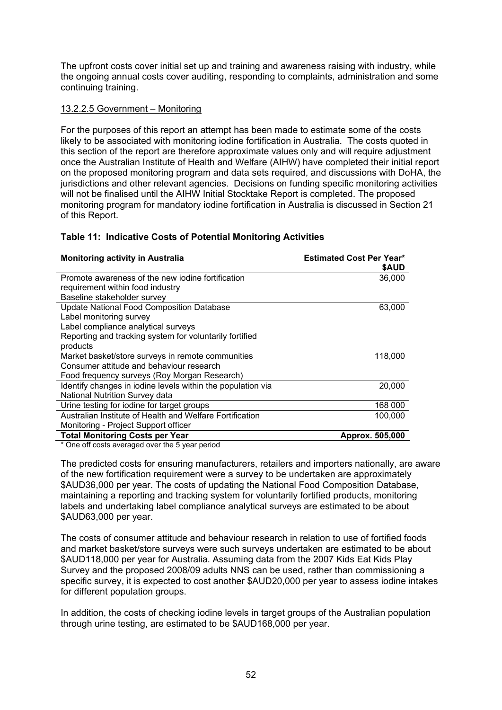The upfront costs cover initial set up and training and awareness raising with industry, while the ongoing annual costs cover auditing, responding to complaints, administration and some continuing training.

## 13.2.2.5 Government – Monitoring

For the purposes of this report an attempt has been made to estimate some of the costs likely to be associated with monitoring iodine fortification in Australia. The costs quoted in this section of the report are therefore approximate values only and will require adjustment once the Australian Institute of Health and Welfare (AIHW) have completed their initial report on the proposed monitoring program and data sets required, and discussions with DoHA, the jurisdictions and other relevant agencies. Decisions on funding specific monitoring activities will not be finalised until the AIHW Initial Stocktake Report is completed. The proposed monitoring program for mandatory iodine fortification in Australia is discussed in Section 21 of this Report.

## **Table 11: Indicative Costs of Potential Monitoring Activities**

| <b>Monitoring activity in Australia</b>                     | <b>Estimated Cost Per Year*</b><br><b>SAUD</b> |
|-------------------------------------------------------------|------------------------------------------------|
| Promote awareness of the new jodine fortification           | 36,000                                         |
| requirement within food industry                            |                                                |
| Baseline stakeholder survey                                 |                                                |
| Update National Food Composition Database                   | 63,000                                         |
| Label monitoring survey                                     |                                                |
| Label compliance analytical surveys                         |                                                |
| Reporting and tracking system for voluntarily fortified     |                                                |
| products                                                    |                                                |
| Market basket/store surveys in remote communities           | 118,000                                        |
| Consumer attitude and behaviour research                    |                                                |
| Food frequency surveys (Roy Morgan Research)                |                                                |
| Identify changes in iodine levels within the population via | 20,000                                         |
| <b>National Nutrition Survey data</b>                       |                                                |
| Urine testing for iodine for target groups                  | 168 000                                        |
| Australian Institute of Health and Welfare Fortification    | 100,000                                        |
| Monitoring - Project Support officer                        |                                                |
| <b>Total Monitoring Costs per Year</b>                      | Approx. 505,000                                |

\* One off costs averaged over the 5 year period

The predicted costs for ensuring manufacturers, retailers and importers nationally, are aware of the new fortification requirement were a survey to be undertaken are approximately \$AUD36,000 per year. The costs of updating the National Food Composition Database. maintaining a reporting and tracking system for voluntarily fortified products, monitoring labels and undertaking label compliance analytical surveys are estimated to be about \$AUD63,000 per year.

The costs of consumer attitude and behaviour research in relation to use of fortified foods and market basket/store surveys were such surveys undertaken are estimated to be about \$AUD118,000 per year for Australia. Assuming data from the 2007 Kids Eat Kids Play Survey and the proposed 2008/09 adults NNS can be used, rather than commissioning a specific survey, it is expected to cost another \$AUD20,000 per year to assess iodine intakes for different population groups.

In addition, the costs of checking iodine levels in target groups of the Australian population through urine testing, are estimated to be \$AUD168,000 per year.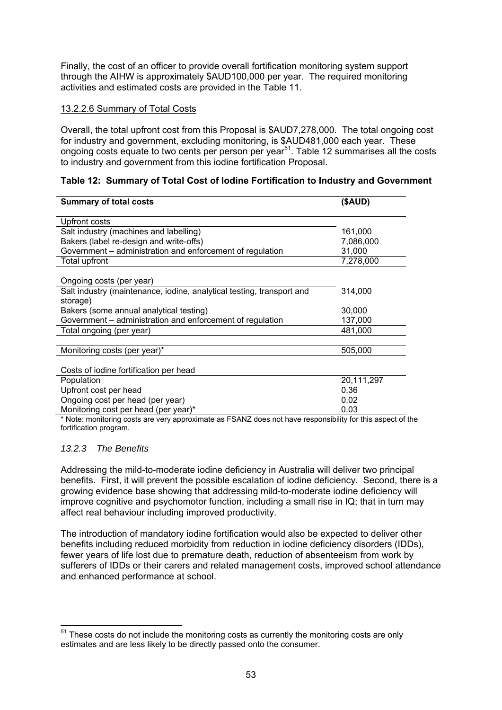Finally, the cost of an officer to provide overall fortification monitoring system support through the AIHW is approximately \$AUD100,000 per year. The required monitoring activities and estimated costs are provided in the Table 11.

#### 13.2.2.6 Summary of Total Costs

Overall, the total upfront cost from this Proposal is \$AUD7,278,000. The total ongoing cost for industry and government, excluding monitoring, is \$AUD481,000 each year. These ongoing costs equate to two cents per person per year51. Table 12 summarises all the costs to industry and government from this iodine fortification Proposal.

#### **Table 12: Summary of Total Cost of Iodine Fortification to Industry and Government**

| <b>Summary of total costs</b>                                         | (SAUD)     |
|-----------------------------------------------------------------------|------------|
|                                                                       |            |
| Upfront costs                                                         |            |
| Salt industry (machines and labelling)                                | 161,000    |
| Bakers (label re-design and write-offs)                               | 7,086,000  |
| Government – administration and enforcement of regulation             | 31,000     |
| Total upfront                                                         | 7,278,000  |
|                                                                       |            |
| Ongoing costs (per year)                                              |            |
| Salt industry (maintenance, iodine, analytical testing, transport and | 314,000    |
| storage)                                                              |            |
| Bakers (some annual analytical testing)                               | 30,000     |
| Government – administration and enforcement of regulation             | 137,000    |
| Total ongoing (per year)                                              | 481,000    |
|                                                                       |            |
| Monitoring costs (per year)*                                          | 505,000    |
|                                                                       |            |
| Costs of iodine fortification per head                                |            |
| Population                                                            | 20,111,297 |
| Upfront cost per head                                                 | 0.36       |
| Ongoing cost per head (per year)                                      | 0.02       |
| Monitoring cost per head (per year)*                                  | 0.03       |

\* Note: monitoring costs are very approximate as FSANZ does not have responsibility for this aspect of the fortification program.

#### *13.2.3 The Benefits*

Addressing the mild-to-moderate iodine deficiency in Australia will deliver two principal benefits. First, it will prevent the possible escalation of iodine deficiency. Second, there is a growing evidence base showing that addressing mild-to-moderate iodine deficiency will improve cognitive and psychomotor function, including a small rise in IQ; that in turn may affect real behaviour including improved productivity.

The introduction of mandatory iodine fortification would also be expected to deliver other benefits including reduced morbidity from reduction in iodine deficiency disorders (IDDs), fewer years of life lost due to premature death, reduction of absenteeism from work by sufferers of IDDs or their carers and related management costs, improved school attendance and enhanced performance at school.

<sup>1</sup>  $51$  These costs do not include the monitoring costs as currently the monitoring costs are only estimates and are less likely to be directly passed onto the consumer.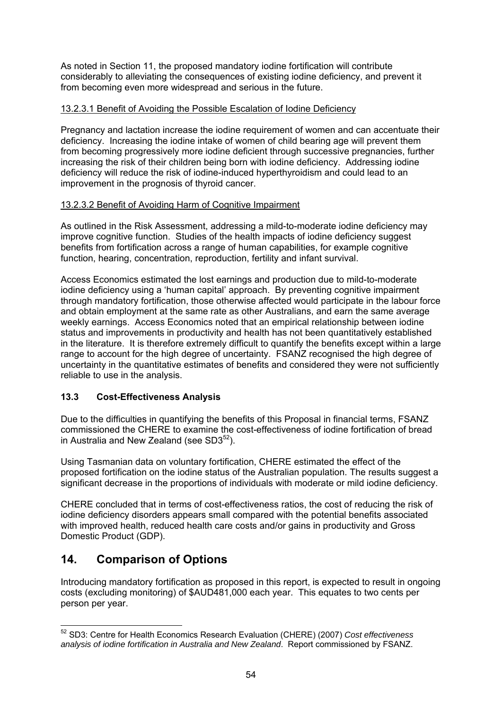As noted in Section 11, the proposed mandatory iodine fortification will contribute considerably to alleviating the consequences of existing iodine deficiency, and prevent it from becoming even more widespread and serious in the future.

## 13.2.3.1 Benefit of Avoiding the Possible Escalation of Iodine Deficiency

Pregnancy and lactation increase the iodine requirement of women and can accentuate their deficiency. Increasing the iodine intake of women of child bearing age will prevent them from becoming progressively more iodine deficient through successive pregnancies, further increasing the risk of their children being born with iodine deficiency. Addressing iodine deficiency will reduce the risk of iodine-induced hyperthyroidism and could lead to an improvement in the prognosis of thyroid cancer.

## 13.2.3.2 Benefit of Avoiding Harm of Cognitive Impairment

As outlined in the Risk Assessment, addressing a mild-to-moderate iodine deficiency may improve cognitive function. Studies of the health impacts of iodine deficiency suggest benefits from fortification across a range of human capabilities, for example cognitive function, hearing, concentration, reproduction, fertility and infant survival.

Access Economics estimated the lost earnings and production due to mild-to-moderate iodine deficiency using a 'human capital' approach. By preventing cognitive impairment through mandatory fortification, those otherwise affected would participate in the labour force and obtain employment at the same rate as other Australians, and earn the same average weekly earnings. Access Economics noted that an empirical relationship between iodine status and improvements in productivity and health has not been quantitatively established in the literature. It is therefore extremely difficult to quantify the benefits except within a large range to account for the high degree of uncertainty. FSANZ recognised the high degree of uncertainty in the quantitative estimates of benefits and considered they were not sufficiently reliable to use in the analysis.

## **13.3 Cost-Effectiveness Analysis**

Due to the difficulties in quantifying the benefits of this Proposal in financial terms, FSANZ commissioned the CHERE to examine the cost-effectiveness of iodine fortification of bread in Australia and New Zealand (see  $SD3^{52}$ ).

Using Tasmanian data on voluntary fortification, CHERE estimated the effect of the proposed fortification on the iodine status of the Australian population. The results suggest a significant decrease in the proportions of individuals with moderate or mild iodine deficiency.

CHERE concluded that in terms of cost-effectiveness ratios, the cost of reducing the risk of iodine deficiency disorders appears small compared with the potential benefits associated with improved health, reduced health care costs and/or gains in productivity and Gross Domestic Product (GDP).

# **14. Comparison of Options**

Introducing mandatory fortification as proposed in this report, is expected to result in ongoing costs (excluding monitoring) of \$AUD481,000 each year. This equates to two cents per person per year.

<sup>1</sup> 52 SD3: Centre for Health Economics Research Evaluation (CHERE) (2007) *Cost effectiveness analysis of iodine fortification in Australia and New Zealand*. Report commissioned by FSANZ.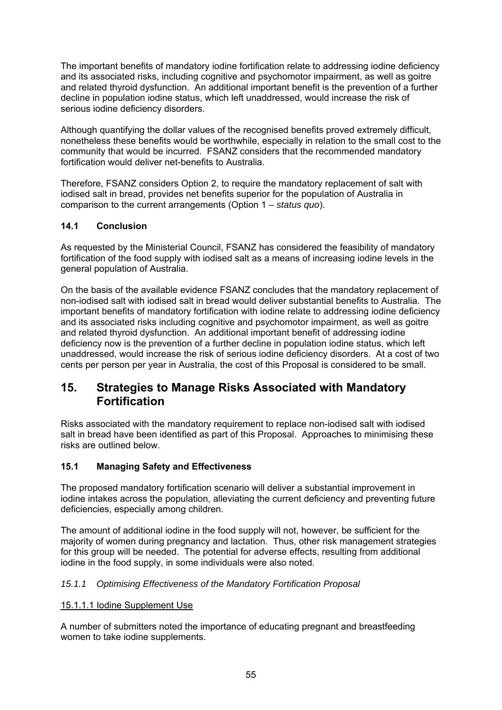The important benefits of mandatory iodine fortification relate to addressing iodine deficiency and its associated risks, including cognitive and psychomotor impairment, as well as goitre and related thyroid dysfunction. An additional important benefit is the prevention of a further decline in population iodine status, which left unaddressed, would increase the risk of serious iodine deficiency disorders.

Although quantifying the dollar values of the recognised benefits proved extremely difficult, nonetheless these benefits would be worthwhile, especially in relation to the small cost to the community that would be incurred. FSANZ considers that the recommended mandatory fortification would deliver net-benefits to Australia.

Therefore, FSANZ considers Option 2, to require the mandatory replacement of salt with iodised salt in bread, provides net benefits superior for the population of Australia in comparison to the current arrangements (Option 1 – *status quo*).

## **14.1 Conclusion**

As requested by the Ministerial Council, FSANZ has considered the feasibility of mandatory fortification of the food supply with iodised salt as a means of increasing iodine levels in the general population of Australia.

On the basis of the available evidence FSANZ concludes that the mandatory replacement of non-iodised salt with iodised salt in bread would deliver substantial benefits to Australia. The important benefits of mandatory fortification with iodine relate to addressing iodine deficiency and its associated risks including cognitive and psychomotor impairment, as well as goitre and related thyroid dysfunction. An additional important benefit of addressing iodine deficiency now is the prevention of a further decline in population iodine status, which left unaddressed, would increase the risk of serious iodine deficiency disorders. At a cost of two cents per person per year in Australia, the cost of this Proposal is considered to be small.

## **15. Strategies to Manage Risks Associated with Mandatory Fortification**

Risks associated with the mandatory requirement to replace non-iodised salt with iodised salt in bread have been identified as part of this Proposal. Approaches to minimising these risks are outlined below.

#### **15.1 Managing Safety and Effectiveness**

The proposed mandatory fortification scenario will deliver a substantial improvement in iodine intakes across the population, alleviating the current deficiency and preventing future deficiencies, especially among children.

The amount of additional iodine in the food supply will not, however, be sufficient for the majority of women during pregnancy and lactation. Thus, other risk management strategies for this group will be needed. The potential for adverse effects, resulting from additional iodine in the food supply, in some individuals were also noted.

#### *15.1.1 Optimising Effectiveness of the Mandatory Fortification Proposal*

#### 15.1.1.1 Iodine Supplement Use

A number of submitters noted the importance of educating pregnant and breastfeeding women to take iodine supplements.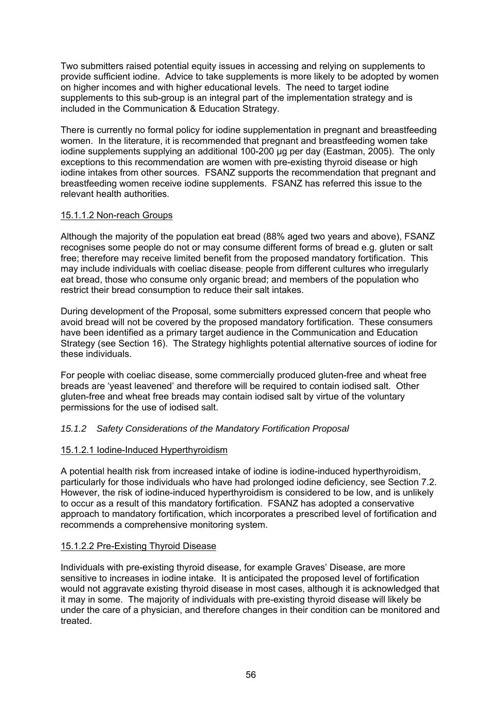Two submitters raised potential equity issues in accessing and relying on supplements to provide sufficient iodine. Advice to take supplements is more likely to be adopted by women on higher incomes and with higher educational levels. The need to target iodine supplements to this sub-group is an integral part of the implementation strategy and is included in the Communication & Education Strategy.

There is currently no formal policy for iodine supplementation in pregnant and breastfeeding women. In the literature, it is recommended that pregnant and breastfeeding women take iodine supplements supplying an additional 100-200 μg per day (Eastman, 2005). The only exceptions to this recommendation are women with pre-existing thyroid disease or high iodine intakes from other sources. FSANZ supports the recommendation that pregnant and breastfeeding women receive iodine supplements. FSANZ has referred this issue to the relevant health authorities.

#### 15.1.1.2 Non-reach Groups

Although the majority of the population eat bread (88% aged two years and above), FSANZ recognises some people do not or may consume different forms of bread e.g. gluten or salt free; therefore may receive limited benefit from the proposed mandatory fortification. This may include individuals with coeliac disease; people from different cultures who irregularly eat bread, those who consume only organic bread; and members of the population who restrict their bread consumption to reduce their salt intakes.

During development of the Proposal, some submitters expressed concern that people who avoid bread will not be covered by the proposed mandatory fortification. These consumers have been identified as a primary target audience in the Communication and Education Strategy (see Section 16). The Strategy highlights potential alternative sources of iodine for these individuals.

For people with coeliac disease, some commercially produced gluten-free and wheat free breads are 'yeast leavened' and therefore will be required to contain iodised salt. Other gluten-free and wheat free breads may contain iodised salt by virtue of the voluntary permissions for the use of iodised salt.

#### *15.1.2 Safety Considerations of the Mandatory Fortification Proposal*

#### 15.1.2.1 Iodine-Induced Hyperthyroidism

A potential health risk from increased intake of iodine is iodine-induced hyperthyroidism, particularly for those individuals who have had prolonged iodine deficiency, see Section 7.2. However, the risk of iodine-induced hyperthyroidism is considered to be low, and is unlikely to occur as a result of this mandatory fortification. FSANZ has adopted a conservative approach to mandatory fortification, which incorporates a prescribed level of fortification and recommends a comprehensive monitoring system.

#### 15.1.2.2 Pre-Existing Thyroid Disease

Individuals with pre-existing thyroid disease, for example Graves' Disease, are more sensitive to increases in iodine intake. It is anticipated the proposed level of fortification would not aggravate existing thyroid disease in most cases, although it is acknowledged that it may in some. The majority of individuals with pre-existing thyroid disease will likely be under the care of a physician, and therefore changes in their condition can be monitored and treated.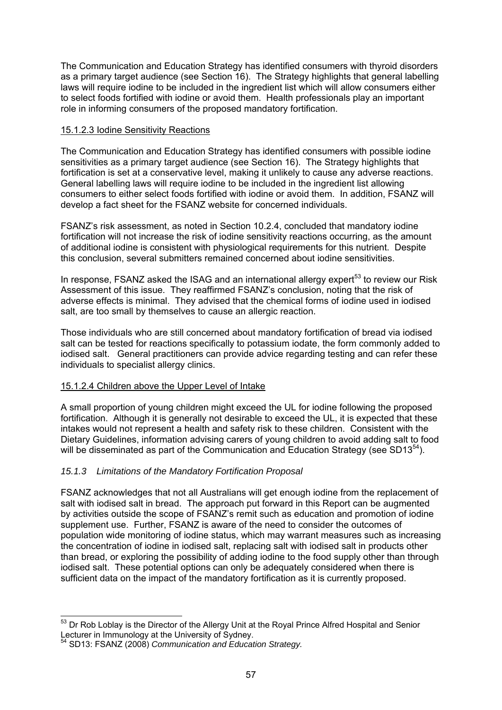The Communication and Education Strategy has identified consumers with thyroid disorders as a primary target audience (see Section 16). The Strategy highlights that general labelling laws will require iodine to be included in the ingredient list which will allow consumers either to select foods fortified with iodine or avoid them. Health professionals play an important role in informing consumers of the proposed mandatory fortification.

#### 15.1.2.3 Iodine Sensitivity Reactions

The Communication and Education Strategy has identified consumers with possible iodine sensitivities as a primary target audience (see Section 16). The Strategy highlights that fortification is set at a conservative level, making it unlikely to cause any adverse reactions. General labelling laws will require iodine to be included in the ingredient list allowing consumers to either select foods fortified with iodine or avoid them. In addition, FSANZ will develop a fact sheet for the FSANZ website for concerned individuals.

FSANZ's risk assessment, as noted in Section 10.2.4, concluded that mandatory iodine fortification will not increase the risk of iodine sensitivity reactions occurring, as the amount of additional iodine is consistent with physiological requirements for this nutrient. Despite this conclusion, several submitters remained concerned about iodine sensitivities.

In response, FSANZ asked the ISAG and an international allergy expert<sup>53</sup> to review our Risk Assessment of this issue. They reaffirmed FSANZ's conclusion, noting that the risk of adverse effects is minimal. They advised that the chemical forms of iodine used in iodised salt, are too small by themselves to cause an allergic reaction.

Those individuals who are still concerned about mandatory fortification of bread via iodised salt can be tested for reactions specifically to potassium iodate, the form commonly added to iodised salt. General practitioners can provide advice regarding testing and can refer these individuals to specialist allergy clinics.

#### 15.1.2.4 Children above the Upper Level of Intake

A small proportion of young children might exceed the UL for iodine following the proposed fortification. Although it is generally not desirable to exceed the UL, it is expected that these intakes would not represent a health and safety risk to these children. Consistent with the Dietary Guidelines, information advising carers of young children to avoid adding salt to food will be disseminated as part of the Communication and Education Strategy (see SD13 $^{54}$ ).

#### *15.1.3 Limitations of the Mandatory Fortification Proposal*

FSANZ acknowledges that not all Australians will get enough iodine from the replacement of salt with iodised salt in bread. The approach put forward in this Report can be augmented by activities outside the scope of FSANZ's remit such as education and promotion of iodine supplement use. Further, FSANZ is aware of the need to consider the outcomes of population wide monitoring of iodine status, which may warrant measures such as increasing the concentration of iodine in iodised salt, replacing salt with iodised salt in products other than bread, or exploring the possibility of adding iodine to the food supply other than through iodised salt. These potential options can only be adequately considered when there is sufficient data on the impact of the mandatory fortification as it is currently proposed.

1

 $53$  Dr Rob Loblay is the Director of the Allergy Unit at the Royal Prince Alfred Hospital and Senior Lecturer in Immunology at the University of Sydney.

<sup>54</sup> SD13: FSANZ (2008) *Communication and Education Strategy.*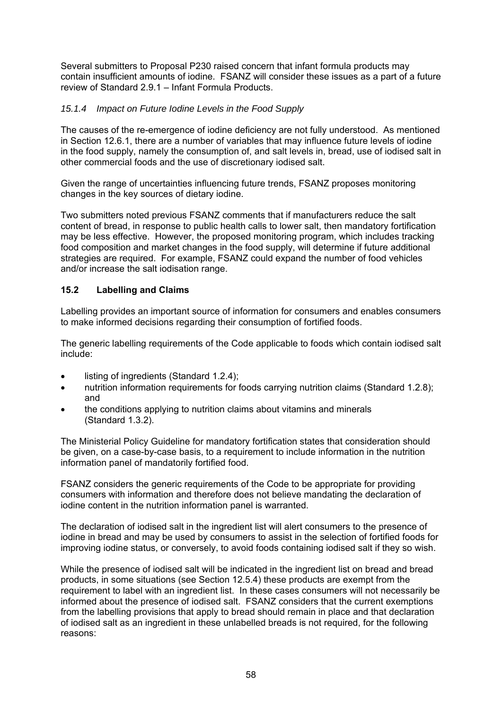Several submitters to Proposal P230 raised concern that infant formula products may contain insufficient amounts of iodine. FSANZ will consider these issues as a part of a future review of Standard 2.9.1 – Infant Formula Products.

## *15.1.4 Impact on Future Iodine Levels in the Food Supply*

The causes of the re-emergence of iodine deficiency are not fully understood. As mentioned in Section 12.6.1, there are a number of variables that may influence future levels of iodine in the food supply, namely the consumption of, and salt levels in, bread, use of iodised salt in other commercial foods and the use of discretionary iodised salt.

Given the range of uncertainties influencing future trends, FSANZ proposes monitoring changes in the key sources of dietary iodine.

Two submitters noted previous FSANZ comments that if manufacturers reduce the salt content of bread, in response to public health calls to lower salt, then mandatory fortification may be less effective. However, the proposed monitoring program, which includes tracking food composition and market changes in the food supply, will determine if future additional strategies are required. For example, FSANZ could expand the number of food vehicles and/or increase the salt iodisation range.

## **15.2 Labelling and Claims**

Labelling provides an important source of information for consumers and enables consumers to make informed decisions regarding their consumption of fortified foods.

The generic labelling requirements of the Code applicable to foods which contain iodised salt include:

- listing of ingredients (Standard 1.2.4);
- nutrition information requirements for foods carrying nutrition claims (Standard 1.2.8); and
- the conditions applying to nutrition claims about vitamins and minerals (Standard 1.3.2).

The Ministerial Policy Guideline for mandatory fortification states that consideration should be given, on a case-by-case basis, to a requirement to include information in the nutrition information panel of mandatorily fortified food.

FSANZ considers the generic requirements of the Code to be appropriate for providing consumers with information and therefore does not believe mandating the declaration of iodine content in the nutrition information panel is warranted.

The declaration of iodised salt in the ingredient list will alert consumers to the presence of iodine in bread and may be used by consumers to assist in the selection of fortified foods for improving iodine status, or conversely, to avoid foods containing iodised salt if they so wish.

While the presence of iodised salt will be indicated in the ingredient list on bread and bread products, in some situations (see Section 12.5.4) these products are exempt from the requirement to label with an ingredient list. In these cases consumers will not necessarily be informed about the presence of iodised salt. FSANZ considers that the current exemptions from the labelling provisions that apply to bread should remain in place and that declaration of iodised salt as an ingredient in these unlabelled breads is not required, for the following reasons: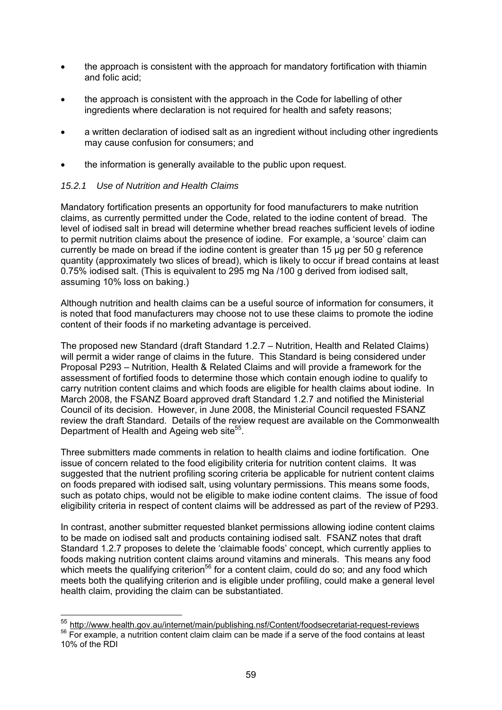- the approach is consistent with the approach for mandatory fortification with thiamin and folic acid;
- the approach is consistent with the approach in the Code for labelling of other ingredients where declaration is not required for health and safety reasons;
- a written declaration of iodised salt as an ingredient without including other ingredients may cause confusion for consumers; and
- the information is generally available to the public upon request.

## *15.2.1 Use of Nutrition and Health Claims*

1

Mandatory fortification presents an opportunity for food manufacturers to make nutrition claims, as currently permitted under the Code, related to the iodine content of bread. The level of iodised salt in bread will determine whether bread reaches sufficient levels of iodine to permit nutrition claims about the presence of iodine. For example, a 'source' claim can currently be made on bread if the iodine content is greater than 15 μg per 50 g reference quantity (approximately two slices of bread), which is likely to occur if bread contains at least 0.75% iodised salt. (This is equivalent to 295 mg Na /100 g derived from iodised salt, assuming 10% loss on baking.)

Although nutrition and health claims can be a useful source of information for consumers, it is noted that food manufacturers may choose not to use these claims to promote the iodine content of their foods if no marketing advantage is perceived.

The proposed new Standard (draft Standard 1.2.7 – Nutrition, Health and Related Claims) will permit a wider range of claims in the future. This Standard is being considered under Proposal P293 – Nutrition, Health & Related Claims and will provide a framework for the assessment of fortified foods to determine those which contain enough iodine to qualify to carry nutrition content claims and which foods are eligible for health claims about iodine. In March 2008, the FSANZ Board approved draft Standard 1.2.7 and notified the Ministerial Council of its decision. However, in June 2008, the Ministerial Council requested FSANZ review the draft Standard. Details of the review request are available on the Commonwealth Department of Health and Ageing web site<sup>55</sup>.

Three submitters made comments in relation to health claims and iodine fortification. One issue of concern related to the food eligibility criteria for nutrition content claims. It was suggested that the nutrient profiling scoring criteria be applicable for nutrient content claims on foods prepared with iodised salt, using voluntary permissions. This means some foods, such as potato chips, would not be eligible to make iodine content claims. The issue of food eligibility criteria in respect of content claims will be addressed as part of the review of P293.

In contrast, another submitter requested blanket permissions allowing iodine content claims to be made on iodised salt and products containing iodised salt. FSANZ notes that draft Standard 1.2.7 proposes to delete the 'claimable foods' concept, which currently applies to foods making nutrition content claims around vitamins and minerals. This means any food which meets the qualifying criterion<sup>56</sup> for a content claim, could do so; and any food which meets both the qualifying criterion and is eligible under profiling, could make a general level health claim, providing the claim can be substantiated.

<sup>&</sup>lt;sup>55</sup> http://www.health.gov.au/internet/main/publishing.nsf/Content/foodsecretariat-request-reviews<br><sup>56</sup> For example, a nutrition content claim claim can be made if a serve of the food contains at least 10% of the RDI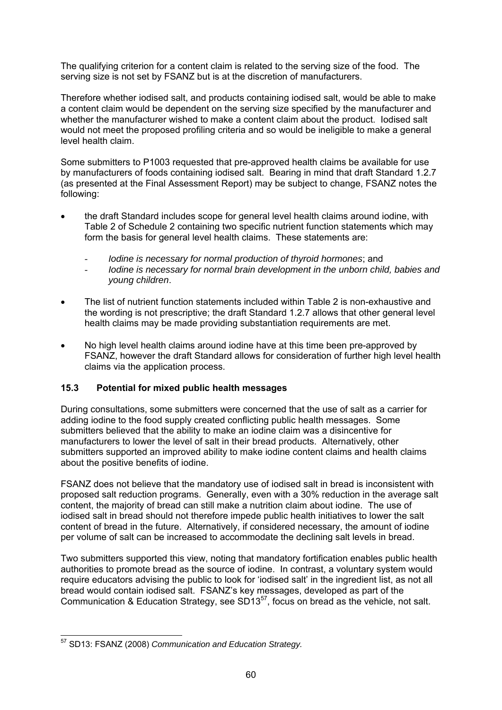The qualifying criterion for a content claim is related to the serving size of the food. The serving size is not set by FSANZ but is at the discretion of manufacturers.

Therefore whether iodised salt, and products containing iodised salt, would be able to make a content claim would be dependent on the serving size specified by the manufacturer and whether the manufacturer wished to make a content claim about the product. Iodised salt would not meet the proposed profiling criteria and so would be ineligible to make a general level health claim.

Some submitters to P1003 requested that pre-approved health claims be available for use by manufacturers of foods containing iodised salt. Bearing in mind that draft Standard 1.2.7 (as presented at the Final Assessment Report) may be subject to change, FSANZ notes the following:

- the draft Standard includes scope for general level health claims around iodine, with Table 2 of Schedule 2 containing two specific nutrient function statements which may form the basis for general level health claims. These statements are:
	- *Iodine is necessary for normal production of thyroid hormones*; and
	- *Iodine is necessary for normal brain development in the unborn child, babies and young children*.
- The list of nutrient function statements included within Table 2 is non-exhaustive and the wording is not prescriptive; the draft Standard 1.2.7 allows that other general level health claims may be made providing substantiation requirements are met.
- No high level health claims around iodine have at this time been pre-approved by FSANZ, however the draft Standard allows for consideration of further high level health claims via the application process.

#### **15.3 Potential for mixed public health messages**

During consultations, some submitters were concerned that the use of salt as a carrier for adding iodine to the food supply created conflicting public health messages. Some submitters believed that the ability to make an iodine claim was a disincentive for manufacturers to lower the level of salt in their bread products. Alternatively, other submitters supported an improved ability to make iodine content claims and health claims about the positive benefits of iodine.

FSANZ does not believe that the mandatory use of iodised salt in bread is inconsistent with proposed salt reduction programs. Generally, even with a 30% reduction in the average salt content, the majority of bread can still make a nutrition claim about iodine. The use of iodised salt in bread should not therefore impede public health initiatives to lower the salt content of bread in the future. Alternatively, if considered necessary, the amount of iodine per volume of salt can be increased to accommodate the declining salt levels in bread.

Two submitters supported this view, noting that mandatory fortification enables public health authorities to promote bread as the source of iodine. In contrast, a voluntary system would require educators advising the public to look for 'iodised salt' in the ingredient list, as not all bread would contain iodised salt. FSANZ's key messages, developed as part of the Communication & Education Strategy, see SD1357, focus on bread as the vehicle, not salt.

 $\overline{a}$ 

<sup>57</sup> SD13: FSANZ (2008) *Communication and Education Strategy.*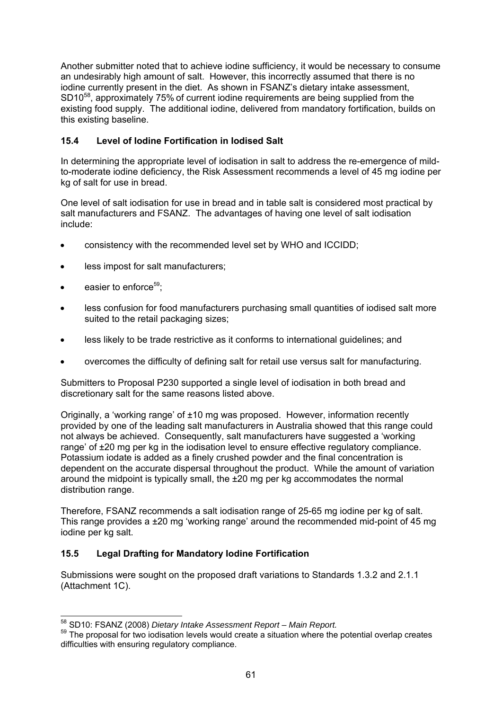Another submitter noted that to achieve iodine sufficiency, it would be necessary to consume an undesirably high amount of salt. However, this incorrectly assumed that there is no iodine currently present in the diet. As shown in FSANZ's dietary intake assessment, SD10<sup>58</sup>, approximately 75% of current iodine requirements are being supplied from the existing food supply. The additional iodine, delivered from mandatory fortification, builds on this existing baseline.

## **15.4 Level of Iodine Fortification in Iodised Salt**

In determining the appropriate level of iodisation in salt to address the re-emergence of mildto-moderate iodine deficiency, the Risk Assessment recommends a level of 45 mg iodine per kg of salt for use in bread.

One level of salt iodisation for use in bread and in table salt is considered most practical by salt manufacturers and FSANZ. The advantages of having one level of salt iodisation include:

- consistency with the recommended level set by WHO and ICCIDD;
- less impost for salt manufacturers;
- $\bullet$  easier to enforce<sup>59</sup>:
- less confusion for food manufacturers purchasing small quantities of iodised salt more suited to the retail packaging sizes;
- less likely to be trade restrictive as it conforms to international guidelines; and
- overcomes the difficulty of defining salt for retail use versus salt for manufacturing.

Submitters to Proposal P230 supported a single level of iodisation in both bread and discretionary salt for the same reasons listed above.

Originally, a 'working range' of ±10 mg was proposed. However, information recently provided by one of the leading salt manufacturers in Australia showed that this range could not always be achieved. Consequently, salt manufacturers have suggested a 'working range' of ±20 mg per kg in the iodisation level to ensure effective regulatory compliance. Potassium iodate is added as a finely crushed powder and the final concentration is dependent on the accurate dispersal throughout the product. While the amount of variation around the midpoint is typically small, the ±20 mg per kg accommodates the normal distribution range.

Therefore, FSANZ recommends a salt iodisation range of 25-65 mg iodine per kg of salt. This range provides a ±20 mg 'working range' around the recommended mid-point of 45 mg iodine per kg salt.

## **15.5 Legal Drafting for Mandatory Iodine Fortification**

Submissions were sought on the proposed draft variations to Standards 1.3.2 and 2.1.1 (Attachment 1C).

<sup>58</sup> SD10: FSANZ (2008) Dietary Intake Assessment Report - Main Report.

<sup>&</sup>lt;sup>59</sup> The proposal for two iodisation levels would create a situation where the potential overlap creates difficulties with ensuring regulatory compliance.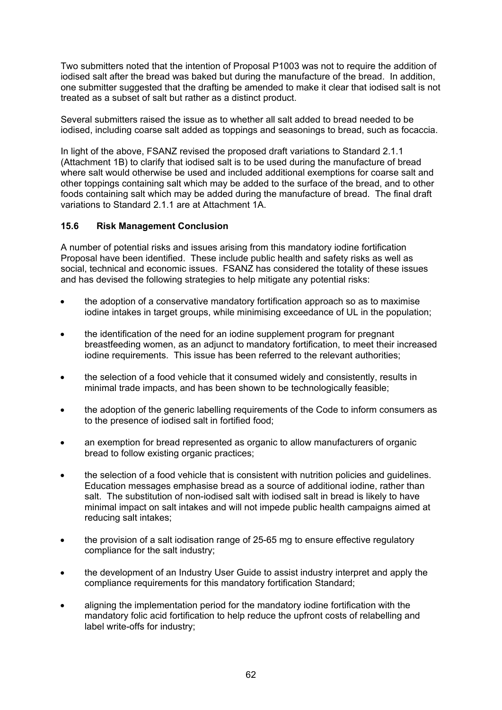Two submitters noted that the intention of Proposal P1003 was not to require the addition of iodised salt after the bread was baked but during the manufacture of the bread. In addition, one submitter suggested that the drafting be amended to make it clear that iodised salt is not treated as a subset of salt but rather as a distinct product.

Several submitters raised the issue as to whether all salt added to bread needed to be iodised, including coarse salt added as toppings and seasonings to bread, such as focaccia.

In light of the above, FSANZ revised the proposed draft variations to Standard 2.1.1 (Attachment 1B) to clarify that iodised salt is to be used during the manufacture of bread where salt would otherwise be used and included additional exemptions for coarse salt and other toppings containing salt which may be added to the surface of the bread, and to other foods containing salt which may be added during the manufacture of bread. The final draft variations to Standard 2.1.1 are at Attachment 1A.

## **15.6 Risk Management Conclusion**

A number of potential risks and issues arising from this mandatory iodine fortification Proposal have been identified. These include public health and safety risks as well as social, technical and economic issues. FSANZ has considered the totality of these issues and has devised the following strategies to help mitigate any potential risks:

- the adoption of a conservative mandatory fortification approach so as to maximise iodine intakes in target groups, while minimising exceedance of UL in the population;
- the identification of the need for an iodine supplement program for pregnant breastfeeding women, as an adjunct to mandatory fortification, to meet their increased iodine requirements. This issue has been referred to the relevant authorities;
- the selection of a food vehicle that it consumed widely and consistently, results in minimal trade impacts, and has been shown to be technologically feasible;
- the adoption of the generic labelling requirements of the Code to inform consumers as to the presence of iodised salt in fortified food;
- an exemption for bread represented as organic to allow manufacturers of organic bread to follow existing organic practices;
- the selection of a food vehicle that is consistent with nutrition policies and guidelines. Education messages emphasise bread as a source of additional iodine, rather than salt. The substitution of non-iodised salt with iodised salt in bread is likely to have minimal impact on salt intakes and will not impede public health campaigns aimed at reducing salt intakes;
- the provision of a salt iodisation range of 25-65 mg to ensure effective regulatory compliance for the salt industry;
- the development of an Industry User Guide to assist industry interpret and apply the compliance requirements for this mandatory fortification Standard;
- aligning the implementation period for the mandatory iodine fortification with the mandatory folic acid fortification to help reduce the upfront costs of relabelling and label write-offs for industry;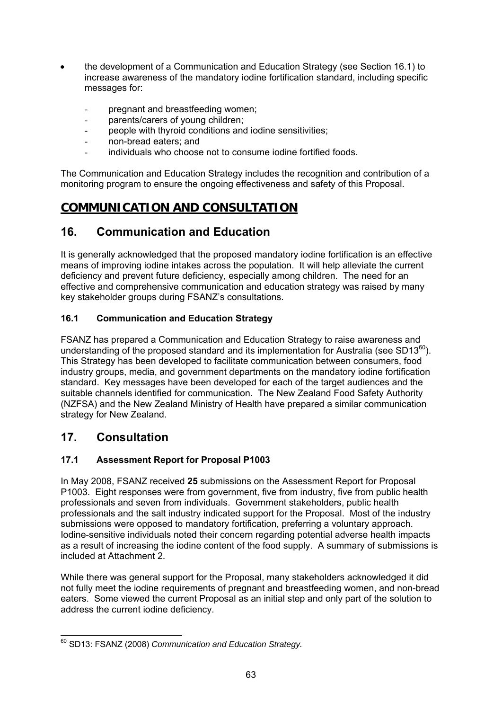- the development of a Communication and Education Strategy (see Section 16.1) to increase awareness of the mandatory iodine fortification standard, including specific messages for:
	- pregnant and breastfeeding women;
	- parents/carers of young children;
	- people with thyroid conditions and iodine sensitivities;
	- non-bread eaters; and
	- individuals who choose not to consume iodine fortified foods.

The Communication and Education Strategy includes the recognition and contribution of a monitoring program to ensure the ongoing effectiveness and safety of this Proposal.

# **COMMUNICATION AND CONSULTATION**

## **16. Communication and Education**

It is generally acknowledged that the proposed mandatory iodine fortification is an effective means of improving iodine intakes across the population. It will help alleviate the current deficiency and prevent future deficiency, especially among children. The need for an effective and comprehensive communication and education strategy was raised by many key stakeholder groups during FSANZ's consultations.

## **16.1 Communication and Education Strategy**

FSANZ has prepared a Communication and Education Strategy to raise awareness and understanding of the proposed standard and its implementation for Australia (see SD13 $^{60}$ ). This Strategy has been developed to facilitate communication between consumers, food industry groups, media, and government departments on the mandatory iodine fortification standard. Key messages have been developed for each of the target audiences and the suitable channels identified for communication. The New Zealand Food Safety Authority (NZFSA) and the New Zealand Ministry of Health have prepared a similar communication strategy for New Zealand.

## **17. Consultation**

## **17.1 Assessment Report for Proposal P1003**

In May 2008, FSANZ received **25** submissions on the Assessment Report for Proposal P1003. Eight responses were from government, five from industry, five from public health professionals and seven from individuals. Government stakeholders, public health professionals and the salt industry indicated support for the Proposal. Most of the industry submissions were opposed to mandatory fortification, preferring a voluntary approach. Iodine-sensitive individuals noted their concern regarding potential adverse health impacts as a result of increasing the iodine content of the food supply. A summary of submissions is included at Attachment 2.

While there was general support for the Proposal, many stakeholders acknowledged it did not fully meet the iodine requirements of pregnant and breastfeeding women, and non-bread eaters. Some viewed the current Proposal as an initial step and only part of the solution to address the current iodine deficiency.

 $\overline{a}$ 60 SD13: FSANZ (2008) *Communication and Education Strategy.*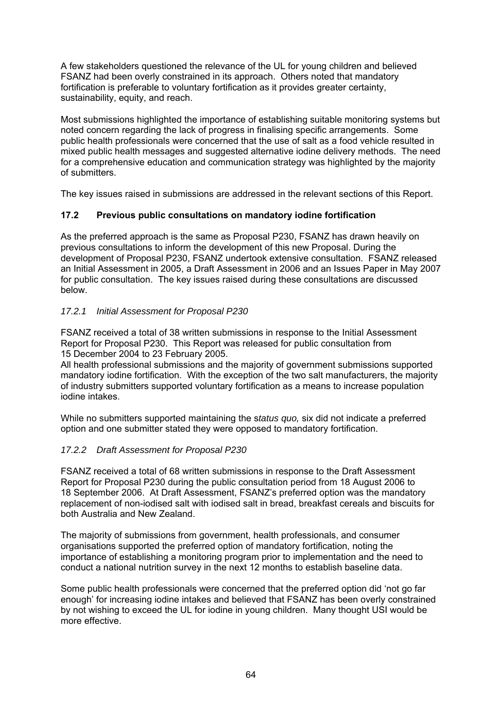A few stakeholders questioned the relevance of the UL for young children and believed FSANZ had been overly constrained in its approach. Others noted that mandatory fortification is preferable to voluntary fortification as it provides greater certainty, sustainability, equity, and reach.

Most submissions highlighted the importance of establishing suitable monitoring systems but noted concern regarding the lack of progress in finalising specific arrangements. Some public health professionals were concerned that the use of salt as a food vehicle resulted in mixed public health messages and suggested alternative iodine delivery methods. The need for a comprehensive education and communication strategy was highlighted by the majority of submitters.

The key issues raised in submissions are addressed in the relevant sections of this Report.

## **17.2 Previous public consultations on mandatory iodine fortification**

As the preferred approach is the same as Proposal P230, FSANZ has drawn heavily on previous consultations to inform the development of this new Proposal. During the development of Proposal P230, FSANZ undertook extensive consultation. FSANZ released an Initial Assessment in 2005, a Draft Assessment in 2006 and an Issues Paper in May 2007 for public consultation. The key issues raised during these consultations are discussed below.

## *17.2.1 Initial Assessment for Proposal P230*

FSANZ received a total of 38 written submissions in response to the Initial Assessment Report for Proposal P230. This Report was released for public consultation from 15 December 2004 to 23 February 2005.

All health professional submissions and the majority of government submissions supported mandatory iodine fortification. With the exception of the two salt manufacturers, the majority of industry submitters supported voluntary fortification as a means to increase population iodine intakes.

While no submitters supported maintaining the s*tatus quo,* six did not indicate a preferred option and one submitter stated they were opposed to mandatory fortification.

## *17.2.2 Draft Assessment for Proposal P230*

FSANZ received a total of 68 written submissions in response to the Draft Assessment Report for Proposal P230 during the public consultation period from 18 August 2006 to 18 September 2006. At Draft Assessment, FSANZ's preferred option was the mandatory replacement of non-iodised salt with iodised salt in bread, breakfast cereals and biscuits for both Australia and New Zealand.

The majority of submissions from government, health professionals, and consumer organisations supported the preferred option of mandatory fortification, noting the importance of establishing a monitoring program prior to implementation and the need to conduct a national nutrition survey in the next 12 months to establish baseline data.

Some public health professionals were concerned that the preferred option did 'not go far enough' for increasing iodine intakes and believed that FSANZ has been overly constrained by not wishing to exceed the UL for iodine in young children. Many thought USI would be more effective.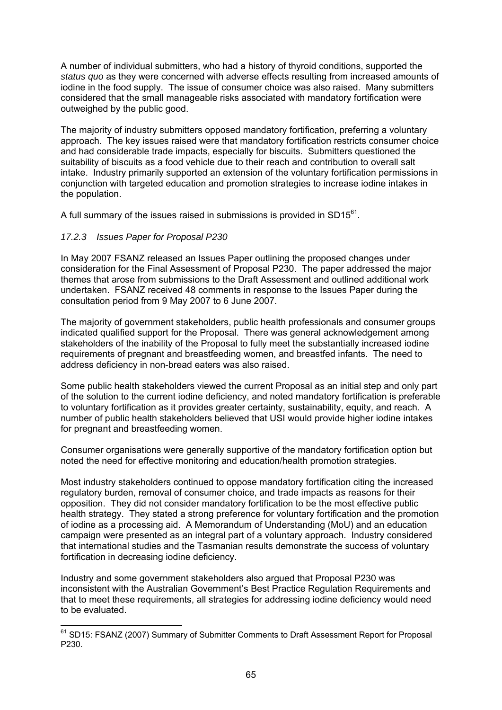A number of individual submitters, who had a history of thyroid conditions, supported the *status quo* as they were concerned with adverse effects resulting from increased amounts of iodine in the food supply. The issue of consumer choice was also raised. Many submitters considered that the small manageable risks associated with mandatory fortification were outweighed by the public good.

The majority of industry submitters opposed mandatory fortification, preferring a voluntary approach. The key issues raised were that mandatory fortification restricts consumer choice and had considerable trade impacts, especially for biscuits. Submitters questioned the suitability of biscuits as a food vehicle due to their reach and contribution to overall salt intake. Industry primarily supported an extension of the voluntary fortification permissions in conjunction with targeted education and promotion strategies to increase iodine intakes in the population.

A full summary of the issues raised in submissions is provided in  $SD15<sup>61</sup>$ .

## *17.2.3 Issues Paper for Proposal P230*

1

In May 2007 FSANZ released an Issues Paper outlining the proposed changes under consideration for the Final Assessment of Proposal P230. The paper addressed the major themes that arose from submissions to the Draft Assessment and outlined additional work undertaken. FSANZ received 48 comments in response to the Issues Paper during the consultation period from 9 May 2007 to 6 June 2007.

The majority of government stakeholders, public health professionals and consumer groups indicated qualified support for the Proposal. There was general acknowledgement among stakeholders of the inability of the Proposal to fully meet the substantially increased iodine requirements of pregnant and breastfeeding women, and breastfed infants. The need to address deficiency in non-bread eaters was also raised.

Some public health stakeholders viewed the current Proposal as an initial step and only part of the solution to the current iodine deficiency, and noted mandatory fortification is preferable to voluntary fortification as it provides greater certainty, sustainability, equity, and reach. A number of public health stakeholders believed that USI would provide higher iodine intakes for pregnant and breastfeeding women.

Consumer organisations were generally supportive of the mandatory fortification option but noted the need for effective monitoring and education/health promotion strategies.

Most industry stakeholders continued to oppose mandatory fortification citing the increased regulatory burden, removal of consumer choice, and trade impacts as reasons for their opposition. They did not consider mandatory fortification to be the most effective public health strategy. They stated a strong preference for voluntary fortification and the promotion of iodine as a processing aid. A Memorandum of Understanding (MoU) and an education campaign were presented as an integral part of a voluntary approach. Industry considered that international studies and the Tasmanian results demonstrate the success of voluntary fortification in decreasing iodine deficiency.

Industry and some government stakeholders also argued that Proposal P230 was inconsistent with the Australian Government's Best Practice Regulation Requirements and that to meet these requirements, all strategies for addressing iodine deficiency would need to be evaluated.

<sup>&</sup>lt;sup>61</sup> SD15: FSANZ (2007) Summary of Submitter Comments to Draft Assessment Report for Proposal P230.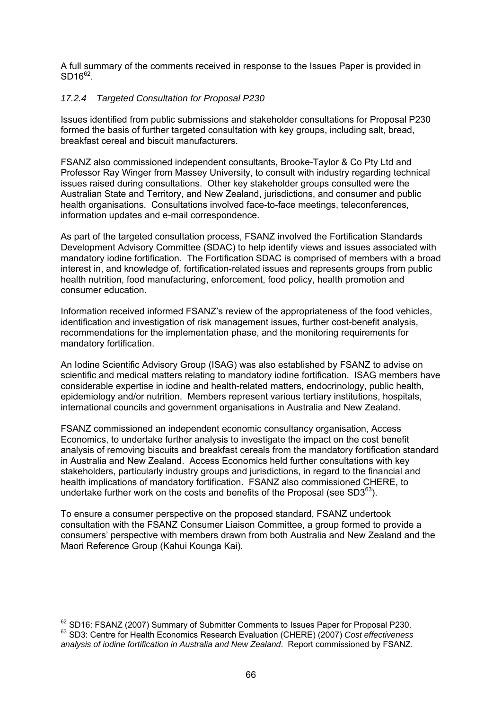A full summary of the comments received in response to the Issues Paper is provided in  $SD16^{62}$ .

## *17.2.4 Targeted Consultation for Proposal P230*

Issues identified from public submissions and stakeholder consultations for Proposal P230 formed the basis of further targeted consultation with key groups, including salt, bread, breakfast cereal and biscuit manufacturers.

FSANZ also commissioned independent consultants, Brooke-Taylor & Co Pty Ltd and Professor Ray Winger from Massey University, to consult with industry regarding technical issues raised during consultations. Other key stakeholder groups consulted were the Australian State and Territory, and New Zealand, jurisdictions, and consumer and public health organisations. Consultations involved face-to-face meetings, teleconferences, information updates and e-mail correspondence.

As part of the targeted consultation process, FSANZ involved the Fortification Standards Development Advisory Committee (SDAC) to help identify views and issues associated with mandatory iodine fortification. The Fortification SDAC is comprised of members with a broad interest in, and knowledge of, fortification-related issues and represents groups from public health nutrition, food manufacturing, enforcement, food policy, health promotion and consumer education.

Information received informed FSANZ's review of the appropriateness of the food vehicles, identification and investigation of risk management issues, further cost-benefit analysis, recommendations for the implementation phase, and the monitoring requirements for mandatory fortification.

An Iodine Scientific Advisory Group (ISAG) was also established by FSANZ to advise on scientific and medical matters relating to mandatory iodine fortification. ISAG members have considerable expertise in iodine and health-related matters, endocrinology, public health, epidemiology and/or nutrition. Members represent various tertiary institutions, hospitals, international councils and government organisations in Australia and New Zealand.

FSANZ commissioned an independent economic consultancy organisation, Access Economics, to undertake further analysis to investigate the impact on the cost benefit analysis of removing biscuits and breakfast cereals from the mandatory fortification standard in Australia and New Zealand. Access Economics held further consultations with key stakeholders, particularly industry groups and jurisdictions, in regard to the financial and health implications of mandatory fortification. FSANZ also commissioned CHERE, to undertake further work on the costs and benefits of the Proposal (see  $SD3^{63}$ ).

To ensure a consumer perspective on the proposed standard, FSANZ undertook consultation with the FSANZ Consumer Liaison Committee, a group formed to provide a consumers' perspective with members drawn from both Australia and New Zealand and the Maori Reference Group (Kahui Kounga Kai).

<sup>62</sup> SD16: FSANZ (2007) Summary of Submitter Comments to Issues Paper for Proposal P230. <sup>63</sup> SD3: Centre for Health Economics Research Evaluation (CHERE) (2007) Cost effectiveness *analysis of iodine fortification in Australia and New Zealand*. Report commissioned by FSANZ.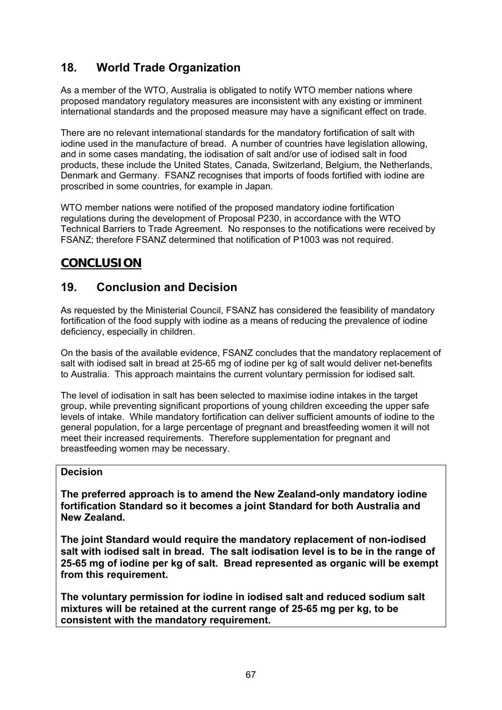# **18. World Trade Organization**

As a member of the WTO, Australia is obligated to notify WTO member nations where proposed mandatory regulatory measures are inconsistent with any existing or imminent international standards and the proposed measure may have a significant effect on trade.

There are no relevant international standards for the mandatory fortification of salt with iodine used in the manufacture of bread. A number of countries have legislation allowing, and in some cases mandating, the iodisation of salt and/or use of iodised salt in food products, these include the United States, Canada, Switzerland, Belgium, the Netherlands, Denmark and Germany. FSANZ recognises that imports of foods fortified with iodine are proscribed in some countries, for example in Japan.

WTO member nations were notified of the proposed mandatory iodine fortification regulations during the development of Proposal P230, in accordance with the WTO Technical Barriers to Trade Agreement. No responses to the notifications were received by FSANZ; therefore FSANZ determined that notification of P1003 was not required.

# **CONCLUSION**

## **19. Conclusion and Decision**

As requested by the Ministerial Council, FSANZ has considered the feasibility of mandatory fortification of the food supply with iodine as a means of reducing the prevalence of iodine deficiency, especially in children.

On the basis of the available evidence, FSANZ concludes that the mandatory replacement of salt with iodised salt in bread at 25-65 mg of iodine per kg of salt would deliver net-benefits to Australia. This approach maintains the current voluntary permission for iodised salt.

The level of iodisation in salt has been selected to maximise iodine intakes in the target group, while preventing significant proportions of young children exceeding the upper safe levels of intake. While mandatory fortification can deliver sufficient amounts of iodine to the general population, for a large percentage of pregnant and breastfeeding women it will not meet their increased requirements. Therefore supplementation for pregnant and breastfeeding women may be necessary.

## **Decision**

**The preferred approach is to amend the New Zealand-only mandatory iodine fortification Standard so it becomes a joint Standard for both Australia and New Zealand.** 

**The joint Standard would require the mandatory replacement of non-iodised salt with iodised salt in bread. The salt iodisation level is to be in the range of 25-65 mg of iodine per kg of salt. Bread represented as organic will be exempt from this requirement.** 

**The voluntary permission for iodine in iodised salt and reduced sodium salt mixtures will be retained at the current range of 25-65 mg per kg, to be consistent with the mandatory requirement.**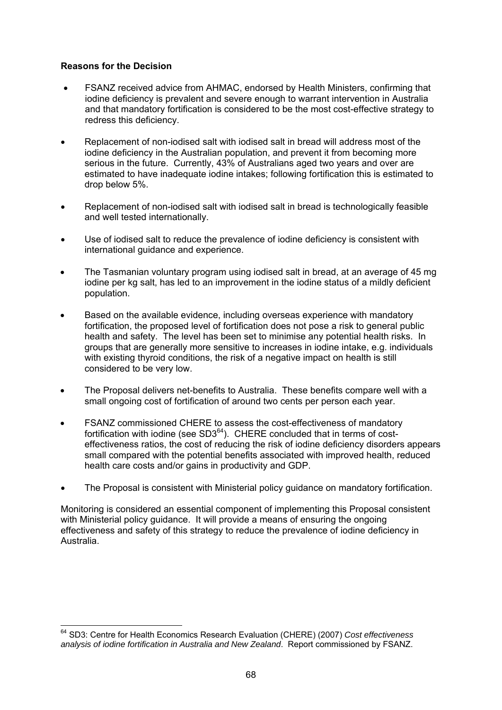## **Reasons for the Decision**

- FSANZ received advice from AHMAC, endorsed by Health Ministers, confirming that iodine deficiency is prevalent and severe enough to warrant intervention in Australia and that mandatory fortification is considered to be the most cost-effective strategy to redress this deficiency.
- Replacement of non-iodised salt with iodised salt in bread will address most of the iodine deficiency in the Australian population, and prevent it from becoming more serious in the future. Currently, 43% of Australians aged two years and over are estimated to have inadequate iodine intakes; following fortification this is estimated to drop below 5%.
- Replacement of non-iodised salt with iodised salt in bread is technologically feasible and well tested internationally.
- Use of iodised salt to reduce the prevalence of iodine deficiency is consistent with international guidance and experience.
- The Tasmanian voluntary program using iodised salt in bread, at an average of 45 mg iodine per kg salt, has led to an improvement in the iodine status of a mildly deficient population.
- Based on the available evidence, including overseas experience with mandatory fortification, the proposed level of fortification does not pose a risk to general public health and safety. The level has been set to minimise any potential health risks. In groups that are generally more sensitive to increases in iodine intake, e.g. individuals with existing thyroid conditions, the risk of a negative impact on health is still considered to be very low.
- The Proposal delivers net-benefits to Australia. These benefits compare well with a small ongoing cost of fortification of around two cents per person each year.
- FSANZ commissioned CHERE to assess the cost-effectiveness of mandatory fortification with iodine (see SD3<sup>64</sup>). CHERE concluded that in terms of costeffectiveness ratios, the cost of reducing the risk of iodine deficiency disorders appears small compared with the potential benefits associated with improved health, reduced health care costs and/or gains in productivity and GDP.
- The Proposal is consistent with Ministerial policy guidance on mandatory fortification.

Monitoring is considered an essential component of implementing this Proposal consistent with Ministerial policy guidance. It will provide a means of ensuring the ongoing effectiveness and safety of this strategy to reduce the prevalence of iodine deficiency in Australia.

<sup>1</sup> 64 SD3: Centre for Health Economics Research Evaluation (CHERE) (2007) *Cost effectiveness analysis of iodine fortification in Australia and New Zealand*. Report commissioned by FSANZ.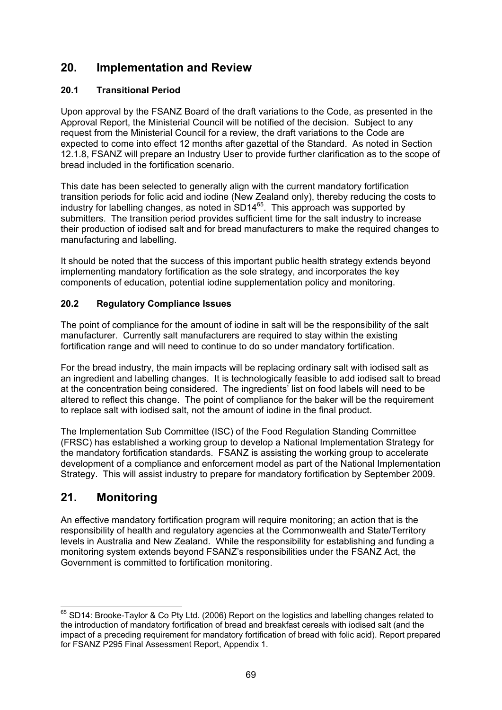# **20. Implementation and Review**

## **20.1 Transitional Period**

Upon approval by the FSANZ Board of the draft variations to the Code, as presented in the Approval Report, the Ministerial Council will be notified of the decision. Subject to any request from the Ministerial Council for a review, the draft variations to the Code are expected to come into effect 12 months after gazettal of the Standard. As noted in Section 12.1.8, FSANZ will prepare an Industry User to provide further clarification as to the scope of bread included in the fortification scenario.

This date has been selected to generally align with the current mandatory fortification transition periods for folic acid and iodine (New Zealand only), thereby reducing the costs to industry for labelling changes, as noted in SD14<sup>65</sup>. This approach was supported by submitters. The transition period provides sufficient time for the salt industry to increase their production of iodised salt and for bread manufacturers to make the required changes to manufacturing and labelling.

It should be noted that the success of this important public health strategy extends beyond implementing mandatory fortification as the sole strategy, and incorporates the key components of education, potential iodine supplementation policy and monitoring.

## **20.2 Regulatory Compliance Issues**

The point of compliance for the amount of iodine in salt will be the responsibility of the salt manufacturer. Currently salt manufacturers are required to stay within the existing fortification range and will need to continue to do so under mandatory fortification.

For the bread industry, the main impacts will be replacing ordinary salt with iodised salt as an ingredient and labelling changes. It is technologically feasible to add iodised salt to bread at the concentration being considered. The ingredients' list on food labels will need to be altered to reflect this change. The point of compliance for the baker will be the requirement to replace salt with iodised salt, not the amount of iodine in the final product.

The Implementation Sub Committee (ISC) of the Food Regulation Standing Committee (FRSC) has established a working group to develop a National Implementation Strategy for the mandatory fortification standards. FSANZ is assisting the working group to accelerate development of a compliance and enforcement model as part of the National Implementation Strategy. This will assist industry to prepare for mandatory fortification by September 2009.

# **21. Monitoring**

 $\overline{a}$ 

An effective mandatory fortification program will require monitoring; an action that is the responsibility of health and regulatory agencies at the Commonwealth and State/Territory levels in Australia and New Zealand. While the responsibility for establishing and funding a monitoring system extends beyond FSANZ's responsibilities under the FSANZ Act, the Government is committed to fortification monitoring.

 $65$  SD14: Brooke-Taylor & Co Pty Ltd. (2006) Report on the logistics and labelling changes related to the introduction of mandatory fortification of bread and breakfast cereals with iodised salt (and the impact of a preceding requirement for mandatory fortification of bread with folic acid). Report prepared for FSANZ P295 Final Assessment Report, Appendix 1.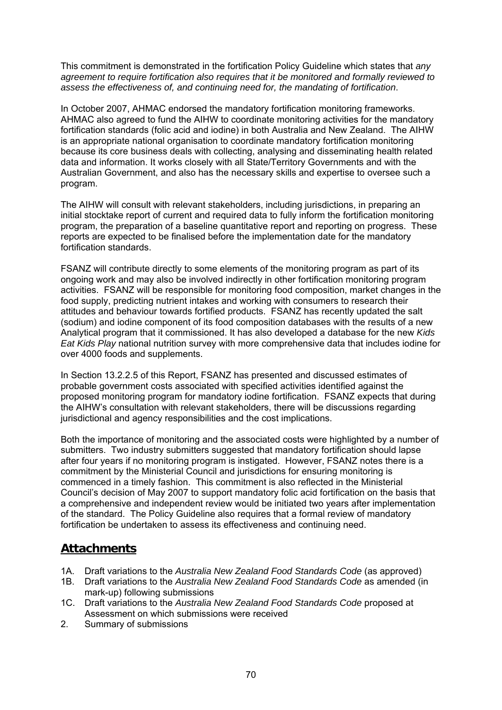This commitment is demonstrated in the fortification Policy Guideline which states that *any agreement to require fortification also requires that it be monitored and formally reviewed to assess the effectiveness of, and continuing need for, the mandating of fortification*.

In October 2007, AHMAC endorsed the mandatory fortification monitoring frameworks. AHMAC also agreed to fund the AIHW to coordinate monitoring activities for the mandatory fortification standards (folic acid and iodine) in both Australia and New Zealand. The AIHW is an appropriate national organisation to coordinate mandatory fortification monitoring because its core business deals with collecting, analysing and disseminating health related data and information. It works closely with all State/Territory Governments and with the Australian Government, and also has the necessary skills and expertise to oversee such a program.

The AIHW will consult with relevant stakeholders, including jurisdictions, in preparing an initial stocktake report of current and required data to fully inform the fortification monitoring program, the preparation of a baseline quantitative report and reporting on progress. These reports are expected to be finalised before the implementation date for the mandatory fortification standards.

FSANZ will contribute directly to some elements of the monitoring program as part of its ongoing work and may also be involved indirectly in other fortification monitoring program activities. FSANZ will be responsible for monitoring food composition, market changes in the food supply, predicting nutrient intakes and working with consumers to research their attitudes and behaviour towards fortified products. FSANZ has recently updated the salt (sodium) and iodine component of its food composition databases with the results of a new Analytical program that it commissioned. It has also developed a database for the new *Kids Eat Kids Play* national nutrition survey with more comprehensive data that includes iodine for over 4000 foods and supplements.

In Section 13.2.2.5 of this Report, FSANZ has presented and discussed estimates of probable government costs associated with specified activities identified against the proposed monitoring program for mandatory iodine fortification. FSANZ expects that during the AIHW's consultation with relevant stakeholders, there will be discussions regarding jurisdictional and agency responsibilities and the cost implications.

Both the importance of monitoring and the associated costs were highlighted by a number of submitters. Two industry submitters suggested that mandatory fortification should lapse after four years if no monitoring program is instigated. However, FSANZ notes there is a commitment by the Ministerial Council and jurisdictions for ensuring monitoring is commenced in a timely fashion. This commitment is also reflected in the Ministerial Council's decision of May 2007 to support mandatory folic acid fortification on the basis that a comprehensive and independent review would be initiated two years after implementation of the standard. The Policy Guideline also requires that a formal review of mandatory fortification be undertaken to assess its effectiveness and continuing need.

## **Attachments**

- 1A. Draft variations to the *Australia New Zealand Food Standards Code* (as approved)
- 1B. Draft variations to the *Australia New Zealand Food Standards Code* as amended (in mark-up) following submissions
- 1C. Draft variations to the *Australia New Zealand Food Standards Code* proposed at Assessment on which submissions were received
- 2. Summary of submissions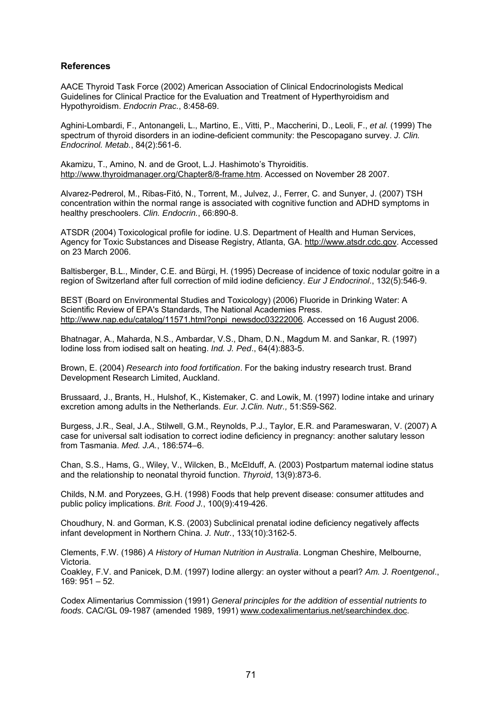#### **References**

AACE Thyroid Task Force (2002) American Association of Clinical Endocrinologists Medical Guidelines for Clinical Practice for the Evaluation and Treatment of Hyperthyroidism and Hypothyroidism. *Endocrin Prac.*, 8:458-69.

Aghini-Lombardi, F., Antonangeli, L., Martino, E., Vitti, P., Maccherini, D., Leoli, F., *et al.* (1999) The spectrum of thyroid disorders in an iodine-deficient community: the Pescopagano survey. *J. Clin. Endocrinol. Metab.*, 84(2):561-6.

Akamizu, T., Amino, N. and de Groot, L.J. Hashimoto's Thyroiditis. http://www.thyroidmanager.org/Chapter8/8-frame.htm. Accessed on November 28 2007.

Alvarez-Pedrerol, M., Ribas-Fitó, N., Torrent, M., Julvez, J., Ferrer, C. and Sunyer, J. (2007) TSH concentration within the normal range is associated with cognitive function and ADHD symptoms in healthy preschoolers. *Clin. Endocrin.*, 66:890-8.

ATSDR (2004) Toxicological profile for iodine. U.S. Department of Health and Human Services, Agency for Toxic Substances and Disease Registry, Atlanta, GA. http://www.atsdr.cdc.gov. Accessed on 23 March 2006.

Baltisberger, B.L., Minder, C.E. and Bürgi, H. (1995) Decrease of incidence of toxic nodular goitre in a region of Switzerland after full correction of mild iodine deficiency. *Eur J Endocrinol*., 132(5):546-9.

BEST (Board on Environmental Studies and Toxicology) (2006) Fluoride in Drinking Water: A Scientific Review of EPA's Standards, The National Academies Press. http://www.nap.edu/catalog/11571.html?onpi\_newsdoc03222006. Accessed on 16 August 2006.

Bhatnagar, A., Maharda, N.S., Ambardar, V.S., Dham, D.N., Magdum M. and Sankar, R. (1997) Iodine loss from iodised salt on heating. *Ind. J. Ped*., 64(4):883-5.

Brown, E. (2004) *Research into food fortification*. For the baking industry research trust. Brand Development Research Limited, Auckland.

Brussaard, J., Brants, H., Hulshof, K., Kistemaker, C. and Lowik, M. (1997) Iodine intake and urinary excretion among adults in the Netherlands. *Eur. J.Clin. Nutr.,* 51:S59-S62.

Burgess, J.R., Seal, J.A., Stilwell, G.M., Reynolds, P.J., Taylor, E.R. and Parameswaran, V. (2007) A case for universal salt iodisation to correct iodine deficiency in pregnancy: another salutary lesson from Tasmania. *Med. J.A.*, 186:574–6.

Chan, S.S., Hams, G., Wiley, V., Wilcken, B., McElduff, A. (2003) Postpartum maternal iodine status and the relationship to neonatal thyroid function. *Thyroid*, 13(9):873-6.

Childs, N.M. and Poryzees, G.H. (1998) Foods that help prevent disease: consumer attitudes and public policy implications. *Brit. Food J.*, 100(9):419-426.

Choudhury, N. and Gorman, K.S. (2003) Subclinical prenatal iodine deficiency negatively affects infant development in Northern China. *J. Nutr.*, 133(10):3162-5.

Clements, F.W. (1986) *A History of Human Nutrition in Australia*. Longman Cheshire, Melbourne, Victoria.

Coakley, F.V. and Panicek, D.M. (1997) Iodine allergy: an oyster without a pearl? *Am. J. Roentgenol*., 169: 951 – 52.

Codex Alimentarius Commission (1991) *General principles for the addition of essential nutrients to foods*. CAC/GL 09-1987 (amended 1989, 1991) www.codexalimentarius.net/searchindex.doc.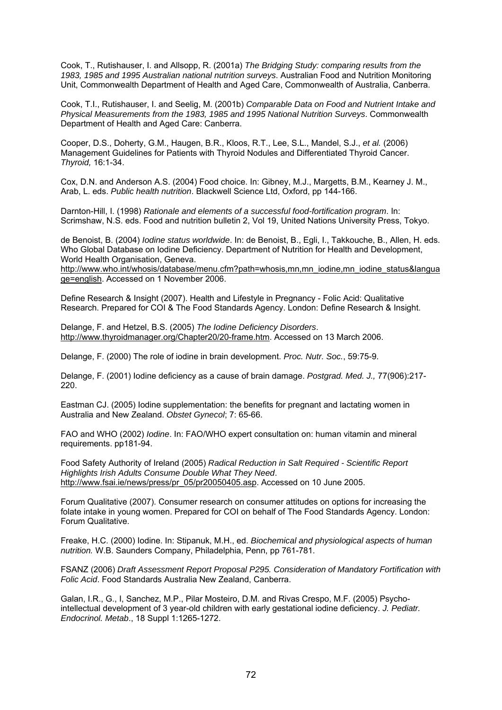Cook, T., Rutishauser, I. and Allsopp, R. (2001a) *The Bridging Study: comparing results from the 1983, 1985 and 1995 Australian national nutrition surveys*. Australian Food and Nutrition Monitoring Unit, Commonwealth Department of Health and Aged Care, Commonwealth of Australia, Canberra.

Cook, T.I., Rutishauser, I. and Seelig, M. (2001b) *Comparable Data on Food and Nutrient Intake and Physical Measurements from the 1983, 1985 and 1995 National Nutrition Surveys*. Commonwealth Department of Health and Aged Care: Canberra.

Cooper, D.S., Doherty, G.M., Haugen, B.R., Kloos, R.T., Lee, S.L., Mandel, S.J., *et al.* (2006) Management Guidelines for Patients with Thyroid Nodules and Differentiated Thyroid Cancer. *Thyroid,* 16:1-34.

Cox, D.N. and Anderson A.S. (2004) Food choice. In: Gibney, M.J., Margetts, B.M., Kearney J. M., Arab, L. eds. *Public health nutrition*. Blackwell Science Ltd, Oxford, pp 144-166.

Darnton-Hill, I. (1998) *Rationale and elements of a successful food-fortification program*. In: Scrimshaw, N.S. eds. Food and nutrition bulletin 2, Vol 19, United Nations University Press, Tokyo.

de Benoist, B. (2004) *Iodine status worldwide*. In: de Benoist, B., Egli, I., Takkouche, B., Allen, H. eds. Who Global Database on Iodine Deficiency. Department of Nutrition for Health and Development, World Health Organisation, Geneva.

http://www.who.int/whosis/database/menu.cfm?path=whosis,mn,mn\_iodine,mn\_iodine\_status&langua ge=english. Accessed on 1 November 2006.

Define Research & Insight (2007). Health and Lifestyle in Pregnancy - Folic Acid: Qualitative Research. Prepared for COI & The Food Standards Agency. London: Define Research & Insight.

Delange, F. and Hetzel, B.S. (2005) *The Iodine Deficiency Disorders*. http://www.thyroidmanager.org/Chapter20/20-frame.htm. Accessed on 13 March 2006.

Delange, F. (2000) The role of iodine in brain development. *Proc. Nutr. Soc.*, 59:75-9.

Delange, F. (2001) Iodine deficiency as a cause of brain damage. *Postgrad. Med. J.,* 77(906):217- 220.

Eastman CJ. (2005) Iodine supplementation: the benefits for pregnant and lactating women in Australia and New Zealand. *Obstet Gynecol*; 7: 65-66.

FAO and WHO (2002) *Iodine*. In: FAO/WHO expert consultation on: human vitamin and mineral requirements. pp181-94.

Food Safety Authority of Ireland (2005) *Radical Reduction in Salt Required - Scientific Report Highlights Irish Adults Consume Double What They Need*. http://www.fsai.ie/news/press/pr\_05/pr20050405.asp. Accessed on 10 June 2005.

Forum Qualitative (2007). Consumer research on consumer attitudes on options for increasing the folate intake in young women. Prepared for COI on behalf of The Food Standards Agency. London: Forum Qualitative.

Freake, H.C. (2000) Iodine. In: Stipanuk, M.H., ed. *Biochemical and physiological aspects of human nutrition.* W.B. Saunders Company, Philadelphia, Penn, pp 761-781.

FSANZ (2006) *Draft Assessment Report Proposal P295. Consideration of Mandatory Fortification with Folic Acid*. Food Standards Australia New Zealand, Canberra.

Galan, I.R., G., I, Sanchez, M.P., Pilar Mosteiro, D.M. and Rivas Crespo, M.F. (2005) Psychointellectual development of 3 year-old children with early gestational iodine deficiency. *J. Pediatr. Endocrinol. Metab*., 18 Suppl 1:1265-1272.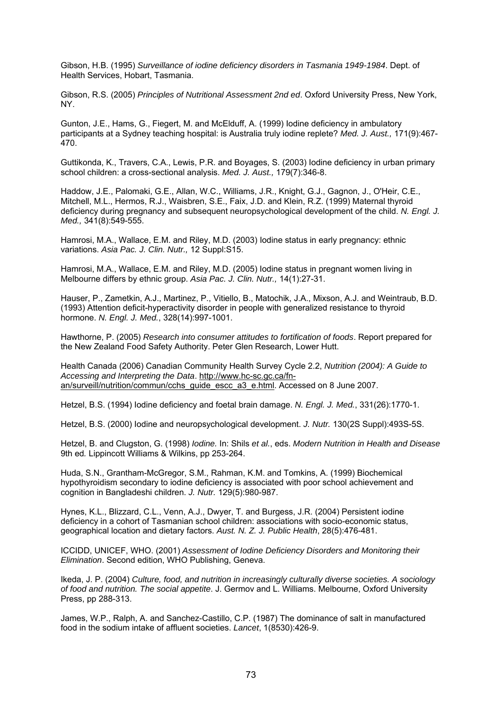Gibson, H.B. (1995) *Surveillance of iodine deficiency disorders in Tasmania 1949-1984*. Dept. of Health Services, Hobart, Tasmania.

Gibson, R.S. (2005) *Principles of Nutritional Assessment 2nd ed*. Oxford University Press, New York, NY.

Gunton, J.E., Hams, G., Fiegert, M. and McElduff, A. (1999) Iodine deficiency in ambulatory participants at a Sydney teaching hospital: is Australia truly iodine replete? *Med. J. Aust.,* 171(9):467- 470.

Guttikonda, K., Travers, C.A., Lewis, P.R. and Boyages, S. (2003) Iodine deficiency in urban primary school children: a cross-sectional analysis. *Med. J. Aust.,* 179(7):346-8.

Haddow, J.E., Palomaki, G.E., Allan, W.C., Williams, J.R., Knight, G.J., Gagnon, J., O'Heir, C.E., Mitchell, M.L., Hermos, R.J., Waisbren, S.E., Faix, J.D. and Klein, R.Z. (1999) Maternal thyroid deficiency during pregnancy and subsequent neuropsychological development of the child. *N. Engl. J. Med.,* 341(8):549-555.

Hamrosi, M.A., Wallace, E.M. and Riley, M.D. (2003) Iodine status in early pregnancy: ethnic variations. *Asia Pac. J. Clin. Nutr.,* 12 Suppl:S15.

Hamrosi, M.A., Wallace, E.M. and Riley, M.D. (2005) Iodine status in pregnant women living in Melbourne differs by ethnic group. *Asia Pac. J. Clin. Nutr.,* 14(1):27-31.

Hauser, P., Zametkin, A.J., Martinez, P., Vitiello, B., Matochik, J.A., Mixson, A.J. and Weintraub, B.D. (1993) Attention deficit-hyperactivity disorder in people with generalized resistance to thyroid hormone. *N. Engl. J. Med.*, 328(14):997-1001.

Hawthorne, P. (2005) *Research into consumer attitudes to fortification of foods*. Report prepared for the New Zealand Food Safety Authority. Peter Glen Research, Lower Hutt.

Health Canada (2006) Canadian Community Health Survey Cycle 2.2, *Nutrition (2004): A Guide to Accessing and Interpreting the Data*. http://www.hc-sc.gc.ca/fnan/surveill/nutrition/commun/cchs\_guide\_escc\_a3\_e.html. Accessed on 8 June 2007.

Hetzel, B.S. (1994) Iodine deficiency and foetal brain damage. *N. Engl. J. Med.*, 331(26):1770-1.

Hetzel, B.S. (2000) Iodine and neuropsychological development. *J. Nutr.* 130(2S Suppl):493S-5S.

Hetzel, B. and Clugston, G. (1998) *Iodine.* In: Shils *et al.*, eds. *Modern Nutrition in Health and Disease*  9th ed*.* Lippincott Williams & Wilkins, pp 253-264.

Huda, S.N., Grantham-McGregor, S.M., Rahman, K.M. and Tomkins, A. (1999) Biochemical hypothyroidism secondary to iodine deficiency is associated with poor school achievement and cognition in Bangladeshi children. *J. Nutr.* 129(5):980-987.

Hynes, K.L., Blizzard, C.L., Venn, A.J., Dwyer, T. and Burgess, J.R. (2004) Persistent iodine deficiency in a cohort of Tasmanian school children: associations with socio-economic status, geographical location and dietary factors. *Aust. N. Z. J. Public Health*, 28(5):476-481.

ICCIDD, UNICEF, WHO. (2001) *Assessment of Iodine Deficiency Disorders and Monitoring their Elimination*. Second edition, WHO Publishing, Geneva.

Ikeda, J. P. (2004) *Culture, food, and nutrition in increasingly culturally diverse societies. A sociology of food and nutrition. The social appetite*. J. Germov and L. Williams. Melbourne, Oxford University Press, pp 288-313.

James, W.P., Ralph, A. and Sanchez-Castillo, C.P. (1987) The dominance of salt in manufactured food in the sodium intake of affluent societies. *Lancet*, 1(8530):426-9.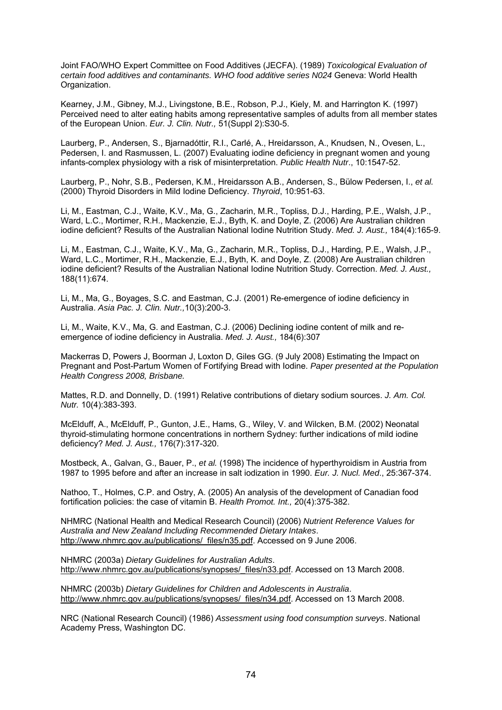Joint FAO/WHO Expert Committee on Food Additives (JECFA). (1989) *Toxicological Evaluation of certain food additives and contaminants. WHO food additive series N024* Geneva: World Health Organization.

Kearney, J.M., Gibney, M.J., Livingstone, B.E., Robson, P.J., Kiely, M. and Harrington K. (1997) Perceived need to alter eating habits among representative samples of adults from all member states of the European Union. *Eur. J. Clin. Nutr.,* 51(Suppl 2):S30-5.

Laurberg, P., Andersen, S., Bjarnadóttir, R.I., Carlé, A., Hreidarsson, A., Knudsen, N., Ovesen, L., Pedersen, I. and Rasmussen, L. (2007) Evaluating iodine deficiency in pregnant women and young infants-complex physiology with a risk of misinterpretation. *Public Health Nutr*., 10:1547-52.

Laurberg, P., Nohr, S.B., Pedersen, K.M., Hreidarsson A.B., Andersen, S., Bülow Pedersen, I., *et al.* (2000) Thyroid Disorders in Mild Iodine Deficiency. *Thyroid*, 10:951-63.

Li, M., Eastman, C.J., Waite, K.V., Ma, G., Zacharin, M.R., Topliss, D.J., Harding, P.E., Walsh, J.P., Ward, L.C., Mortimer, R.H., Mackenzie, E.J., Byth, K. and Doyle, Z. (2006) Are Australian children iodine deficient? Results of the Australian National Iodine Nutrition Study. *Med. J. Aust.,* 184(4):165-9.

Li, M., Eastman, C.J., Waite, K.V., Ma, G., Zacharin, M.R., Topliss, D.J., Harding, P.E., Walsh, J.P., Ward, L.C., Mortimer, R.H., Mackenzie, E.J., Byth, K. and Doyle, Z. (2008) Are Australian children iodine deficient? Results of the Australian National Iodine Nutrition Study. Correction. *Med. J. Aust.,*  188(11):674.

Li, M., Ma, G., Boyages, S.C. and Eastman, C.J. (2001) Re-emergence of iodine deficiency in Australia. *Asia Pac. J. Clin. Nutr.,*10(3):200-3.

Li, M., Waite, K.V., Ma, G. and Eastman, C.J. (2006) Declining iodine content of milk and reemergence of iodine deficiency in Australia. *Med. J. Aust.,* 184(6):307

Mackerras D, Powers J, Boorman J, Loxton D, Giles GG. (9 July 2008) Estimating the Impact on Pregnant and Post-Partum Women of Fortifying Bread with Iodine. *Paper presented at the Population Health Congress 2008, Brisbane.* 

Mattes, R.D. and Donnelly, D. (1991) Relative contributions of dietary sodium sources. *J. Am. Col. Nutr.* 10(4):383-393.

McElduff, A., McElduff, P., Gunton, J.E., Hams, G., Wiley, V. and Wilcken, B.M. (2002) Neonatal thyroid-stimulating hormone concentrations in northern Sydney: further indications of mild iodine deficiency? *Med. J. Aust.,* 176(7):317-320.

Mostbeck, A., Galvan, G., Bauer, P., *et al.* (1998) The incidence of hyperthyroidism in Austria from 1987 to 1995 before and after an increase in salt iodization in 1990. *Eur. J. Nucl. Med*., 25:367-374.

Nathoo, T., Holmes, C.P. and Ostry, A. (2005) An analysis of the development of Canadian food fortification policies: the case of vitamin B. *Health Promot. Int.,* 20(4):375-382.

NHMRC (National Health and Medical Research Council) (2006) *Nutrient Reference Values for Australia and New Zealand Including Recommended Dietary Intakes*. http://www.nhmrc.gov.au/publications/\_files/n35.pdf. Accessed on 9 June 2006.

NHMRC (2003a) *Dietary Guidelines for Australian Adults*. http://www.nhmrc.gov.au/publications/synopses/\_files/n33.pdf. Accessed on 13 March 2008.

NHMRC (2003b) *Dietary Guidelines for Children and Adolescents in Australia*. http://www.nhmrc.gov.au/publications/synopses/\_files/n34.pdf. Accessed on 13 March 2008.

NRC (National Research Council) (1986) *Assessment using food consumption surveys*. National Academy Press, Washington DC.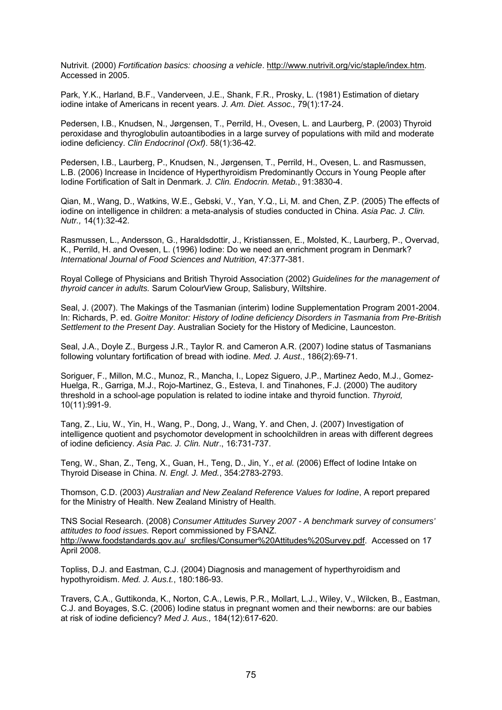Nutrivit. (2000) *Fortification basics: choosing a vehicle*. http://www.nutrivit.org/vic/staple/index.htm. Accessed in 2005.

Park, Y.K., Harland, B.F., Vanderveen, J.E., Shank, F.R., Prosky, L. (1981) Estimation of dietary iodine intake of Americans in recent years. *J. Am. Diet. Assoc.,* 79(1):17-24.

Pedersen, I.B., Knudsen, N., Jørgensen, T., Perrild, H., Ovesen, L. and Laurberg, P. (2003) Thyroid peroxidase and thyroglobulin autoantibodies in a large survey of populations with mild and moderate iodine deficiency. *Clin Endocrinol (Oxf)*. 58(1):36-42.

Pedersen, I.B., Laurberg, P., Knudsen, N., Jørgensen, T., Perrild, H., Ovesen, L. and Rasmussen, L.B. (2006) Increase in Incidence of Hyperthyroidism Predominantly Occurs in Young People after Iodine Fortification of Salt in Denmark. *J. Clin. Endocrin. Metab.*, 91:3830-4.

Qian, M., Wang, D., Watkins, W.E., Gebski, V., Yan, Y.Q., Li, M. and Chen, Z.P. (2005) The effects of iodine on intelligence in children: a meta-analysis of studies conducted in China. *Asia Pac. J. Clin. Nutr.,* 14(1):32-42.

Rasmussen, L., Andersson, G., Haraldsdottir, J., Kristianssen, E., Molsted, K., Laurberg, P., Overvad, K., Perrild, H. and Ovesen, L. (1996) Iodine: Do we need an enrichment program in Denmark? *International Journal of Food Sciences and Nutrition,* 47:377-381.

Royal College of Physicians and British Thyroid Association (2002) *Guidelines for the management of thyroid cancer in adults.* Sarum ColourView Group, Salisbury, Wiltshire.

Seal, J. (2007). The Makings of the Tasmanian (interim) Iodine Supplementation Program 2001-2004. In: Richards, P. ed. *Goitre Monitor: History of Iodine deficiency Disorders in Tasmania from Pre-British Settlement to the Present Day*. Australian Society for the History of Medicine, Launceston.

Seal, J.A., Doyle Z., Burgess J.R., Taylor R. and Cameron A.R. (2007) Iodine status of Tasmanians following voluntary fortification of bread with iodine. *Med. J. Aust*., 186(2):69-71.

Soriguer, F., Millon, M.C., Munoz, R., Mancha, I., Lopez Siguero, J.P., Martinez Aedo, M.J., Gomez-Huelga, R., Garriga, M.J., Rojo-Martinez, G., Esteva, I. and Tinahones, F.J. (2000) The auditory threshold in a school-age population is related to iodine intake and thyroid function. *Thyroid,*  10(11):991-9.

Tang, Z., Liu, W., Yin, H., Wang, P., Dong, J., Wang, Y. and Chen, J. (2007) Investigation of intelligence quotient and psychomotor development in schoolchildren in areas with different degrees of iodine deficiency. *Asia Pac. J. Clin. Nutr*., 16:731-737.

Teng, W., Shan, Z., Teng, X., Guan, H., Teng, D., Jin, Y., *et al.* (2006) Effect of Iodine Intake on Thyroid Disease in China. *N. Engl. J. Med.*, 354:2783-2793.

Thomson, C.D. (2003) *Australian and New Zealand Reference Values for Iodine*, A report prepared for the Ministry of Health. New Zealand Ministry of Health.

TNS Social Research. (2008) *Consumer Attitudes Survey 2007 - A benchmark survey of consumers' attitudes to food issues.* Report commissioned by FSANZ. http://www.foodstandards.gov.au/\_srcfiles/Consumer%20Attitudes%20Survey.pdf. Accessed on 17 April 2008.

Topliss, D.J. and Eastman, C.J. (2004) Diagnosis and management of hyperthyroidism and hypothyroidism. *Med. J. Aus.t.*, 180:186-93.

Travers, C.A., Guttikonda, K., Norton, C.A., Lewis, P.R., Mollart, L.J., Wiley, V., Wilcken, B., Eastman, C.J. and Boyages, S.C. (2006) Iodine status in pregnant women and their newborns: are our babies at risk of iodine deficiency? *Med J. Aus.,* 184(12):617-620.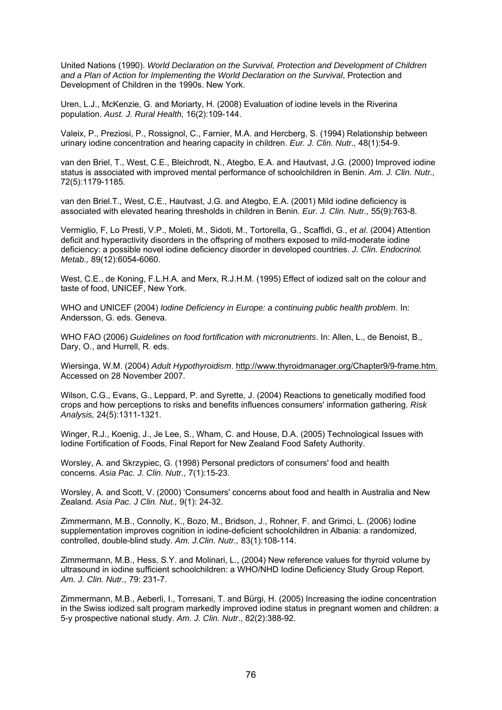United Nations (1990). *World Declaration on the Survival, Protection and Development of Children and a Plan of Action for Implementing the World Declaration on the Survival*, Protection and Development of Children in the 1990s. New York.

Uren, L.J., McKenzie, G. and Moriarty, H. (2008) Evaluation of iodine levels in the Riverina population. *Aust. J. Rural Health,* 16(2):109-144.

Valeix, P., Preziosi, P., Rossignol, C., Farnier, M.A. and Hercberg, S. (1994) Relationship between urinary iodine concentration and hearing capacity in children. *Eur. J. Clin. Nutr.,* 48(1):54-9.

van den Briel, T., West, C.E., Bleichrodt, N., Ategbo, E.A. and Hautvast, J.G. (2000) Improved iodine status is associated with improved mental performance of schoolchildren in Benin. *Am. J. Clin. Nutr.,*  72(5):1179-1185.

van den Briel.T., West, C.E., Hautvast, J.G. and Ategbo, E.A. (2001) Mild iodine deficiency is associated with elevated hearing thresholds in children in Benin. *Eur. J. Clin. Nutr.,* 55(9):763-8.

Vermiglio, F, Lo Presti, V.P., Moleti, M., Sidoti, M., Tortorella, G., Scaffidi, G., *et al*. (2004) Attention deficit and hyperactivity disorders in the offspring of mothers exposed to mild-moderate iodine deficiency: a possible novel iodine deficiency disorder in developed countries. *J. Clin. Endocrinol. Metab.,* 89(12):6054-6060.

West, C.E., de Koning, F.L.H.A. and Merx, R.J.H.M. (1995) Effect of iodized salt on the colour and taste of food, UNICEF, New York.

WHO and UNICEF (2004) *Iodine Deficiency in Europe: a continuing public health problem*. In: Andersson, G. eds. Geneva.

WHO FAO (2006) *Guidelines on food fortification with micronutrients*. In: Allen, L., de Benoist, B., Dary, O., and Hurrell, R. eds.

Wiersinga, W.M. (2004) *Adult Hypothyroidism*. http://www.thyroidmanager.org/Chapter9/9-frame.htm. Accessed on 28 November 2007.

Wilson, C.G., Evans, G., Leppard, P. and Syrette, J. (2004) Reactions to genetically modified food crops and how perceptions to risks and benefits influences consumers' information gathering. *Risk Analysis,* 24(5):1311-1321.

Winger, R.J., Koenig, J., Je Lee, S., Wham, C. and House, D.A. (2005) Technological Issues with Iodine Fortification of Foods, Final Report for New Zealand Food Safety Authority.

Worsley, A. and Skrzypiec, G. (1998) Personal predictors of consumers' food and health concerns. *Asia Pac. J. Clin. Nutr.,* 7(1):15-23.

Worsley, A. and Scott, V. (2000) 'Consumers' concerns about food and health in Australia and New Zealand. *Asia Pac. J Clin. Nut.,* 9(1): 24-32.

Zimmermann, M.B., Connolly, K., Bozo, M., Bridson, J., Rohner, F. and Grimci, L. (2006) Iodine supplementation improves cognition in iodine-deficient schoolchildren in Albania: a randomized, controlled, double-blind study. *Am. J.Clin. Nutr.,* 83(1):108-114.

Zimmermann, M.B., Hess, S.Y. and Molinari, L., (2004) New reference values for thyroid volume by ultrasound in iodine sufficient schoolchildren: a WHO/NHD Iodine Deficiency Study Group Report. *Am. J. Clin. Nutr.,* 79: 231-7.

Zimmermann, M.B., Aeberli, I., Torresani, T. and Bürgi, H. (2005) Increasing the iodine concentration in the Swiss iodized salt program markedly improved iodine status in pregnant women and children: a 5-y prospective national study. *Am. J. Clin. Nutr*., 82(2):388-92.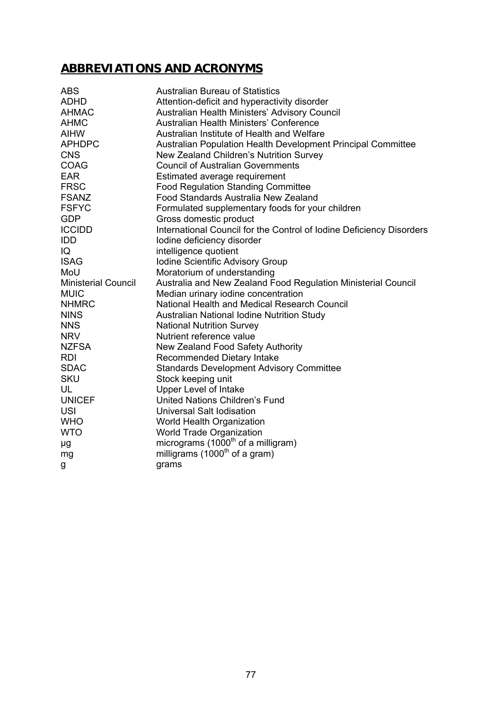# **ABBREVIATIONS AND ACRONYMS**

| <b>ABS</b>                 | <b>Australian Bureau of Statistics</b>                               |
|----------------------------|----------------------------------------------------------------------|
| <b>ADHD</b>                | Attention-deficit and hyperactivity disorder                         |
| <b>AHMAC</b>               | Australian Health Ministers' Advisory Council                        |
| <b>AHMC</b>                | Australian Health Ministers' Conference                              |
| <b>AIHW</b>                | Australian Institute of Health and Welfare                           |
| <b>APHDPC</b>              | Australian Population Health Development Principal Committee         |
| <b>CNS</b>                 | New Zealand Children's Nutrition Survey                              |
| <b>COAG</b>                | <b>Council of Australian Governments</b>                             |
| <b>EAR</b>                 | Estimated average requirement                                        |
| <b>FRSC</b>                | <b>Food Regulation Standing Committee</b>                            |
| <b>FSANZ</b>               | Food Standards Australia New Zealand                                 |
| <b>FSFYC</b>               | Formulated supplementary foods for your children                     |
| <b>GDP</b>                 | Gross domestic product                                               |
| <b>ICCIDD</b>              | International Council for the Control of Iodine Deficiency Disorders |
| <b>IDD</b>                 | lodine deficiency disorder                                           |
| IQ                         | intelligence quotient                                                |
| <b>ISAG</b>                | Iodine Scientific Advisory Group                                     |
| MoU                        | Moratorium of understanding                                          |
| <b>Ministerial Council</b> | Australia and New Zealand Food Regulation Ministerial Council        |
| <b>MUIC</b>                | Median urinary iodine concentration                                  |
| <b>NHMRC</b>               | National Health and Medical Research Council                         |
| <b>NINS</b>                | Australian National Iodine Nutrition Study                           |
| <b>NNS</b>                 | <b>National Nutrition Survey</b>                                     |
| <b>NRV</b>                 | Nutrient reference value                                             |
| <b>NZFSA</b>               | New Zealand Food Safety Authority                                    |
| <b>RDI</b>                 | Recommended Dietary Intake                                           |
| <b>SDAC</b>                | <b>Standards Development Advisory Committee</b>                      |
| <b>SKU</b>                 | Stock keeping unit                                                   |
| UL                         | <b>Upper Level of Intake</b>                                         |
| <b>UNICEF</b>              | United Nations Children's Fund                                       |
| USI                        | Universal Salt Iodisation                                            |
| <b>WHO</b>                 | World Health Organization                                            |
| <b>WTO</b>                 | World Trade Organization                                             |
| μg                         | micrograms (1000 <sup>th</sup> of a milligram)                       |
| mg                         | milligrams (1000 <sup>th</sup> of a gram)                            |
| g                          | grams                                                                |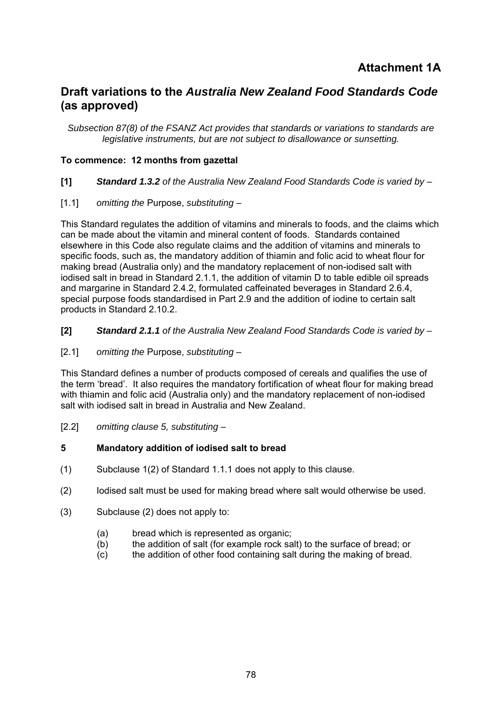## **Attachment 1A**

## **Draft variations to the** *Australia New Zealand Food Standards Code*  **(as approved)**

*Subsection 87(8) of the FSANZ Act provides that standards or variations to standards are legislative instruments, but are not subject to disallowance or sunsetting.* 

#### **To commence: 12 months from gazettal**

- **[1]** *Standard 1.3.2 of the Australia New Zealand Food Standards Code is varied by* –
- [1.1] *omitting the* Purpose, *substituting* –

This Standard regulates the addition of vitamins and minerals to foods, and the claims which can be made about the vitamin and mineral content of foods. Standards contained elsewhere in this Code also regulate claims and the addition of vitamins and minerals to specific foods, such as, the mandatory addition of thiamin and folic acid to wheat flour for making bread (Australia only) and the mandatory replacement of non-iodised salt with iodised salt in bread in Standard 2.1.1, the addition of vitamin D to table edible oil spreads and margarine in Standard 2.4.2, formulated caffeinated beverages in Standard 2.6.4, special purpose foods standardised in Part 2.9 and the addition of iodine to certain salt products in Standard 2.10.2.

#### **[2]** *Standard 2.1.1 of the Australia New Zealand Food Standards Code is varied by –*

#### [2.1] *omitting the* Purpose, *substituting* –

This Standard defines a number of products composed of cereals and qualifies the use of the term 'bread'. It also requires the mandatory fortification of wheat flour for making bread with thiamin and folic acid (Australia only) and the mandatory replacement of non-iodised salt with iodised salt in bread in Australia and New Zealand.

[2.2] *omitting clause 5, substituting* –

#### **5 Mandatory addition of iodised salt to bread**

- (1) Subclause 1(2) of Standard 1.1.1 does not apply to this clause.
- (2) Iodised salt must be used for making bread where salt would otherwise be used.
- (3) Subclause (2) does not apply to:
	- (a) bread which is represented as organic;
	- (b) the addition of salt (for example rock salt) to the surface of bread; or
	- (c) the addition of other food containing salt during the making of bread.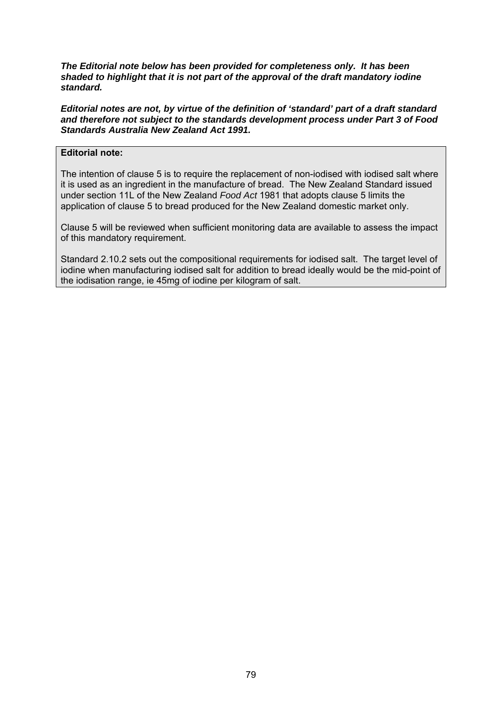*The Editorial note below has been provided for completeness only. It has been shaded to highlight that it is not part of the approval of the draft mandatory iodine standard.* 

*Editorial notes are not, by virtue of the definition of 'standard' part of a draft standard and therefore not subject to the standards development process under Part 3 of Food Standards Australia New Zealand Act 1991.* 

#### **Editorial note:**

The intention of clause 5 is to require the replacement of non-iodised with iodised salt where it is used as an ingredient in the manufacture of bread. The New Zealand Standard issued under section 11L of the New Zealand *Food Act* 1981 that adopts clause 5 limits the application of clause 5 to bread produced for the New Zealand domestic market only.

Clause 5 will be reviewed when sufficient monitoring data are available to assess the impact of this mandatory requirement.

Standard 2.10.2 sets out the compositional requirements for iodised salt. The target level of iodine when manufacturing iodised salt for addition to bread ideally would be the mid-point of the iodisation range, ie 45mg of iodine per kilogram of salt.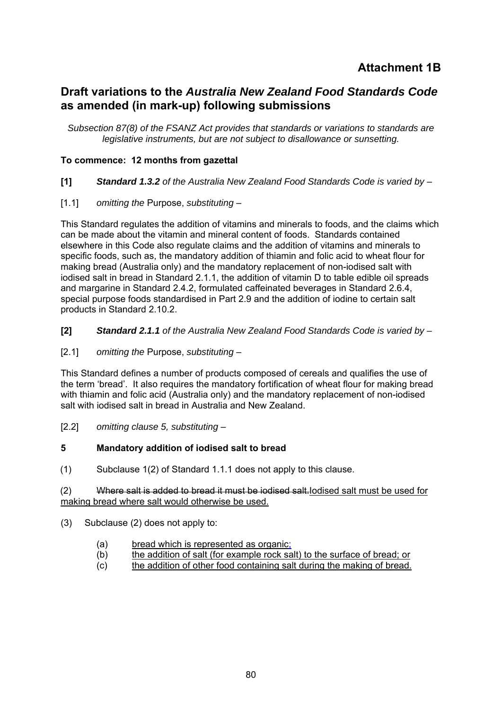## **Attachment 1B**

### **Draft variations to the** *Australia New Zealand Food Standards Code* **as amended (in mark-up) following submissions**

*Subsection 87(8) of the FSANZ Act provides that standards or variations to standards are legislative instruments, but are not subject to disallowance or sunsetting.* 

### **To commence: 12 months from gazettal**

- **[1]** *Standard 1.3.2 of the Australia New Zealand Food Standards Code is varied by* –
- [1.1] *omitting the* Purpose, *substituting* –

This Standard regulates the addition of vitamins and minerals to foods, and the claims which can be made about the vitamin and mineral content of foods. Standards contained elsewhere in this Code also regulate claims and the addition of vitamins and minerals to specific foods, such as, the mandatory addition of thiamin and folic acid to wheat flour for making bread (Australia only) and the mandatory replacement of non-iodised salt with iodised salt in bread in Standard 2.1.1, the addition of vitamin D to table edible oil spreads and margarine in Standard 2.4.2, formulated caffeinated beverages in Standard 2.6.4, special purpose foods standardised in Part 2.9 and the addition of iodine to certain salt products in Standard 2.10.2.

#### **[2]** *Standard 2.1.1 of the Australia New Zealand Food Standards Code is varied by –*

#### [2.1] *omitting the* Purpose, *substituting* –

This Standard defines a number of products composed of cereals and qualifies the use of the term 'bread'. It also requires the mandatory fortification of wheat flour for making bread with thiamin and folic acid (Australia only) and the mandatory replacement of non-iodised salt with iodised salt in bread in Australia and New Zealand.

[2.2] *omitting clause 5, substituting* –

### **5 Mandatory addition of iodised salt to bread**

(1) Subclause 1(2) of Standard 1.1.1 does not apply to this clause.

#### (2) Where salt is added to bread it must be jodised salt. Iodised salt must be used for making bread where salt would otherwise be used.

(3) Subclause (2) does not apply to:

- (a) bread which is represented as organic;
- (b) the addition of salt (for example rock salt) to the surface of bread; or
- (c) the addition of other food containing salt during the making of bread.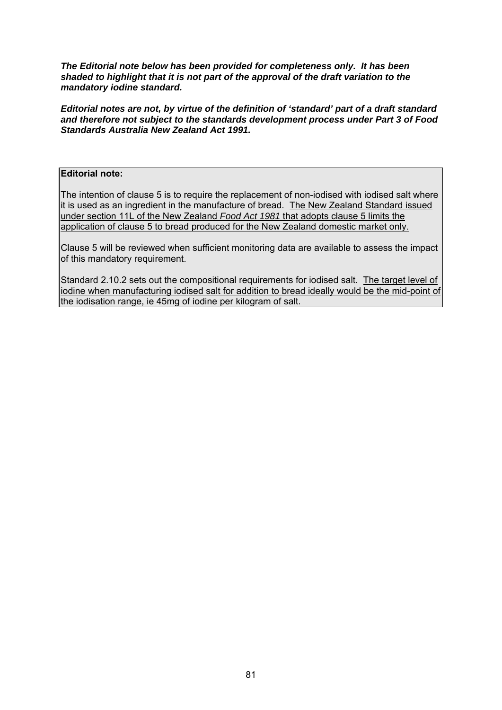*The Editorial note below has been provided for completeness only. It has been shaded to highlight that it is not part of the approval of the draft variation to the mandatory iodine standard.* 

*Editorial notes are not, by virtue of the definition of 'standard' part of a draft standard and therefore not subject to the standards development process under Part 3 of Food Standards Australia New Zealand Act 1991.* 

#### **Editorial note:**

The intention of clause 5 is to require the replacement of non-iodised with iodised salt where it is used as an ingredient in the manufacture of bread. The New Zealand Standard issued under section 11L of the New Zealand *Food Act 1981* that adopts clause 5 limits the application of clause 5 to bread produced for the New Zealand domestic market only.

Clause 5 will be reviewed when sufficient monitoring data are available to assess the impact of this mandatory requirement.

Standard 2.10.2 sets out the compositional requirements for iodised salt. The target level of iodine when manufacturing iodised salt for addition to bread ideally would be the mid-point of the iodisation range, ie 45mg of iodine per kilogram of salt.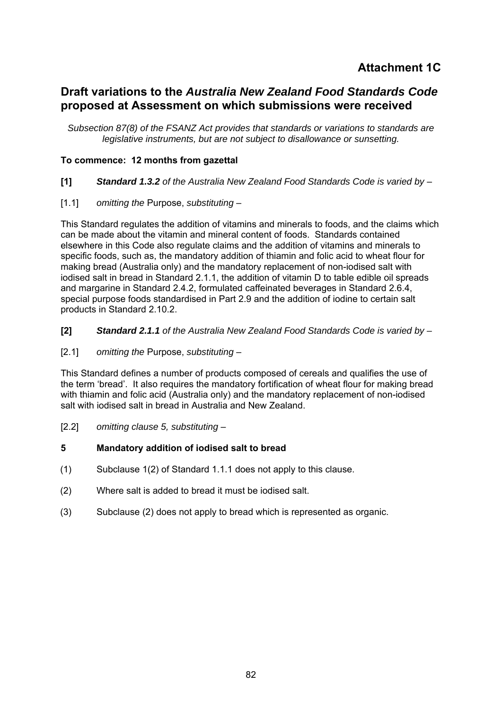## **Attachment 1C**

### **Draft variations to the** *Australia New Zealand Food Standards Code*  **proposed at Assessment on which submissions were received**

*Subsection 87(8) of the FSANZ Act provides that standards or variations to standards are legislative instruments, but are not subject to disallowance or sunsetting.* 

### **To commence: 12 months from gazettal**

- **[1]** *Standard 1.3.2 of the Australia New Zealand Food Standards Code is varied by* –
- [1.1] *omitting the* Purpose, *substituting* –

This Standard regulates the addition of vitamins and minerals to foods, and the claims which can be made about the vitamin and mineral content of foods. Standards contained elsewhere in this Code also regulate claims and the addition of vitamins and minerals to specific foods, such as, the mandatory addition of thiamin and folic acid to wheat flour for making bread (Australia only) and the mandatory replacement of non-iodised salt with iodised salt in bread in Standard 2.1.1, the addition of vitamin D to table edible oil spreads and margarine in Standard 2.4.2, formulated caffeinated beverages in Standard 2.6.4, special purpose foods standardised in Part 2.9 and the addition of iodine to certain salt products in Standard 2.10.2.

#### **[2]** *Standard 2.1.1 of the Australia New Zealand Food Standards Code is varied by –*

#### [2.1] *omitting the* Purpose, *substituting* –

This Standard defines a number of products composed of cereals and qualifies the use of the term 'bread'. It also requires the mandatory fortification of wheat flour for making bread with thiamin and folic acid (Australia only) and the mandatory replacement of non-iodised salt with iodised salt in bread in Australia and New Zealand.

[2.2] *omitting clause 5, substituting* –

### **5 Mandatory addition of iodised salt to bread**

- (1) Subclause 1(2) of Standard 1.1.1 does not apply to this clause.
- (2) Where salt is added to bread it must be iodised salt.
- (3) Subclause (2) does not apply to bread which is represented as organic.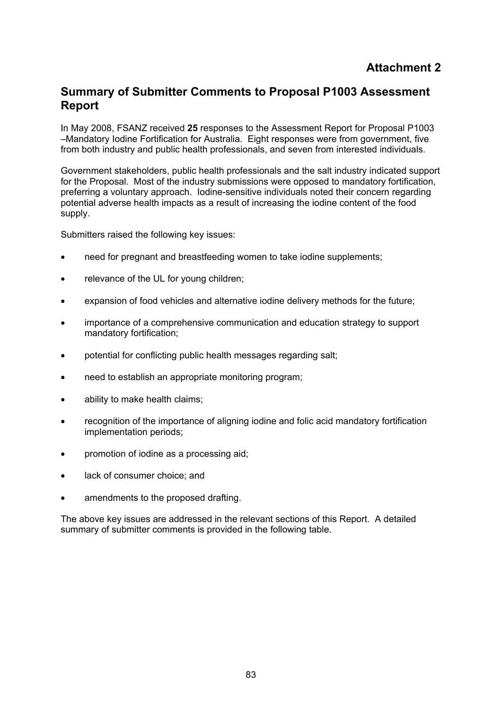## **Summary of Submitter Comments to Proposal P1003 Assessment Report**

In May 2008, FSANZ received **25** responses to the Assessment Report for Proposal P1003 –Mandatory Iodine Fortification for Australia. Eight responses were from government, five from both industry and public health professionals, and seven from interested individuals.

Government stakeholders, public health professionals and the salt industry indicated support for the Proposal. Most of the industry submissions were opposed to mandatory fortification, preferring a voluntary approach. Iodine-sensitive individuals noted their concern regarding potential adverse health impacts as a result of increasing the iodine content of the food supply.

Submitters raised the following key issues:

- need for pregnant and breastfeeding women to take iodine supplements;
- relevance of the UL for young children;
- expansion of food vehicles and alternative iodine delivery methods for the future;
- importance of a comprehensive communication and education strategy to support mandatory fortification;
- potential for conflicting public health messages regarding salt;
- need to establish an appropriate monitoring program;
- ability to make health claims;
- recognition of the importance of aligning iodine and folic acid mandatory fortification implementation periods;
- promotion of iodine as a processing aid;
- lack of consumer choice; and
- amendments to the proposed drafting.

The above key issues are addressed in the relevant sections of this Report. A detailed summary of submitter comments is provided in the following table.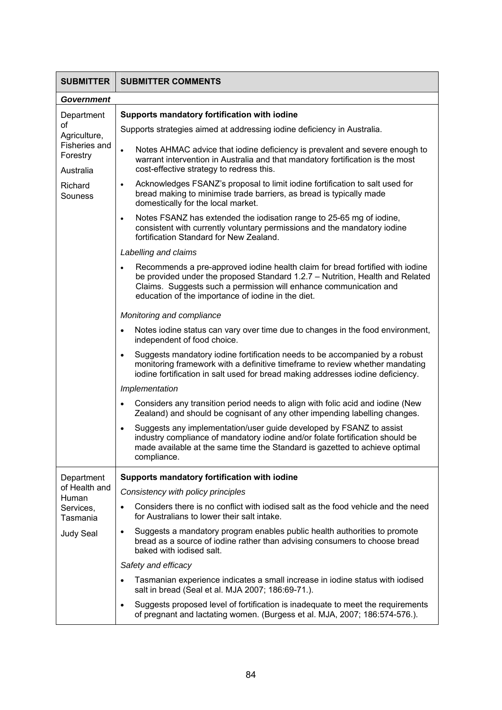| <b>SUBMITTER</b>                                                           | <b>SUBMITTER COMMENTS</b>                                                                                                                                                                                                                                                                              |
|----------------------------------------------------------------------------|--------------------------------------------------------------------------------------------------------------------------------------------------------------------------------------------------------------------------------------------------------------------------------------------------------|
| <b>Government</b>                                                          |                                                                                                                                                                                                                                                                                                        |
| Department<br>οf<br>Agriculture,<br>Fisheries and<br>Forestry<br>Australia | Supports mandatory fortification with iodine                                                                                                                                                                                                                                                           |
|                                                                            | Supports strategies aimed at addressing iodine deficiency in Australia.                                                                                                                                                                                                                                |
|                                                                            | Notes AHMAC advice that iodine deficiency is prevalent and severe enough to<br>$\bullet$<br>warrant intervention in Australia and that mandatory fortification is the most<br>cost-effective strategy to redress this.                                                                                 |
| Richard<br>Souness                                                         | Acknowledges FSANZ's proposal to limit iodine fortification to salt used for<br>$\bullet$<br>bread making to minimise trade barriers, as bread is typically made<br>domestically for the local market.                                                                                                 |
|                                                                            | Notes FSANZ has extended the iodisation range to 25-65 mg of iodine,<br>$\bullet$<br>consistent with currently voluntary permissions and the mandatory iodine<br>fortification Standard for New Zealand.                                                                                               |
|                                                                            | Labelling and claims                                                                                                                                                                                                                                                                                   |
|                                                                            | Recommends a pre-approved iodine health claim for bread fortified with iodine<br>$\bullet$<br>be provided under the proposed Standard 1.2.7 - Nutrition, Health and Related<br>Claims. Suggests such a permission will enhance communication and<br>education of the importance of iodine in the diet. |
|                                                                            | Monitoring and compliance                                                                                                                                                                                                                                                                              |
|                                                                            | Notes iodine status can vary over time due to changes in the food environment,<br>independent of food choice.                                                                                                                                                                                          |
|                                                                            | Suggests mandatory iodine fortification needs to be accompanied by a robust<br>monitoring framework with a definitive timeframe to review whether mandating<br>iodine fortification in salt used for bread making addresses iodine deficiency.                                                         |
|                                                                            | Implementation                                                                                                                                                                                                                                                                                         |
|                                                                            | Considers any transition period needs to align with folic acid and iodine (New<br>$\bullet$<br>Zealand) and should be cognisant of any other impending labelling changes.                                                                                                                              |
|                                                                            | Suggests any implementation/user guide developed by FSANZ to assist<br>$\bullet$<br>industry compliance of mandatory iodine and/or folate fortification should be<br>made available at the same time the Standard is gazetted to achieve optimal<br>compliance.                                        |
| Department                                                                 | Supports mandatory fortification with iodine                                                                                                                                                                                                                                                           |
| of Health and<br>Human<br>Services,<br>Tasmania<br>Judy Seal               | Consistency with policy principles                                                                                                                                                                                                                                                                     |
|                                                                            | Considers there is no conflict with iodised salt as the food vehicle and the need<br>for Australians to lower their salt intake.                                                                                                                                                                       |
|                                                                            | Suggests a mandatory program enables public health authorities to promote<br>$\bullet$<br>bread as a source of iodine rather than advising consumers to choose bread<br>baked with iodised salt.                                                                                                       |
|                                                                            | Safety and efficacy                                                                                                                                                                                                                                                                                    |
|                                                                            | Tasmanian experience indicates a small increase in iodine status with iodised<br>$\bullet$<br>salt in bread (Seal et al. MJA 2007; 186:69-71.).                                                                                                                                                        |
|                                                                            | Suggests proposed level of fortification is inadequate to meet the requirements<br>$\bullet$<br>of pregnant and lactating women. (Burgess et al. MJA, 2007; 186:574-576.).                                                                                                                             |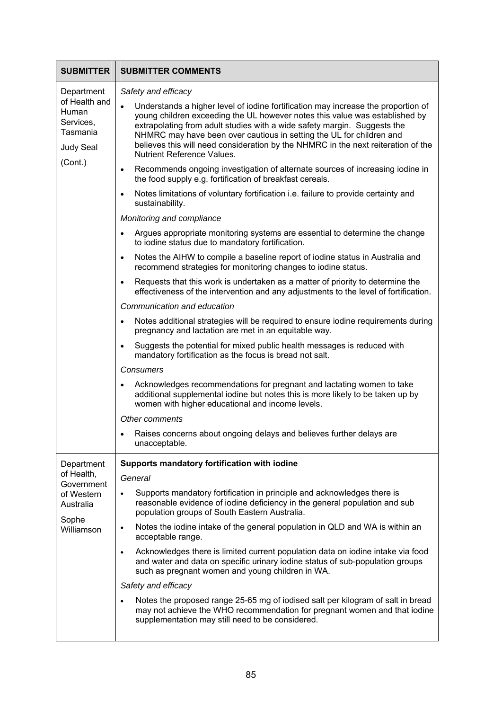| <b>SUBMITTER</b>                                                                         | <b>SUBMITTER COMMENTS</b>                                                                                                                                                                                                                                                                                                                                                                                                                                                                                                                                                                                                                                                                                                                                                                                                                                                                                                                                                                                                                                                                                                                                                                                                                                                                                                                                                                                                                                                                                                                                                                                                                                                                                                                                                                                                                                                          |
|------------------------------------------------------------------------------------------|------------------------------------------------------------------------------------------------------------------------------------------------------------------------------------------------------------------------------------------------------------------------------------------------------------------------------------------------------------------------------------------------------------------------------------------------------------------------------------------------------------------------------------------------------------------------------------------------------------------------------------------------------------------------------------------------------------------------------------------------------------------------------------------------------------------------------------------------------------------------------------------------------------------------------------------------------------------------------------------------------------------------------------------------------------------------------------------------------------------------------------------------------------------------------------------------------------------------------------------------------------------------------------------------------------------------------------------------------------------------------------------------------------------------------------------------------------------------------------------------------------------------------------------------------------------------------------------------------------------------------------------------------------------------------------------------------------------------------------------------------------------------------------------------------------------------------------------------------------------------------------|
| Department<br>of Health and<br>Human<br>Services,<br>Tasmania<br>Judy Seal<br>(Cont.)    | Safety and efficacy<br>Understands a higher level of iodine fortification may increase the proportion of<br>$\bullet$<br>young children exceeding the UL however notes this value was established by<br>extrapolating from adult studies with a wide safety margin. Suggests the<br>NHMRC may have been over cautious in setting the UL for children and<br>believes this will need consideration by the NHMRC in the next reiteration of the<br><b>Nutrient Reference Values.</b><br>Recommends ongoing investigation of alternate sources of increasing iodine in<br>$\bullet$<br>the food supply e.g. fortification of breakfast cereals.<br>Notes limitations of voluntary fortification i.e. failure to provide certainty and<br>$\bullet$<br>sustainability.<br>Monitoring and compliance<br>Argues appropriate monitoring systems are essential to determine the change<br>to iodine status due to mandatory fortification.<br>Notes the AIHW to compile a baseline report of iodine status in Australia and<br>$\bullet$<br>recommend strategies for monitoring changes to iodine status.<br>Requests that this work is undertaken as a matter of priority to determine the<br>$\bullet$<br>effectiveness of the intervention and any adjustments to the level of fortification.<br>Communication and education<br>Notes additional strategies will be required to ensure iodine requirements during<br>$\bullet$<br>pregnancy and lactation are met in an equitable way.<br>Suggests the potential for mixed public health messages is reduced with<br>$\bullet$<br>mandatory fortification as the focus is bread not salt.<br>Consumers<br>Acknowledges recommendations for pregnant and lactating women to take<br>additional supplemental iodine but notes this is more likely to be taken up by<br>women with higher educational and income levels.<br>Other comments |
|                                                                                          | Raises concerns about ongoing delays and believes further delays are<br>unacceptable.                                                                                                                                                                                                                                                                                                                                                                                                                                                                                                                                                                                                                                                                                                                                                                                                                                                                                                                                                                                                                                                                                                                                                                                                                                                                                                                                                                                                                                                                                                                                                                                                                                                                                                                                                                                              |
| Department<br>of Health,<br>Government<br>of Western<br>Australia<br>Sophe<br>Williamson | Supports mandatory fortification with iodine<br>General<br>Supports mandatory fortification in principle and acknowledges there is<br>$\bullet$<br>reasonable evidence of iodine deficiency in the general population and sub<br>population groups of South Eastern Australia.<br>Notes the iodine intake of the general population in QLD and WA is within an<br>$\bullet$<br>acceptable range.<br>Acknowledges there is limited current population data on iodine intake via food<br>$\bullet$<br>and water and data on specific urinary iodine status of sub-population groups<br>such as pregnant women and young children in WA.<br>Safety and efficacy<br>Notes the proposed range 25-65 mg of iodised salt per kilogram of salt in bread<br>may not achieve the WHO recommendation for pregnant women and that iodine<br>supplementation may still need to be considered.                                                                                                                                                                                                                                                                                                                                                                                                                                                                                                                                                                                                                                                                                                                                                                                                                                                                                                                                                                                                   |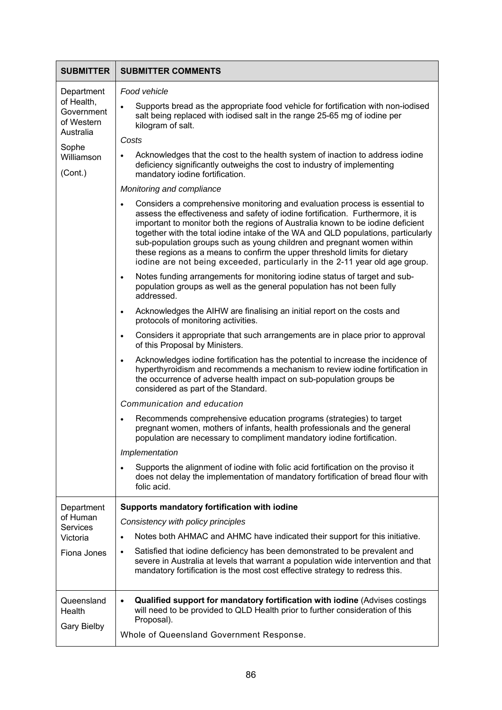| <b>SUBMITTER</b>                                                                                    | <b>SUBMITTER COMMENTS</b>                                                                                                                                                                                                                                                                                                                                                                                                                                                                                                                                                                                                                                                                                                                                                                                                                                                                                                                                                                                                                                                                                                                                                                                                                                                                                                                                                                                                                                                                                                                                                |
|-----------------------------------------------------------------------------------------------------|--------------------------------------------------------------------------------------------------------------------------------------------------------------------------------------------------------------------------------------------------------------------------------------------------------------------------------------------------------------------------------------------------------------------------------------------------------------------------------------------------------------------------------------------------------------------------------------------------------------------------------------------------------------------------------------------------------------------------------------------------------------------------------------------------------------------------------------------------------------------------------------------------------------------------------------------------------------------------------------------------------------------------------------------------------------------------------------------------------------------------------------------------------------------------------------------------------------------------------------------------------------------------------------------------------------------------------------------------------------------------------------------------------------------------------------------------------------------------------------------------------------------------------------------------------------------------|
| Department<br>of Health,<br>Government<br>of Western<br>Australia<br>Sophe<br>Williamson<br>(Cont.) | Food vehicle<br>Supports bread as the appropriate food vehicle for fortification with non-iodised<br>salt being replaced with iodised salt in the range 25-65 mg of iodine per<br>kilogram of salt.<br>Costs                                                                                                                                                                                                                                                                                                                                                                                                                                                                                                                                                                                                                                                                                                                                                                                                                                                                                                                                                                                                                                                                                                                                                                                                                                                                                                                                                             |
|                                                                                                     | Acknowledges that the cost to the health system of inaction to address iodine<br>deficiency significantly outweighs the cost to industry of implementing<br>mandatory iodine fortification.<br>Monitoring and compliance<br>Considers a comprehensive monitoring and evaluation process is essential to<br>$\bullet$<br>assess the effectiveness and safety of iodine fortification. Furthermore, it is<br>important to monitor both the regions of Australia known to be iodine deficient<br>together with the total iodine intake of the WA and QLD populations, particularly<br>sub-population groups such as young children and pregnant women within<br>these regions as a means to confirm the upper threshold limits for dietary<br>iodine are not being exceeded, particularly in the 2-11 year old age group.<br>Notes funding arrangements for monitoring iodine status of target and sub-<br>$\bullet$<br>population groups as well as the general population has not been fully<br>addressed.<br>Acknowledges the AIHW are finalising an initial report on the costs and<br>$\bullet$<br>protocols of monitoring activities.<br>Considers it appropriate that such arrangements are in place prior to approval<br>$\bullet$<br>of this Proposal by Ministers.<br>Acknowledges iodine fortification has the potential to increase the incidence of<br>$\bullet$<br>hyperthyroidism and recommends a mechanism to review iodine fortification in<br>the occurrence of adverse health impact on sub-population groups be<br>considered as part of the Standard. |
|                                                                                                     | Communication and education<br>Recommends comprehensive education programs (strategies) to target<br>$\bullet$<br>pregnant women, mothers of infants, health professionals and the general<br>population are necessary to compliment mandatory iodine fortification.<br>Implementation<br>Supports the alignment of iodine with folic acid fortification on the proviso it<br>$\bullet$<br>does not delay the implementation of mandatory fortification of bread flour with<br>folic acid.                                                                                                                                                                                                                                                                                                                                                                                                                                                                                                                                                                                                                                                                                                                                                                                                                                                                                                                                                                                                                                                                               |
| Department<br>of Human<br><b>Services</b><br>Victoria<br>Fiona Jones                                | Supports mandatory fortification with iodine<br>Consistency with policy principles<br>Notes both AHMAC and AHMC have indicated their support for this initiative.<br>$\bullet$<br>Satisfied that iodine deficiency has been demonstrated to be prevalent and<br>$\bullet$<br>severe in Australia at levels that warrant a population wide intervention and that<br>mandatory fortification is the most cost effective strategy to redress this.                                                                                                                                                                                                                                                                                                                                                                                                                                                                                                                                                                                                                                                                                                                                                                                                                                                                                                                                                                                                                                                                                                                          |
| Queensland<br>Health<br><b>Gary Bielby</b>                                                          | Qualified support for mandatory fortification with iodine (Advises costings<br>$\bullet$<br>will need to be provided to QLD Health prior to further consideration of this<br>Proposal).<br>Whole of Queensland Government Response.                                                                                                                                                                                                                                                                                                                                                                                                                                                                                                                                                                                                                                                                                                                                                                                                                                                                                                                                                                                                                                                                                                                                                                                                                                                                                                                                      |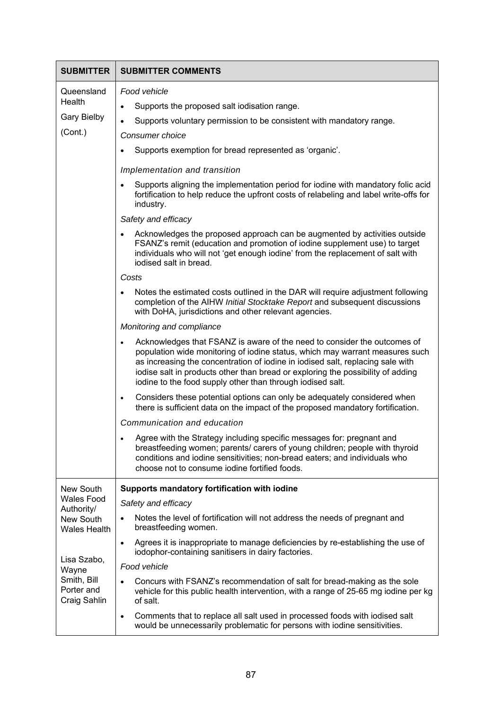| <b>SUBMITTER</b>                                                                                                                                      | <b>SUBMITTER COMMENTS</b>                                                                                                                                                                                                                                                                                                                                                                                                                                                                                                                                                                                                                                                                                                                                                                                                                                                                                                                                                                                                                                 |
|-------------------------------------------------------------------------------------------------------------------------------------------------------|-----------------------------------------------------------------------------------------------------------------------------------------------------------------------------------------------------------------------------------------------------------------------------------------------------------------------------------------------------------------------------------------------------------------------------------------------------------------------------------------------------------------------------------------------------------------------------------------------------------------------------------------------------------------------------------------------------------------------------------------------------------------------------------------------------------------------------------------------------------------------------------------------------------------------------------------------------------------------------------------------------------------------------------------------------------|
| Queensland<br>Health<br><b>Gary Bielby</b><br>(Cont.)                                                                                                 | Food vehicle<br>Supports the proposed salt iodisation range.<br>Supports voluntary permission to be consistent with mandatory range.<br>Consumer choice<br>Supports exemption for bread represented as 'organic'.<br>Implementation and transition<br>Supports aligning the implementation period for iodine with mandatory folic acid<br>fortification to help reduce the upfront costs of relabeling and label write-offs for<br>industry.                                                                                                                                                                                                                                                                                                                                                                                                                                                                                                                                                                                                              |
|                                                                                                                                                       | Safety and efficacy<br>Acknowledges the proposed approach can be augmented by activities outside<br>FSANZ's remit (education and promotion of iodine supplement use) to target<br>individuals who will not 'get enough iodine' from the replacement of salt with<br>iodised salt in bread.<br>Costs<br>Notes the estimated costs outlined in the DAR will require adjustment following                                                                                                                                                                                                                                                                                                                                                                                                                                                                                                                                                                                                                                                                    |
|                                                                                                                                                       | completion of the AIHW Initial Stocktake Report and subsequent discussions<br>with DoHA, jurisdictions and other relevant agencies.<br>Monitoring and compliance<br>Acknowledges that FSANZ is aware of the need to consider the outcomes of<br>population wide monitoring of iodine status, which may warrant measures such<br>as increasing the concentration of iodine in iodised salt, replacing sale with<br>iodise salt in products other than bread or exploring the possibility of adding<br>iodine to the food supply other than through iodised salt.<br>Considers these potential options can only be adequately considered when<br>٠<br>there is sufficient data on the impact of the proposed mandatory fortification.<br>Communication and education<br>Agree with the Strategy including specific messages for: pregnant and<br>breastfeeding women; parents/ carers of young children; people with thyroid<br>conditions and iodine sensitivities; non-bread eaters; and individuals who<br>choose not to consume iodine fortified foods. |
| New South<br><b>Wales Food</b><br>Authority/<br>New South<br><b>Wales Health</b><br>Lisa Szabo,<br>Wayne<br>Smith, Bill<br>Porter and<br>Craig Sahlin | Supports mandatory fortification with iodine<br>Safety and efficacy<br>Notes the level of fortification will not address the needs of pregnant and<br>breastfeeding women.<br>Agrees it is inappropriate to manage deficiencies by re-establishing the use of<br>$\bullet$<br>iodophor-containing sanitisers in dairy factories.<br>Food vehicle<br>Concurs with FSANZ's recommendation of salt for bread-making as the sole<br>vehicle for this public health intervention, with a range of 25-65 mg iodine per kg<br>of salt.<br>Comments that to replace all salt used in processed foods with iodised salt<br>$\bullet$<br>would be unnecessarily problematic for persons with iodine sensitivities.                                                                                                                                                                                                                                                                                                                                                  |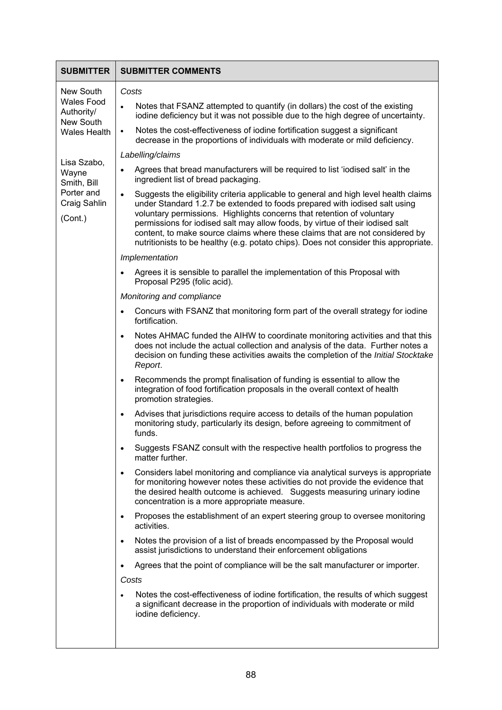| <b>SUBMITTER</b>                                                             | <b>SUBMITTER COMMENTS</b>                                                                                                                                                                                                                                                                                                                                                                                                                                                                                          |
|------------------------------------------------------------------------------|--------------------------------------------------------------------------------------------------------------------------------------------------------------------------------------------------------------------------------------------------------------------------------------------------------------------------------------------------------------------------------------------------------------------------------------------------------------------------------------------------------------------|
| New South                                                                    | Costs                                                                                                                                                                                                                                                                                                                                                                                                                                                                                                              |
| <b>Wales Food</b><br>Authority/<br>New South<br><b>Wales Health</b>          | Notes that FSANZ attempted to quantify (in dollars) the cost of the existing<br>$\bullet$<br>iodine deficiency but it was not possible due to the high degree of uncertainty.                                                                                                                                                                                                                                                                                                                                      |
|                                                                              | Notes the cost-effectiveness of iodine fortification suggest a significant<br>$\bullet$<br>decrease in the proportions of individuals with moderate or mild deficiency.                                                                                                                                                                                                                                                                                                                                            |
|                                                                              | Labelling/claims                                                                                                                                                                                                                                                                                                                                                                                                                                                                                                   |
| Lisa Szabo,<br>Wayne<br>Smith, Bill<br>Porter and<br>Craig Sahlin<br>(Cont.) | Agrees that bread manufacturers will be required to list 'iodised salt' in the<br>$\bullet$<br>ingredient list of bread packaging.                                                                                                                                                                                                                                                                                                                                                                                 |
|                                                                              | Suggests the eligibility criteria applicable to general and high level health claims<br>$\bullet$<br>under Standard 1.2.7 be extended to foods prepared with iodised salt using<br>voluntary permissions. Highlights concerns that retention of voluntary<br>permissions for iodised salt may allow foods, by virtue of their iodised salt<br>content, to make source claims where these claims that are not considered by<br>nutritionists to be healthy (e.g. potato chips). Does not consider this appropriate. |
|                                                                              | Implementation                                                                                                                                                                                                                                                                                                                                                                                                                                                                                                     |
|                                                                              | Agrees it is sensible to parallel the implementation of this Proposal with<br>$\bullet$<br>Proposal P295 (folic acid).                                                                                                                                                                                                                                                                                                                                                                                             |
|                                                                              | Monitoring and compliance                                                                                                                                                                                                                                                                                                                                                                                                                                                                                          |
|                                                                              | Concurs with FSANZ that monitoring form part of the overall strategy for iodine<br>fortification.                                                                                                                                                                                                                                                                                                                                                                                                                  |
|                                                                              | Notes AHMAC funded the AIHW to coordinate monitoring activities and that this<br>$\bullet$<br>does not include the actual collection and analysis of the data. Further notes a<br>decision on funding these activities awaits the completion of the Initial Stocktake<br>Report.                                                                                                                                                                                                                                   |
|                                                                              | Recommends the prompt finalisation of funding is essential to allow the<br>$\bullet$<br>integration of food fortification proposals in the overall context of health<br>promotion strategies.                                                                                                                                                                                                                                                                                                                      |
|                                                                              | Advises that jurisdictions require access to details of the human population<br>$\bullet$<br>monitoring study, particularly its design, before agreeing to commitment of<br>funds.                                                                                                                                                                                                                                                                                                                                 |
|                                                                              | Suggests FSANZ consult with the respective health portfolios to progress the<br>$\bullet$<br>matter further.                                                                                                                                                                                                                                                                                                                                                                                                       |
|                                                                              | Considers label monitoring and compliance via analytical surveys is appropriate<br>$\bullet$<br>for monitoring however notes these activities do not provide the evidence that<br>the desired health outcome is achieved. Suggests measuring urinary iodine<br>concentration is a more appropriate measure.                                                                                                                                                                                                        |
|                                                                              | Proposes the establishment of an expert steering group to oversee monitoring<br>$\bullet$<br>activities.                                                                                                                                                                                                                                                                                                                                                                                                           |
|                                                                              | Notes the provision of a list of breads encompassed by the Proposal would<br>$\bullet$<br>assist jurisdictions to understand their enforcement obligations                                                                                                                                                                                                                                                                                                                                                         |
|                                                                              | Agrees that the point of compliance will be the salt manufacturer or importer.                                                                                                                                                                                                                                                                                                                                                                                                                                     |
|                                                                              | Costs                                                                                                                                                                                                                                                                                                                                                                                                                                                                                                              |
|                                                                              | Notes the cost-effectiveness of iodine fortification, the results of which suggest<br>a significant decrease in the proportion of individuals with moderate or mild<br>iodine deficiency.                                                                                                                                                                                                                                                                                                                          |
|                                                                              |                                                                                                                                                                                                                                                                                                                                                                                                                                                                                                                    |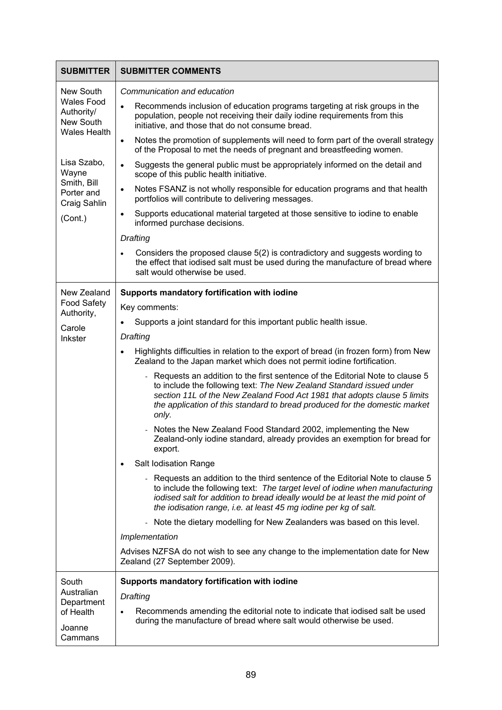| <b>SUBMITTER</b>                                                                 | <b>SUBMITTER COMMENTS</b>                                                                                                                                                                                                                                                                                                 |
|----------------------------------------------------------------------------------|---------------------------------------------------------------------------------------------------------------------------------------------------------------------------------------------------------------------------------------------------------------------------------------------------------------------------|
| New South<br><b>Wales Food</b><br>Authority/<br>New South<br><b>Wales Health</b> | Communication and education                                                                                                                                                                                                                                                                                               |
|                                                                                  | Recommends inclusion of education programs targeting at risk groups in the<br>$\bullet$<br>population, people not receiving their daily iodine requirements from this<br>initiative, and those that do not consume bread.                                                                                                 |
|                                                                                  | Notes the promotion of supplements will need to form part of the overall strategy<br>$\bullet$<br>of the Proposal to met the needs of pregnant and breastfeeding women.                                                                                                                                                   |
| Lisa Szabo,<br>Wayne                                                             | Suggests the general public must be appropriately informed on the detail and<br>$\bullet$<br>scope of this public health initiative.                                                                                                                                                                                      |
| Smith, Bill<br>Porter and<br>Craig Sahlin                                        | Notes FSANZ is not wholly responsible for education programs and that health<br>$\bullet$<br>portfolios will contribute to delivering messages.                                                                                                                                                                           |
| (Cont.)                                                                          | Supports educational material targeted at those sensitive to iodine to enable<br>$\bullet$<br>informed purchase decisions.                                                                                                                                                                                                |
|                                                                                  | Drafting                                                                                                                                                                                                                                                                                                                  |
|                                                                                  | Considers the proposed clause 5(2) is contradictory and suggests wording to<br>the effect that iodised salt must be used during the manufacture of bread where<br>salt would otherwise be used.                                                                                                                           |
| New Zealand                                                                      | Supports mandatory fortification with iodine                                                                                                                                                                                                                                                                              |
| <b>Food Safety</b><br>Authority,                                                 | Key comments:                                                                                                                                                                                                                                                                                                             |
| Carole                                                                           | Supports a joint standard for this important public health issue.                                                                                                                                                                                                                                                         |
| Inkster                                                                          | Drafting                                                                                                                                                                                                                                                                                                                  |
|                                                                                  | Highlights difficulties in relation to the export of bread (in frozen form) from New<br>$\bullet$<br>Zealand to the Japan market which does not permit iodine fortification.                                                                                                                                              |
|                                                                                  | - Requests an addition to the first sentence of the Editorial Note to clause 5<br>to include the following text: The New Zealand Standard issued under<br>section 11L of the New Zealand Food Act 1981 that adopts clause 5 limits<br>the application of this standard to bread produced for the domestic market<br>only. |
|                                                                                  | Notes the New Zealand Food Standard 2002, implementing the New<br>Zealand-only iodine standard, already provides an exemption for bread for<br>export.                                                                                                                                                                    |
|                                                                                  | Salt Iodisation Range                                                                                                                                                                                                                                                                                                     |
|                                                                                  | - Requests an addition to the third sentence of the Editorial Note to clause 5<br>to include the following text: The target level of iodine when manufacturing<br>iodised salt for addition to bread ideally would be at least the mid point of<br>the iodisation range, i.e. at least 45 mg iodine per kg of salt.       |
|                                                                                  | Note the dietary modelling for New Zealanders was based on this level.<br>$\qquad \qquad -$                                                                                                                                                                                                                               |
|                                                                                  | Implementation                                                                                                                                                                                                                                                                                                            |
|                                                                                  | Advises NZFSA do not wish to see any change to the implementation date for New<br>Zealand (27 September 2009).                                                                                                                                                                                                            |
| South<br>Australian<br>Department<br>of Health                                   | Supports mandatory fortification with iodine                                                                                                                                                                                                                                                                              |
|                                                                                  | Drafting                                                                                                                                                                                                                                                                                                                  |
|                                                                                  | Recommends amending the editorial note to indicate that iodised salt be used<br>during the manufacture of bread where salt would otherwise be used.                                                                                                                                                                       |
| Joanne<br>Cammans                                                                |                                                                                                                                                                                                                                                                                                                           |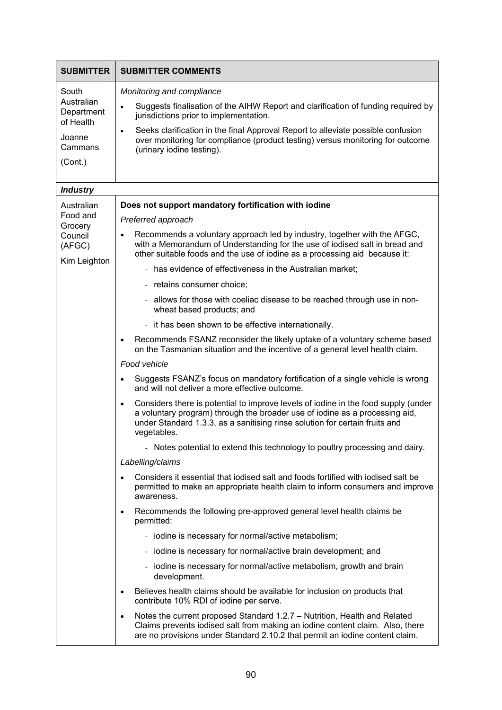| <b>SUBMITTER</b>                                         | <b>SUBMITTER COMMENTS</b>                                                                                                                                                                                                                                                                                                                                |
|----------------------------------------------------------|----------------------------------------------------------------------------------------------------------------------------------------------------------------------------------------------------------------------------------------------------------------------------------------------------------------------------------------------------------|
| South<br>Australian<br>Department<br>of Health<br>Joanne | Monitoring and compliance<br>Suggests finalisation of the AIHW Report and clarification of funding required by<br>$\bullet$<br>jurisdictions prior to implementation.<br>Seeks clarification in the final Approval Report to alleviate possible confusion<br>$\bullet$<br>over monitoring for compliance (product testing) versus monitoring for outcome |
| Cammans<br>(Cont.)                                       | (urinary iodine testing).                                                                                                                                                                                                                                                                                                                                |
| <b>Industry</b>                                          |                                                                                                                                                                                                                                                                                                                                                          |
| Australian<br>Food and                                   | Does not support mandatory fortification with iodine                                                                                                                                                                                                                                                                                                     |
| Grocery                                                  | Preferred approach                                                                                                                                                                                                                                                                                                                                       |
| Council<br>(AFGC)                                        | Recommends a voluntary approach led by industry, together with the AFGC,<br>$\bullet$<br>with a Memorandum of Understanding for the use of iodised salt in bread and<br>other suitable foods and the use of iodine as a processing aid because it:                                                                                                       |
| Kim Leighton                                             | - has evidence of effectiveness in the Australian market;                                                                                                                                                                                                                                                                                                |
|                                                          | - retains consumer choice;                                                                                                                                                                                                                                                                                                                               |
|                                                          | allows for those with coeliac disease to be reached through use in non-<br>wheat based products; and                                                                                                                                                                                                                                                     |
|                                                          | - it has been shown to be effective internationally.                                                                                                                                                                                                                                                                                                     |
|                                                          | Recommends FSANZ reconsider the likely uptake of a voluntary scheme based<br>on the Tasmanian situation and the incentive of a general level health claim.                                                                                                                                                                                               |
|                                                          | Food vehicle                                                                                                                                                                                                                                                                                                                                             |
|                                                          | Suggests FSANZ's focus on mandatory fortification of a single vehicle is wrong<br>$\bullet$<br>and will not deliver a more effective outcome.                                                                                                                                                                                                            |
|                                                          | Considers there is potential to improve levels of iodine in the food supply (under<br>$\bullet$<br>a voluntary program) through the broader use of iodine as a processing aid,<br>under Standard 1.3.3, as a sanitising rinse solution for certain fruits and<br>vegetables.                                                                             |
|                                                          | - Notes potential to extend this technology to poultry processing and dairy.                                                                                                                                                                                                                                                                             |
|                                                          | Labelling/claims                                                                                                                                                                                                                                                                                                                                         |
|                                                          | Considers it essential that iodised salt and foods fortified with iodised salt be<br>permitted to make an appropriate health claim to inform consumers and improve<br>awareness.                                                                                                                                                                         |
|                                                          | Recommends the following pre-approved general level health claims be<br>$\bullet$<br>permitted:                                                                                                                                                                                                                                                          |
|                                                          | - iodine is necessary for normal/active metabolism;                                                                                                                                                                                                                                                                                                      |
|                                                          | - iodine is necessary for normal/active brain development; and                                                                                                                                                                                                                                                                                           |
|                                                          | - iodine is necessary for normal/active metabolism, growth and brain<br>development.                                                                                                                                                                                                                                                                     |
|                                                          | Believes health claims should be available for inclusion on products that<br>contribute 10% RDI of iodine per serve.                                                                                                                                                                                                                                     |
|                                                          | Notes the current proposed Standard 1.2.7 – Nutrition, Health and Related<br>$\bullet$<br>Claims prevents iodised salt from making an iodine content claim. Also, there<br>are no provisions under Standard 2.10.2 that permit an iodine content claim.                                                                                                  |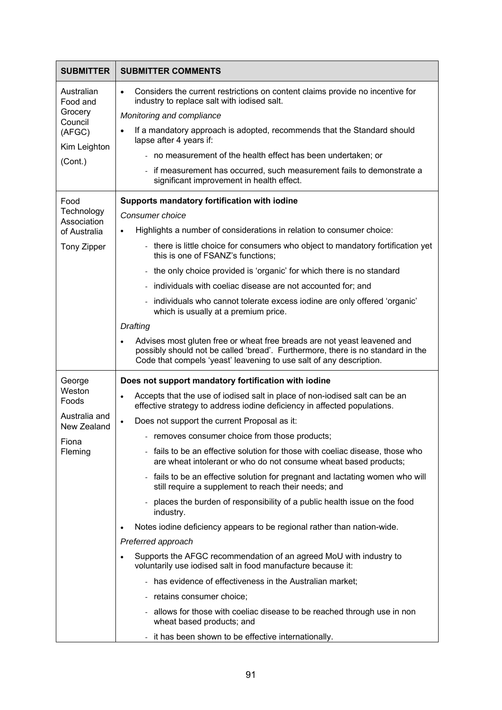| <b>SUBMITTER</b>             | <b>SUBMITTER COMMENTS</b>                                                                                                                                                                                                                       |
|------------------------------|-------------------------------------------------------------------------------------------------------------------------------------------------------------------------------------------------------------------------------------------------|
| Australian<br>Food and       | Considers the current restrictions on content claims provide no incentive for<br>$\bullet$<br>industry to replace salt with iodised salt.                                                                                                       |
| Grocery<br>Council           | Monitoring and compliance                                                                                                                                                                                                                       |
| (AFGC)<br>Kim Leighton       | If a mandatory approach is adopted, recommends that the Standard should<br>lapse after 4 years if:                                                                                                                                              |
|                              | - no measurement of the health effect has been undertaken; or                                                                                                                                                                                   |
| (Cont.)                      | - if measurement has occurred, such measurement fails to demonstrate a<br>significant improvement in health effect.                                                                                                                             |
| Food                         | Supports mandatory fortification with iodine                                                                                                                                                                                                    |
| Technology<br>Association    | Consumer choice                                                                                                                                                                                                                                 |
| of Australia                 | Highlights a number of considerations in relation to consumer choice:<br>$\bullet$                                                                                                                                                              |
| Tony Zipper                  | - there is little choice for consumers who object to mandatory fortification yet<br>this is one of FSANZ's functions;                                                                                                                           |
|                              | - the only choice provided is 'organic' for which there is no standard                                                                                                                                                                          |
|                              | - individuals with coeliac disease are not accounted for; and                                                                                                                                                                                   |
|                              | individuals who cannot tolerate excess iodine are only offered 'organic'<br>which is usually at a premium price.                                                                                                                                |
|                              | Drafting                                                                                                                                                                                                                                        |
|                              | Advises most gluten free or wheat free breads are not yeast leavened and<br>$\bullet$<br>possibly should not be called 'bread'. Furthermore, there is no standard in the<br>Code that compels 'yeast' leavening to use salt of any description. |
| George                       | Does not support mandatory fortification with iodine                                                                                                                                                                                            |
| Weston<br>Foods              | Accepts that the use of iodised salt in place of non-iodised salt can be an<br>$\bullet$<br>effective strategy to address iodine deficiency in affected populations.                                                                            |
| Australia and<br>New Zealand | Does not support the current Proposal as it:<br>$\bullet$                                                                                                                                                                                       |
| Fiona                        | - removes consumer choice from those products;                                                                                                                                                                                                  |
| Fleming                      | - fails to be an effective solution for those with coeliac disease, those who<br>are wheat intolerant or who do not consume wheat based products;                                                                                               |
|                              | - fails to be an effective solution for pregnant and lactating women who will<br>still require a supplement to reach their needs; and                                                                                                           |
|                              | places the burden of responsibility of a public health issue on the food<br>$\overline{\phantom{a}}$<br>industry.                                                                                                                               |
|                              | Notes iodine deficiency appears to be regional rather than nation-wide.                                                                                                                                                                         |
|                              | Preferred approach                                                                                                                                                                                                                              |
|                              | Supports the AFGC recommendation of an agreed MoU with industry to<br>$\bullet$<br>voluntarily use iodised salt in food manufacture because it:                                                                                                 |
|                              | - has evidence of effectiveness in the Australian market;                                                                                                                                                                                       |
|                              | retains consumer choice;                                                                                                                                                                                                                        |
|                              | - allows for those with coeliac disease to be reached through use in non<br>wheat based products; and                                                                                                                                           |
|                              | it has been shown to be effective internationally.                                                                                                                                                                                              |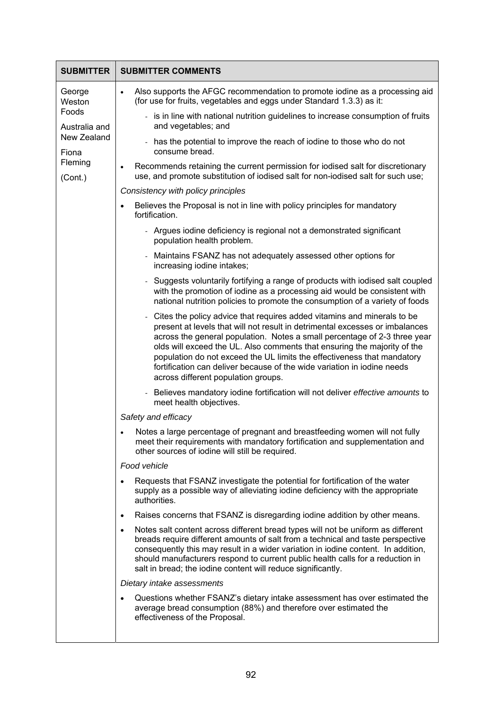| <b>SUBMITTER</b>                           | <b>SUBMITTER COMMENTS</b>                                                                                                                                                                                                                                                                                                                                                                                                                                                                                                      |
|--------------------------------------------|--------------------------------------------------------------------------------------------------------------------------------------------------------------------------------------------------------------------------------------------------------------------------------------------------------------------------------------------------------------------------------------------------------------------------------------------------------------------------------------------------------------------------------|
| George<br>Weston<br>Foods<br>Australia and | Also supports the AFGC recommendation to promote iodine as a processing aid<br>(for use for fruits, vegetables and eggs under Standard 1.3.3) as it:                                                                                                                                                                                                                                                                                                                                                                           |
|                                            | - is in line with national nutrition guidelines to increase consumption of fruits<br>and vegetables; and                                                                                                                                                                                                                                                                                                                                                                                                                       |
| New Zealand<br>Fiona                       | has the potential to improve the reach of iodine to those who do not<br>consume bread.                                                                                                                                                                                                                                                                                                                                                                                                                                         |
| Fleming<br>(Cont.)                         | Recommends retaining the current permission for iodised salt for discretionary<br>use, and promote substitution of iodised salt for non-iodised salt for such use;                                                                                                                                                                                                                                                                                                                                                             |
|                                            | Consistency with policy principles                                                                                                                                                                                                                                                                                                                                                                                                                                                                                             |
|                                            | Believes the Proposal is not in line with policy principles for mandatory<br>$\bullet$<br>fortification.                                                                                                                                                                                                                                                                                                                                                                                                                       |
|                                            | - Argues iodine deficiency is regional not a demonstrated significant<br>population health problem.                                                                                                                                                                                                                                                                                                                                                                                                                            |
|                                            | Maintains FSANZ has not adequately assessed other options for<br>$\overline{\phantom{m}}$<br>increasing iodine intakes;                                                                                                                                                                                                                                                                                                                                                                                                        |
|                                            | Suggests voluntarily fortifying a range of products with iodised salt coupled<br>with the promotion of iodine as a processing aid would be consistent with<br>national nutrition policies to promote the consumption of a variety of foods                                                                                                                                                                                                                                                                                     |
|                                            | Cites the policy advice that requires added vitamins and minerals to be<br>$\frac{1}{2}$<br>present at levels that will not result in detrimental excesses or imbalances<br>across the general population. Notes a small percentage of 2-3 three year<br>olds will exceed the UL. Also comments that ensuring the majority of the<br>population do not exceed the UL limits the effectiveness that mandatory<br>fortification can deliver because of the wide variation in iodine needs<br>across different population groups. |
|                                            | Believes mandatory iodine fortification will not deliver effective amounts to<br>meet health objectives.                                                                                                                                                                                                                                                                                                                                                                                                                       |
|                                            | Safety and efficacy                                                                                                                                                                                                                                                                                                                                                                                                                                                                                                            |
|                                            | Notes a large percentage of pregnant and breastfeeding women will not fully<br>meet their requirements with mandatory fortification and supplementation and<br>other sources of iodine will still be required.                                                                                                                                                                                                                                                                                                                 |
|                                            | Food vehicle                                                                                                                                                                                                                                                                                                                                                                                                                                                                                                                   |
|                                            | Requests that FSANZ investigate the potential for fortification of the water<br>supply as a possible way of alleviating iodine deficiency with the appropriate<br>authorities.                                                                                                                                                                                                                                                                                                                                                 |
|                                            | Raises concerns that FSANZ is disregarding iodine addition by other means.<br>$\bullet$                                                                                                                                                                                                                                                                                                                                                                                                                                        |
|                                            | Notes salt content across different bread types will not be uniform as different<br>$\bullet$<br>breads require different amounts of salt from a technical and taste perspective<br>consequently this may result in a wider variation in iodine content. In addition,<br>should manufacturers respond to current public health calls for a reduction in<br>salt in bread; the iodine content will reduce significantly.                                                                                                        |
|                                            | Dietary intake assessments                                                                                                                                                                                                                                                                                                                                                                                                                                                                                                     |
|                                            | Questions whether FSANZ's dietary intake assessment has over estimated the<br>$\bullet$<br>average bread consumption (88%) and therefore over estimated the<br>effectiveness of the Proposal.                                                                                                                                                                                                                                                                                                                                  |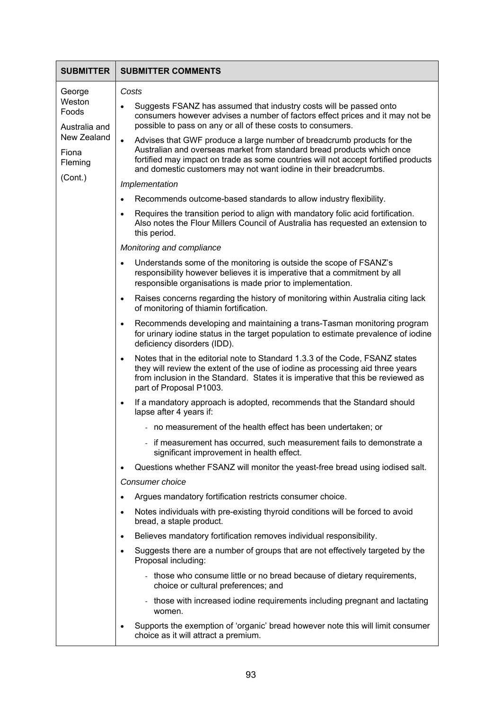| <b>SUBMITTER</b>                                                              | <b>SUBMITTER COMMENTS</b>                                                                                                                                                                                                                                                                                               |
|-------------------------------------------------------------------------------|-------------------------------------------------------------------------------------------------------------------------------------------------------------------------------------------------------------------------------------------------------------------------------------------------------------------------|
| George<br>Weston<br>Foods<br>Australia and<br>New Zealand<br>Fiona<br>Fleming | Costs<br>Suggests FSANZ has assumed that industry costs will be passed onto<br>consumers however advises a number of factors effect prices and it may not be<br>possible to pass on any or all of these costs to consumers.                                                                                             |
|                                                                               | Advises that GWF produce a large number of breadcrumb products for the<br>$\bullet$<br>Australian and overseas market from standard bread products which once<br>fortified may impact on trade as some countries will not accept fortified products<br>and domestic customers may not want iodine in their breadcrumbs. |
| (Cont.)                                                                       | Implementation                                                                                                                                                                                                                                                                                                          |
|                                                                               | Recommends outcome-based standards to allow industry flexibility.<br>$\bullet$                                                                                                                                                                                                                                          |
|                                                                               | Requires the transition period to align with mandatory folic acid fortification.<br>$\bullet$<br>Also notes the Flour Millers Council of Australia has requested an extension to<br>this period.                                                                                                                        |
|                                                                               | Monitoring and compliance                                                                                                                                                                                                                                                                                               |
|                                                                               | Understands some of the monitoring is outside the scope of FSANZ's<br>$\bullet$<br>responsibility however believes it is imperative that a commitment by all<br>responsible organisations is made prior to implementation.                                                                                              |
|                                                                               | Raises concerns regarding the history of monitoring within Australia citing lack<br>$\bullet$<br>of monitoring of thiamin fortification.                                                                                                                                                                                |
|                                                                               | Recommends developing and maintaining a trans-Tasman monitoring program<br>$\bullet$<br>for urinary iodine status in the target population to estimate prevalence of iodine<br>deficiency disorders (IDD).                                                                                                              |
|                                                                               | Notes that in the editorial note to Standard 1.3.3 of the Code, FSANZ states<br>they will review the extent of the use of iodine as processing aid three years<br>from inclusion in the Standard. States it is imperative that this be reviewed as<br>part of Proposal P1003.                                           |
|                                                                               | If a mandatory approach is adopted, recommends that the Standard should<br>$\bullet$<br>lapse after 4 years if:                                                                                                                                                                                                         |
|                                                                               | - no measurement of the health effect has been undertaken; or                                                                                                                                                                                                                                                           |
|                                                                               | - if measurement has occurred, such measurement fails to demonstrate a<br>significant improvement in health effect.                                                                                                                                                                                                     |
|                                                                               | Questions whether FSANZ will monitor the yeast-free bread using iodised salt.<br>$\bullet$                                                                                                                                                                                                                              |
|                                                                               | Consumer choice                                                                                                                                                                                                                                                                                                         |
|                                                                               | Argues mandatory fortification restricts consumer choice.<br>$\bullet$                                                                                                                                                                                                                                                  |
|                                                                               | Notes individuals with pre-existing thyroid conditions will be forced to avoid<br>$\bullet$<br>bread, a staple product.                                                                                                                                                                                                 |
|                                                                               | Believes mandatory fortification removes individual responsibility.<br>$\bullet$                                                                                                                                                                                                                                        |
|                                                                               | Suggests there are a number of groups that are not effectively targeted by the<br>Proposal including:                                                                                                                                                                                                                   |
|                                                                               | - those who consume little or no bread because of dietary requirements,<br>choice or cultural preferences; and                                                                                                                                                                                                          |
|                                                                               | - those with increased iodine requirements including pregnant and lactating<br>women.                                                                                                                                                                                                                                   |
|                                                                               | Supports the exemption of 'organic' bread however note this will limit consumer<br>choice as it will attract a premium.                                                                                                                                                                                                 |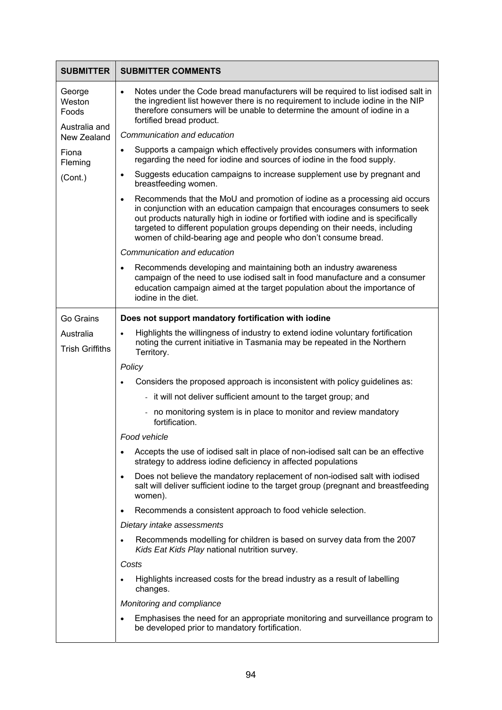| <b>SUBMITTER</b>                    | <b>SUBMITTER COMMENTS</b>                                                                                                                                                                                                                                                                                                                                                                                     |
|-------------------------------------|---------------------------------------------------------------------------------------------------------------------------------------------------------------------------------------------------------------------------------------------------------------------------------------------------------------------------------------------------------------------------------------------------------------|
| George<br>Weston<br>Foods           | Notes under the Code bread manufacturers will be required to list iodised salt in<br>$\bullet$<br>the ingredient list however there is no requirement to include iodine in the NIP<br>therefore consumers will be unable to determine the amount of jodine in a<br>fortified bread product.                                                                                                                   |
| Australia and<br>New Zealand        | Communication and education                                                                                                                                                                                                                                                                                                                                                                                   |
| Fiona<br>Fleming                    | Supports a campaign which effectively provides consumers with information<br>$\bullet$<br>regarding the need for iodine and sources of iodine in the food supply.                                                                                                                                                                                                                                             |
| (Cont.)                             | Suggests education campaigns to increase supplement use by pregnant and<br>$\bullet$<br>breastfeeding women.                                                                                                                                                                                                                                                                                                  |
|                                     | Recommends that the MoU and promotion of iodine as a processing aid occurs<br>$\bullet$<br>in conjunction with an education campaign that encourages consumers to seek<br>out products naturally high in iodine or fortified with iodine and is specifically<br>targeted to different population groups depending on their needs, including<br>women of child-bearing age and people who don't consume bread. |
|                                     | Communication and education                                                                                                                                                                                                                                                                                                                                                                                   |
|                                     | Recommends developing and maintaining both an industry awareness<br>campaign of the need to use iodised salt in food manufacture and a consumer<br>education campaign aimed at the target population about the importance of<br>iodine in the diet.                                                                                                                                                           |
| Go Grains                           | Does not support mandatory fortification with iodine                                                                                                                                                                                                                                                                                                                                                          |
| Australia<br><b>Trish Griffiths</b> | Highlights the willingness of industry to extend iodine voluntary fortification<br>noting the current initiative in Tasmania may be repeated in the Northern<br>Territory.                                                                                                                                                                                                                                    |
|                                     | Policy                                                                                                                                                                                                                                                                                                                                                                                                        |
|                                     | Considers the proposed approach is inconsistent with policy guidelines as:                                                                                                                                                                                                                                                                                                                                    |
|                                     | - it will not deliver sufficient amount to the target group; and                                                                                                                                                                                                                                                                                                                                              |
|                                     | - no monitoring system is in place to monitor and review mandatory<br>fortification.                                                                                                                                                                                                                                                                                                                          |
|                                     | Food vehicle                                                                                                                                                                                                                                                                                                                                                                                                  |
|                                     | Accepts the use of iodised salt in place of non-iodised salt can be an effective<br>$\bullet$<br>strategy to address iodine deficiency in affected populations                                                                                                                                                                                                                                                |
|                                     | Does not believe the mandatory replacement of non-iodised salt with iodised<br>$\bullet$<br>salt will deliver sufficient iodine to the target group (pregnant and breastfeeding<br>women).                                                                                                                                                                                                                    |
|                                     | Recommends a consistent approach to food vehicle selection.<br>$\bullet$                                                                                                                                                                                                                                                                                                                                      |
|                                     | Dietary intake assessments                                                                                                                                                                                                                                                                                                                                                                                    |
|                                     | Recommends modelling for children is based on survey data from the 2007<br>Kids Eat Kids Play national nutrition survey.                                                                                                                                                                                                                                                                                      |
|                                     | Costs                                                                                                                                                                                                                                                                                                                                                                                                         |
|                                     | Highlights increased costs for the bread industry as a result of labelling<br>changes.                                                                                                                                                                                                                                                                                                                        |
|                                     | Monitoring and compliance                                                                                                                                                                                                                                                                                                                                                                                     |
|                                     | Emphasises the need for an appropriate monitoring and surveillance program to<br>be developed prior to mandatory fortification.                                                                                                                                                                                                                                                                               |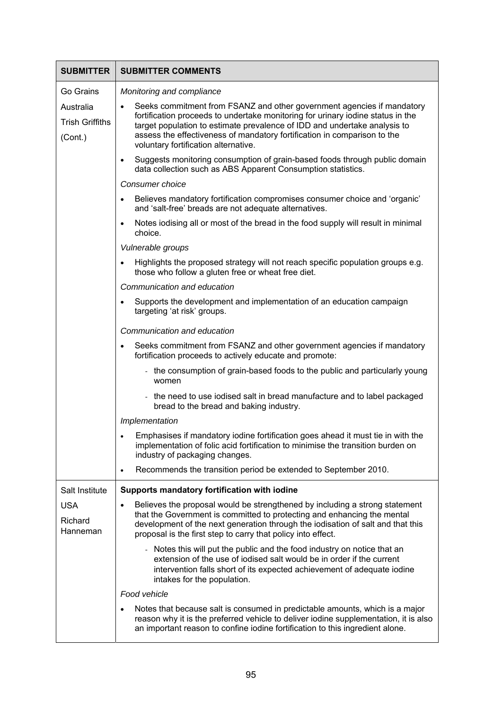| <b>SUBMITTER</b>       | <b>SUBMITTER COMMENTS</b>                                                                                                                                                                                                                                                             |
|------------------------|---------------------------------------------------------------------------------------------------------------------------------------------------------------------------------------------------------------------------------------------------------------------------------------|
| Go Grains              | Monitoring and compliance                                                                                                                                                                                                                                                             |
| Australia              | Seeks commitment from FSANZ and other government agencies if mandatory                                                                                                                                                                                                                |
| <b>Trish Griffiths</b> | fortification proceeds to undertake monitoring for urinary iodine status in the<br>target population to estimate prevalence of IDD and undertake analysis to                                                                                                                          |
| (Cont.)                | assess the effectiveness of mandatory fortification in comparison to the<br>voluntary fortification alternative.                                                                                                                                                                      |
|                        | Suggests monitoring consumption of grain-based foods through public domain<br>$\bullet$<br>data collection such as ABS Apparent Consumption statistics.                                                                                                                               |
|                        | Consumer choice                                                                                                                                                                                                                                                                       |
|                        | Believes mandatory fortification compromises consumer choice and 'organic'<br>and 'salt-free' breads are not adequate alternatives.                                                                                                                                                   |
|                        | Notes iodising all or most of the bread in the food supply will result in minimal<br>choice.                                                                                                                                                                                          |
|                        | Vulnerable groups                                                                                                                                                                                                                                                                     |
|                        | Highlights the proposed strategy will not reach specific population groups e.g.<br>those who follow a gluten free or wheat free diet.                                                                                                                                                 |
|                        | Communication and education                                                                                                                                                                                                                                                           |
|                        | Supports the development and implementation of an education campaign<br>targeting 'at risk' groups.                                                                                                                                                                                   |
|                        | Communication and education                                                                                                                                                                                                                                                           |
|                        | Seeks commitment from FSANZ and other government agencies if mandatory<br>$\bullet$<br>fortification proceeds to actively educate and promote:                                                                                                                                        |
|                        | - the consumption of grain-based foods to the public and particularly young<br>women                                                                                                                                                                                                  |
|                        | - the need to use iodised salt in bread manufacture and to label packaged<br>bread to the bread and baking industry.                                                                                                                                                                  |
|                        | Implementation                                                                                                                                                                                                                                                                        |
|                        | Emphasises if mandatory iodine fortification goes ahead it must tie in with the<br>implementation of folic acid fortification to minimise the transition burden on<br>industry of packaging changes.                                                                                  |
|                        | Recommends the transition period be extended to September 2010.<br>$\bullet$                                                                                                                                                                                                          |
| Salt Institute         | Supports mandatory fortification with iodine                                                                                                                                                                                                                                          |
| <b>USA</b>             | Believes the proposal would be strengthened by including a strong statement<br>$\bullet$                                                                                                                                                                                              |
| Richard<br>Hanneman    | that the Government is committed to protecting and enhancing the mental<br>development of the next generation through the iodisation of salt and that this<br>proposal is the first step to carry that policy into effect.                                                            |
|                        | Notes this will put the public and the food industry on notice that an<br>$\overline{\phantom{0}}$<br>extension of the use of iodised salt would be in order if the current<br>intervention falls short of its expected achievement of adequate iodine<br>intakes for the population. |
|                        | Food vehicle                                                                                                                                                                                                                                                                          |
|                        | Notes that because salt is consumed in predictable amounts, which is a major<br>reason why it is the preferred vehicle to deliver iodine supplementation, it is also<br>an important reason to confine iodine fortification to this ingredient alone.                                 |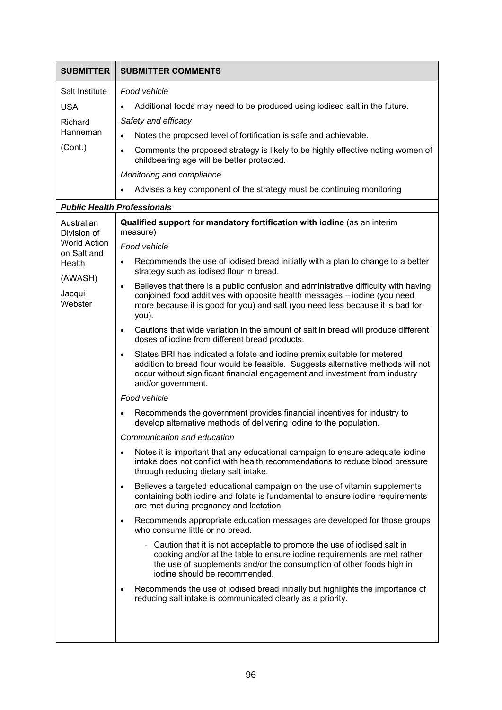| <b>SUBMITTER</b>                   | <b>SUBMITTER COMMENTS</b>                                                                                                                                                                                                                                                      |
|------------------------------------|--------------------------------------------------------------------------------------------------------------------------------------------------------------------------------------------------------------------------------------------------------------------------------|
| Salt Institute                     | Food vehicle                                                                                                                                                                                                                                                                   |
| <b>USA</b>                         | Additional foods may need to be produced using iodised salt in the future.<br>$\bullet$                                                                                                                                                                                        |
| Richard<br>Hanneman<br>(Cont.)     | Safety and efficacy                                                                                                                                                                                                                                                            |
|                                    | Notes the proposed level of fortification is safe and achievable.<br>$\bullet$                                                                                                                                                                                                 |
|                                    | Comments the proposed strategy is likely to be highly effective noting women of<br>$\bullet$<br>childbearing age will be better protected.                                                                                                                                     |
|                                    | Monitoring and compliance                                                                                                                                                                                                                                                      |
|                                    | Advises a key component of the strategy must be continuing monitoring                                                                                                                                                                                                          |
|                                    | <b>Public Health Professionals</b>                                                                                                                                                                                                                                             |
| Australian<br>Division of          | Qualified support for mandatory fortification with iodine (as an interim<br>measure)                                                                                                                                                                                           |
| <b>World Action</b><br>on Salt and | Food vehicle                                                                                                                                                                                                                                                                   |
| Health                             | Recommends the use of iodised bread initially with a plan to change to a better<br>$\bullet$<br>strategy such as iodised flour in bread.                                                                                                                                       |
| (AWASH)<br>Jacqui<br>Webster       | Believes that there is a public confusion and administrative difficulty with having<br>$\bullet$<br>conjoined food additives with opposite health messages - iodine (you need<br>more because it is good for you) and salt (you need less because it is bad for<br>you).       |
|                                    | Cautions that wide variation in the amount of salt in bread will produce different<br>$\bullet$<br>doses of iodine from different bread products.                                                                                                                              |
|                                    | States BRI has indicated a folate and iodine premix suitable for metered<br>$\bullet$<br>addition to bread flour would be feasible. Suggests alternative methods will not<br>occur without significant financial engagement and investment from industry<br>and/or government. |
|                                    | Food vehicle                                                                                                                                                                                                                                                                   |
|                                    | Recommends the government provides financial incentives for industry to<br>$\bullet$<br>develop alternative methods of delivering iodine to the population.                                                                                                                    |
|                                    | Communication and education                                                                                                                                                                                                                                                    |
|                                    | Notes it is important that any educational campaign to ensure adequate iodine<br>$\bullet$<br>intake does not conflict with health recommendations to reduce blood pressure<br>through reducing dietary salt intake.                                                           |
|                                    | Believes a targeted educational campaign on the use of vitamin supplements<br>$\bullet$<br>containing both iodine and folate is fundamental to ensure iodine requirements<br>are met during pregnancy and lactation.                                                           |
|                                    | Recommends appropriate education messages are developed for those groups<br>$\bullet$<br>who consume little or no bread.                                                                                                                                                       |
|                                    | - Caution that it is not acceptable to promote the use of iodised salt in<br>cooking and/or at the table to ensure iodine requirements are met rather<br>the use of supplements and/or the consumption of other foods high in<br>jodine should be recommended.                 |
|                                    | Recommends the use of iodised bread initially but highlights the importance of<br>$\bullet$<br>reducing salt intake is communicated clearly as a priority.                                                                                                                     |
|                                    |                                                                                                                                                                                                                                                                                |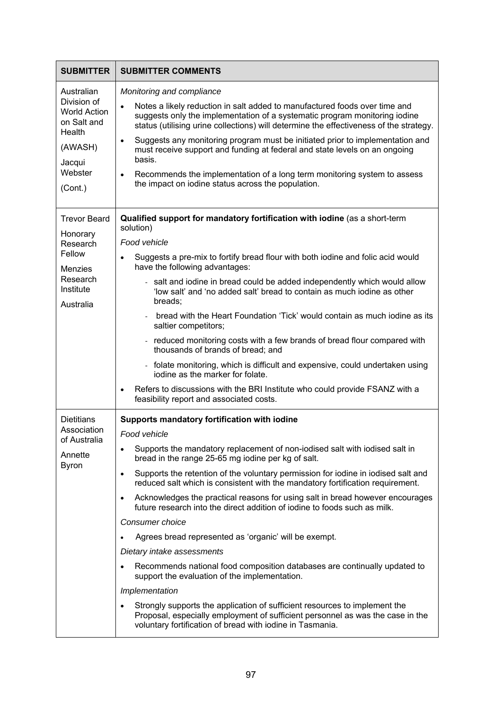| <b>SUBMITTER</b>                                                                                                     | <b>SUBMITTER COMMENTS</b>                                                                                                                                                                                                                                                                                                                                                                                                                                                                                                                                                                                                                                                                                                                                                                                                                                                                                                                                                                                                                                                         |
|----------------------------------------------------------------------------------------------------------------------|-----------------------------------------------------------------------------------------------------------------------------------------------------------------------------------------------------------------------------------------------------------------------------------------------------------------------------------------------------------------------------------------------------------------------------------------------------------------------------------------------------------------------------------------------------------------------------------------------------------------------------------------------------------------------------------------------------------------------------------------------------------------------------------------------------------------------------------------------------------------------------------------------------------------------------------------------------------------------------------------------------------------------------------------------------------------------------------|
| Australian<br>Division of<br><b>World Action</b><br>on Salt and<br>Health<br>(AWASH)<br>Jacqui<br>Webster<br>(Cont.) | Monitoring and compliance<br>Notes a likely reduction in salt added to manufactured foods over time and<br>$\bullet$<br>suggests only the implementation of a systematic program monitoring iodine<br>status (utilising urine collections) will determine the effectiveness of the strategy.<br>Suggests any monitoring program must be initiated prior to implementation and<br>$\bullet$<br>must receive support and funding at federal and state levels on an ongoing<br>basis.<br>Recommends the implementation of a long term monitoring system to assess<br>$\bullet$<br>the impact on iodine status across the population.                                                                                                                                                                                                                                                                                                                                                                                                                                                 |
| <b>Trevor Beard</b><br>Honorary<br>Research<br>Fellow<br>Menzies<br>Research<br>Institute<br>Australia               | Qualified support for mandatory fortification with iodine (as a short-term<br>solution)<br>Food vehicle<br>Suggests a pre-mix to fortify bread flour with both iodine and folic acid would<br>have the following advantages:<br>- salt and iodine in bread could be added independently which would allow<br>'low salt' and 'no added salt' bread to contain as much jodine as other<br>breads;<br>bread with the Heart Foundation 'Tick' would contain as much iodine as its<br>saltier competitors;<br>- reduced monitoring costs with a few brands of bread flour compared with<br>thousands of brands of bread; and<br>- folate monitoring, which is difficult and expensive, could undertaken using<br>jodine as the marker for folate.<br>Refers to discussions with the BRI Institute who could provide FSANZ with a<br>feasibility report and associated costs.                                                                                                                                                                                                           |
| <b>Dietitians</b><br>Association<br>of Australia<br>Annette<br><b>Byron</b>                                          | Supports mandatory fortification with iodine<br>Food vehicle<br>Supports the mandatory replacement of non-iodised salt with iodised salt in<br>$\bullet$<br>bread in the range 25-65 mg iodine per kg of salt.<br>Supports the retention of the voluntary permission for iodine in iodised salt and<br>$\bullet$<br>reduced salt which is consistent with the mandatory fortification requirement.<br>Acknowledges the practical reasons for using salt in bread however encourages<br>$\bullet$<br>future research into the direct addition of iodine to foods such as milk.<br>Consumer choice<br>Agrees bread represented as 'organic' will be exempt.<br>$\bullet$<br>Dietary intake assessments<br>Recommends national food composition databases are continually updated to<br>support the evaluation of the implementation.<br>Implementation<br>Strongly supports the application of sufficient resources to implement the<br>Proposal, especially employment of sufficient personnel as was the case in the<br>voluntary fortification of bread with iodine in Tasmania. |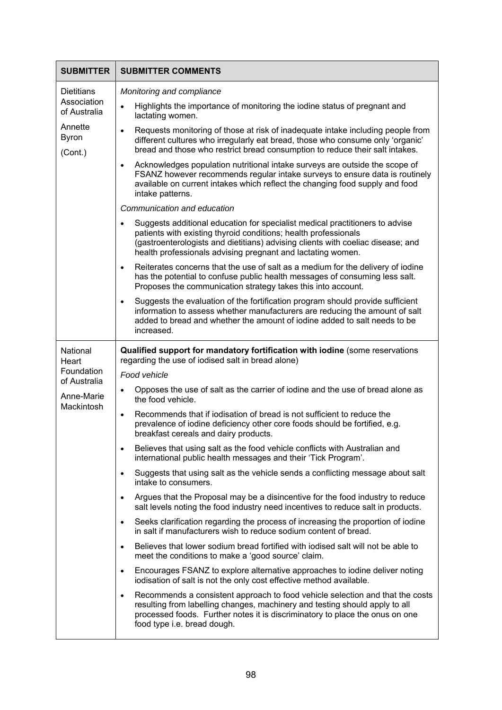| <b>SUBMITTER</b>                                                                       | <b>SUBMITTER COMMENTS</b>                                                                                                                                                                                                                                                                         |
|----------------------------------------------------------------------------------------|---------------------------------------------------------------------------------------------------------------------------------------------------------------------------------------------------------------------------------------------------------------------------------------------------|
| <b>Dietitians</b><br>Association<br>of Australia<br>Annette<br><b>Byron</b><br>(Cont.) | Monitoring and compliance                                                                                                                                                                                                                                                                         |
|                                                                                        | Highlights the importance of monitoring the iodine status of pregnant and<br>$\bullet$<br>lactating women.                                                                                                                                                                                        |
|                                                                                        | Requests monitoring of those at risk of inadequate intake including people from<br>$\bullet$<br>different cultures who irregularly eat bread, those who consume only 'organic'<br>bread and those who restrict bread consumption to reduce their salt intakes.                                    |
|                                                                                        | Acknowledges population nutritional intake surveys are outside the scope of<br>$\bullet$<br>FSANZ however recommends regular intake surveys to ensure data is routinely<br>available on current intakes which reflect the changing food supply and food<br>intake patterns.                       |
|                                                                                        | Communication and education                                                                                                                                                                                                                                                                       |
|                                                                                        | Suggests additional education for specialist medical practitioners to advise<br>patients with existing thyroid conditions; health professionals<br>(gastroenterologists and dietitians) advising clients with coeliac disease; and<br>health professionals advising pregnant and lactating women. |
|                                                                                        | Reiterates concerns that the use of salt as a medium for the delivery of iodine<br>$\bullet$<br>has the potential to confuse public health messages of consuming less salt.<br>Proposes the communication strategy takes this into account.                                                       |
|                                                                                        | Suggests the evaluation of the fortification program should provide sufficient<br>$\bullet$<br>information to assess whether manufacturers are reducing the amount of salt<br>added to bread and whether the amount of iodine added to salt needs to be<br>increased.                             |
| National<br>Heart                                                                      | Qualified support for mandatory fortification with iodine (some reservations<br>regarding the use of iodised salt in bread alone)                                                                                                                                                                 |
| Foundation<br>of Australia                                                             | Food vehicle                                                                                                                                                                                                                                                                                      |
| Anne-Marie<br>Mackintosh                                                               | Opposes the use of salt as the carrier of iodine and the use of bread alone as<br>$\bullet$<br>the food vehicle.                                                                                                                                                                                  |
|                                                                                        | Recommends that if iodisation of bread is not sufficient to reduce the<br>$\bullet$<br>prevalence of iodine deficiency other core foods should be fortified, e.g.<br>breakfast cereals and dairy products.                                                                                        |
|                                                                                        | Believes that using salt as the food vehicle conflicts with Australian and<br>$\bullet$<br>international public health messages and their 'Tick Program'.                                                                                                                                         |
|                                                                                        | Suggests that using salt as the vehicle sends a conflicting message about salt<br>$\bullet$<br>intake to consumers.                                                                                                                                                                               |
|                                                                                        | Argues that the Proposal may be a disincentive for the food industry to reduce<br>$\bullet$<br>salt levels noting the food industry need incentives to reduce salt in products.                                                                                                                   |
|                                                                                        | Seeks clarification regarding the process of increasing the proportion of iodine<br>$\bullet$<br>in salt if manufacturers wish to reduce sodium content of bread.                                                                                                                                 |
|                                                                                        | Believes that lower sodium bread fortified with iodised salt will not be able to<br>$\bullet$<br>meet the conditions to make a 'good source' claim.                                                                                                                                               |
|                                                                                        | Encourages FSANZ to explore alternative approaches to iodine deliver noting<br>$\bullet$<br>iodisation of salt is not the only cost effective method available.                                                                                                                                   |
|                                                                                        | Recommends a consistent approach to food vehicle selection and that the costs<br>$\bullet$<br>resulting from labelling changes, machinery and testing should apply to all<br>processed foods. Further notes it is discriminatory to place the onus on one<br>food type i.e. bread dough.          |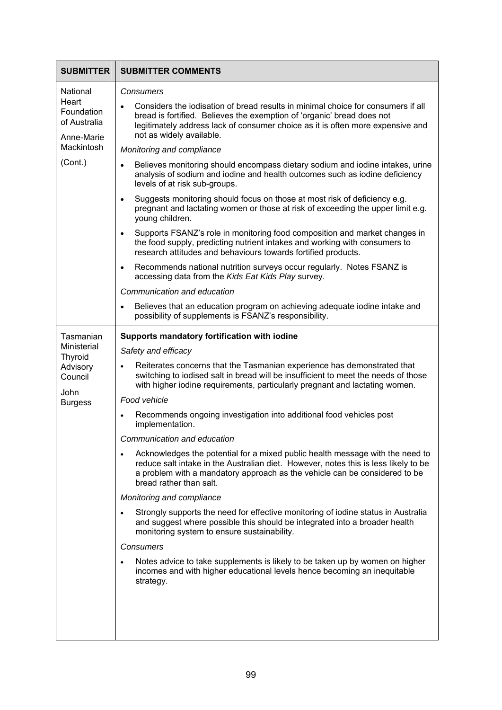| <b>SUBMITTER</b>                                              | <b>SUBMITTER COMMENTS</b>                                                                                                                                                                                                                                                             |
|---------------------------------------------------------------|---------------------------------------------------------------------------------------------------------------------------------------------------------------------------------------------------------------------------------------------------------------------------------------|
| National<br>Heart<br>Foundation<br>of Australia<br>Anne-Marie | Consumers<br>Considers the iodisation of bread results in minimal choice for consumers if all<br>bread is fortified. Believes the exemption of 'organic' bread does not<br>legitimately address lack of consumer choice as it is often more expensive and<br>not as widely available. |
| Mackintosh                                                    | Monitoring and compliance                                                                                                                                                                                                                                                             |
| (Cont.)                                                       | Believes monitoring should encompass dietary sodium and iodine intakes, urine<br>$\bullet$<br>analysis of sodium and iodine and health outcomes such as iodine deficiency<br>levels of at risk sub-groups.                                                                            |
|                                                               | Suggests monitoring should focus on those at most risk of deficiency e.g.<br>$\bullet$<br>pregnant and lactating women or those at risk of exceeding the upper limit e.g.<br>young children.                                                                                          |
|                                                               | Supports FSANZ's role in monitoring food composition and market changes in<br>$\bullet$<br>the food supply, predicting nutrient intakes and working with consumers to<br>research attitudes and behaviours towards fortified products.                                                |
|                                                               | Recommends national nutrition surveys occur regularly. Notes FSANZ is<br>$\bullet$<br>accessing data from the Kids Eat Kids Play survey.                                                                                                                                              |
|                                                               | Communication and education                                                                                                                                                                                                                                                           |
|                                                               | Believes that an education program on achieving adequate iodine intake and<br>$\bullet$<br>possibility of supplements is FSANZ's responsibility.                                                                                                                                      |
| Tasmanian                                                     | Supports mandatory fortification with iodine                                                                                                                                                                                                                                          |
| Ministerial<br><b>Thyroid</b>                                 | Safety and efficacy                                                                                                                                                                                                                                                                   |
| Advisory<br>Council                                           | Reiterates concerns that the Tasmanian experience has demonstrated that<br>$\bullet$<br>switching to iodised salt in bread will be insufficient to meet the needs of those<br>with higher iodine requirements, particularly pregnant and lactating women.                             |
| John<br><b>Burgess</b>                                        | Food vehicle                                                                                                                                                                                                                                                                          |
|                                                               | Recommends ongoing investigation into additional food vehicles post<br>$\bullet$<br>implementation.                                                                                                                                                                                   |
|                                                               | Communication and education                                                                                                                                                                                                                                                           |
|                                                               | Acknowledges the potential for a mixed public health message with the need to<br>reduce salt intake in the Australian diet. However, notes this is less likely to be<br>a problem with a mandatory approach as the vehicle can be considered to be<br>bread rather than salt.         |
|                                                               | Monitoring and compliance                                                                                                                                                                                                                                                             |
|                                                               | Strongly supports the need for effective monitoring of iodine status in Australia<br>$\bullet$<br>and suggest where possible this should be integrated into a broader health<br>monitoring system to ensure sustainability.                                                           |
|                                                               | Consumers                                                                                                                                                                                                                                                                             |
|                                                               | Notes advice to take supplements is likely to be taken up by women on higher<br>٠<br>incomes and with higher educational levels hence becoming an inequitable<br>strategy.                                                                                                            |
|                                                               |                                                                                                                                                                                                                                                                                       |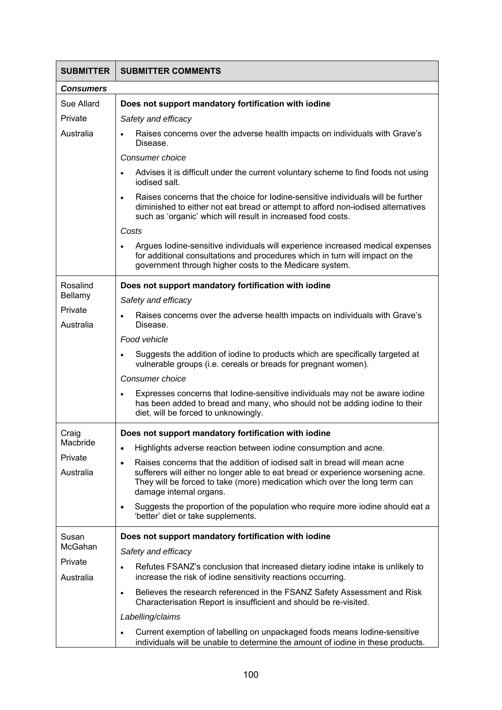| <b>SUBMITTER</b>                | <b>SUBMITTER COMMENTS</b>                                                                                                                                                                                                                                                          |
|---------------------------------|------------------------------------------------------------------------------------------------------------------------------------------------------------------------------------------------------------------------------------------------------------------------------------|
| <b>Consumers</b>                |                                                                                                                                                                                                                                                                                    |
| Sue Allard                      | Does not support mandatory fortification with iodine                                                                                                                                                                                                                               |
| Private                         | Safety and efficacy                                                                                                                                                                                                                                                                |
| Australia                       | Raises concerns over the adverse health impacts on individuals with Grave's<br>Disease.                                                                                                                                                                                            |
|                                 | Consumer choice                                                                                                                                                                                                                                                                    |
|                                 | Advises it is difficult under the current voluntary scheme to find foods not using<br>iodised salt.                                                                                                                                                                                |
|                                 | Raises concerns that the choice for lodine-sensitive individuals will be further<br>diminished to either not eat bread or attempt to afford non-iodised alternatives<br>such as 'organic' which will result in increased food costs.                                               |
|                                 | Costs                                                                                                                                                                                                                                                                              |
|                                 | Argues Iodine-sensitive individuals will experience increased medical expenses<br>$\bullet$<br>for additional consultations and procedures which in turn will impact on the<br>government through higher costs to the Medicare system.                                             |
| Rosalind                        | Does not support mandatory fortification with iodine                                                                                                                                                                                                                               |
| Bellamy                         | Safety and efficacy                                                                                                                                                                                                                                                                |
| Private<br>Australia            | Raises concerns over the adverse health impacts on individuals with Grave's<br>Disease.                                                                                                                                                                                            |
|                                 | Food vehicle                                                                                                                                                                                                                                                                       |
|                                 | Suggests the addition of iodine to products which are specifically targeted at<br>vulnerable groups (i.e. cereals or breads for pregnant women).                                                                                                                                   |
|                                 | Consumer choice                                                                                                                                                                                                                                                                    |
|                                 | Expresses concerns that lodine-sensitive individuals may not be aware iodine<br>$\bullet$<br>has been added to bread and many, who should not be adding iodine to their<br>diet, will be forced to unknowingly.                                                                    |
| Craig                           | Does not support mandatory fortification with iodine                                                                                                                                                                                                                               |
| Macbride                        | Highlights adverse reaction between iodine consumption and acne.<br>$\bullet$                                                                                                                                                                                                      |
| Private<br>Australia            | Raises concerns that the addition of iodised salt in bread will mean acne<br>$\bullet$<br>sufferers will either no longer able to eat bread or experience worsening acne.<br>They will be forced to take (more) medication which over the long term can<br>damage internal organs. |
|                                 | Suggests the proportion of the population who require more iodine should eat a<br>٠<br>'better' diet or take supplements.                                                                                                                                                          |
| Susan                           | Does not support mandatory fortification with iodine                                                                                                                                                                                                                               |
| McGahan<br>Private<br>Australia | Safety and efficacy                                                                                                                                                                                                                                                                |
|                                 | Refutes FSANZ's conclusion that increased dietary iodine intake is unlikely to<br>$\bullet$<br>increase the risk of iodine sensitivity reactions occurring.                                                                                                                        |
|                                 | Believes the research referenced in the FSANZ Safety Assessment and Risk<br>۰<br>Characterisation Report is insufficient and should be re-visited.                                                                                                                                 |
|                                 | Labelling/claims                                                                                                                                                                                                                                                                   |
|                                 | Current exemption of labelling on unpackaged foods means lodine-sensitive<br>individuals will be unable to determine the amount of iodine in these products.                                                                                                                       |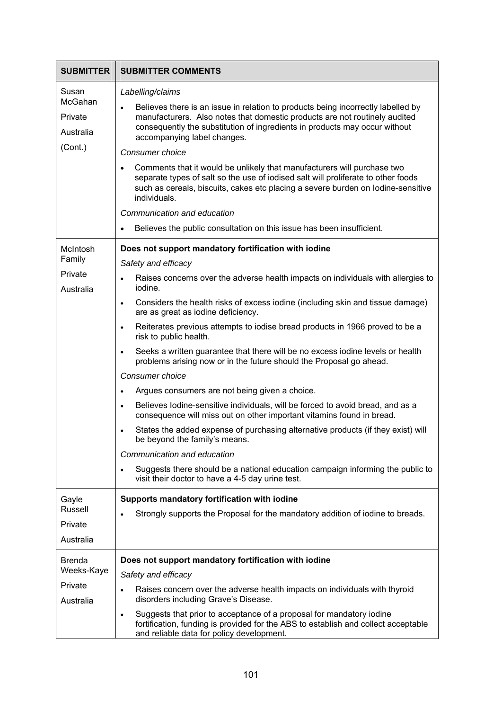| <b>SUBMITTER</b>                                    | <b>SUBMITTER COMMENTS</b>                                                                                                                                                                                                                                                                                                                                                                                                                                                                                                                                                                                                                                                                                                                                                                                                                                                                                                                                                                                                                                                                                                                                                                  |
|-----------------------------------------------------|--------------------------------------------------------------------------------------------------------------------------------------------------------------------------------------------------------------------------------------------------------------------------------------------------------------------------------------------------------------------------------------------------------------------------------------------------------------------------------------------------------------------------------------------------------------------------------------------------------------------------------------------------------------------------------------------------------------------------------------------------------------------------------------------------------------------------------------------------------------------------------------------------------------------------------------------------------------------------------------------------------------------------------------------------------------------------------------------------------------------------------------------------------------------------------------------|
| Susan<br>McGahan<br>Private<br>Australia<br>(Cont.) | Labelling/claims<br>Believes there is an issue in relation to products being incorrectly labelled by<br>manufacturers. Also notes that domestic products are not routinely audited<br>consequently the substitution of ingredients in products may occur without<br>accompanying label changes.<br>Consumer choice<br>Comments that it would be unlikely that manufacturers will purchase two<br>separate types of salt so the use of iodised salt will proliferate to other foods<br>such as cereals, biscuits, cakes etc placing a severe burden on lodine-sensitive<br>individuals.<br>Communication and education<br>Believes the public consultation on this issue has been insufficient.                                                                                                                                                                                                                                                                                                                                                                                                                                                                                             |
| <b>McIntosh</b><br>Family<br>Private<br>Australia   | Does not support mandatory fortification with iodine<br>Safety and efficacy<br>Raises concerns over the adverse health impacts on individuals with allergies to<br>$\bullet$<br>iodine.<br>Considers the health risks of excess iodine (including skin and tissue damage)<br>$\bullet$<br>are as great as iodine deficiency.<br>Reiterates previous attempts to iodise bread products in 1966 proved to be a<br>$\bullet$<br>risk to public health.<br>Seeks a written guarantee that there will be no excess iodine levels or health<br>$\bullet$<br>problems arising now or in the future should the Proposal go ahead.<br>Consumer choice<br>Argues consumers are not being given a choice.<br>$\bullet$<br>Believes lodine-sensitive individuals, will be forced to avoid bread, and as a<br>$\bullet$<br>consequence will miss out on other important vitamins found in bread.<br>States the added expense of purchasing alternative products (if they exist) will<br>be beyond the family's means.<br>Communication and education<br>Suggests there should be a national education campaign informing the public to<br>$\bullet$<br>visit their doctor to have a 4-5 day urine test. |
| Gayle<br><b>Russell</b><br>Private<br>Australia     | Supports mandatory fortification with iodine<br>Strongly supports the Proposal for the mandatory addition of iodine to breads.<br>$\bullet$                                                                                                                                                                                                                                                                                                                                                                                                                                                                                                                                                                                                                                                                                                                                                                                                                                                                                                                                                                                                                                                |
| <b>Brenda</b><br>Weeks-Kaye<br>Private<br>Australia | Does not support mandatory fortification with iodine<br>Safety and efficacy<br>Raises concern over the adverse health impacts on individuals with thyroid<br>$\bullet$<br>disorders including Grave's Disease.<br>Suggests that prior to acceptance of a proposal for mandatory iodine<br>$\bullet$<br>fortification, funding is provided for the ABS to establish and collect acceptable<br>and reliable data for policy development.                                                                                                                                                                                                                                                                                                                                                                                                                                                                                                                                                                                                                                                                                                                                                     |